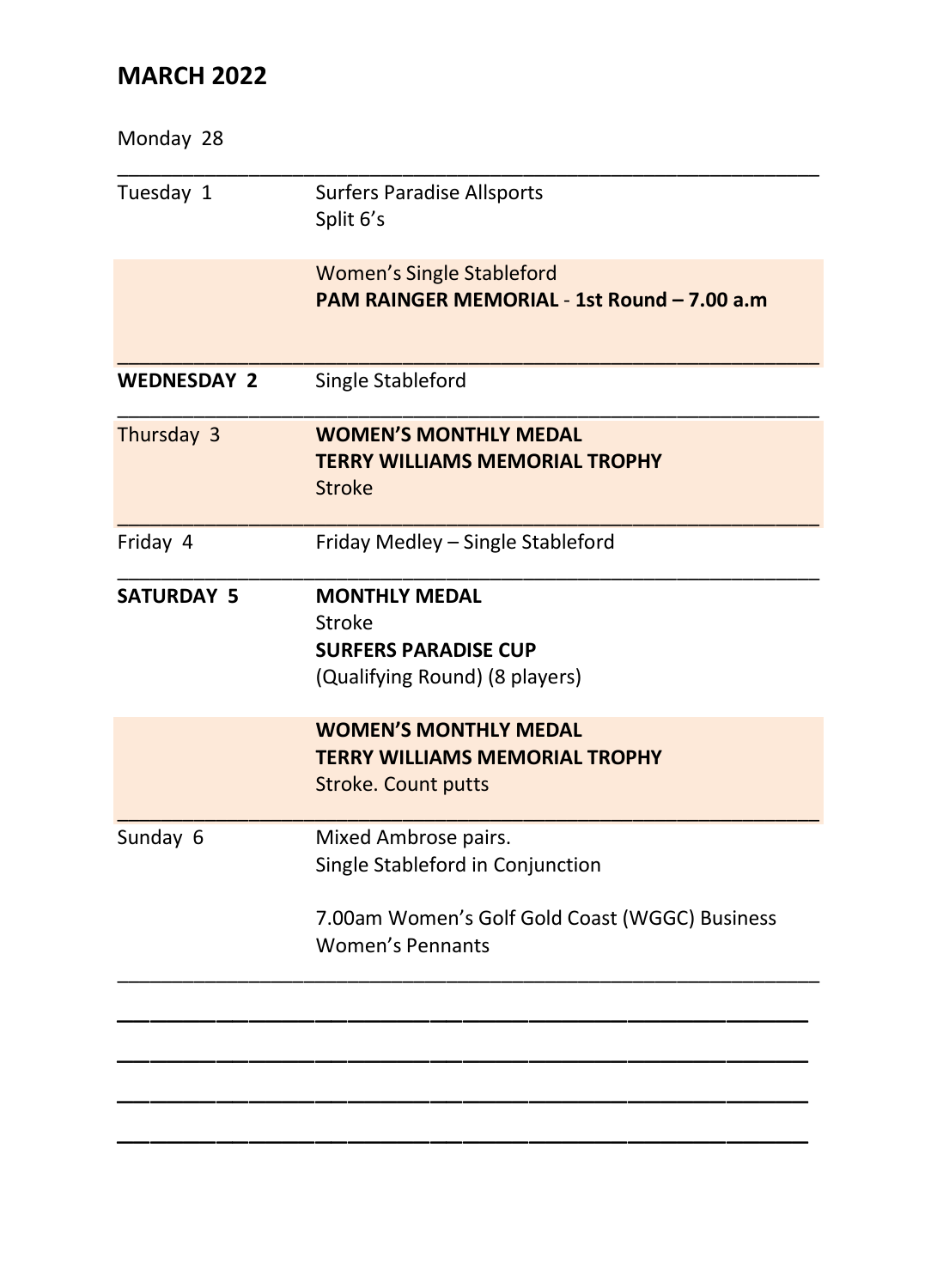| Monday 28          |                                                                                                                                       |
|--------------------|---------------------------------------------------------------------------------------------------------------------------------------|
| Tuesday 1          | <b>Surfers Paradise Allsports</b><br>Split 6's                                                                                        |
|                    | <b>Women's Single Stableford</b><br>PAM RAINGER MEMORIAL - 1st Round - 7.00 a.m                                                       |
| <b>WEDNESDAY 2</b> | Single Stableford                                                                                                                     |
| Thursday 3         | <b>WOMEN'S MONTHLY MEDAL</b><br><b>TERRY WILLIAMS MEMORIAL TROPHY</b><br><b>Stroke</b>                                                |
| Friday 4           | Friday Medley - Single Stableford                                                                                                     |
| <b>SATURDAY 5</b>  | <b>MONTHLY MEDAL</b><br>Stroke<br><b>SURFERS PARADISE CUP</b><br>(Qualifying Round) (8 players)                                       |
|                    | <b>WOMEN'S MONTHLY MEDAL</b><br><b>TERRY WILLIAMS MEMORIAL TROPHY</b><br><b>Stroke. Count putts</b>                                   |
| Sunday 6           | Mixed Ambrose pairs.<br>Single Stableford in Conjunction<br>7.00am Women's Golf Gold Coast (WGGC) Business<br><b>Women's Pennants</b> |
|                    |                                                                                                                                       |
|                    |                                                                                                                                       |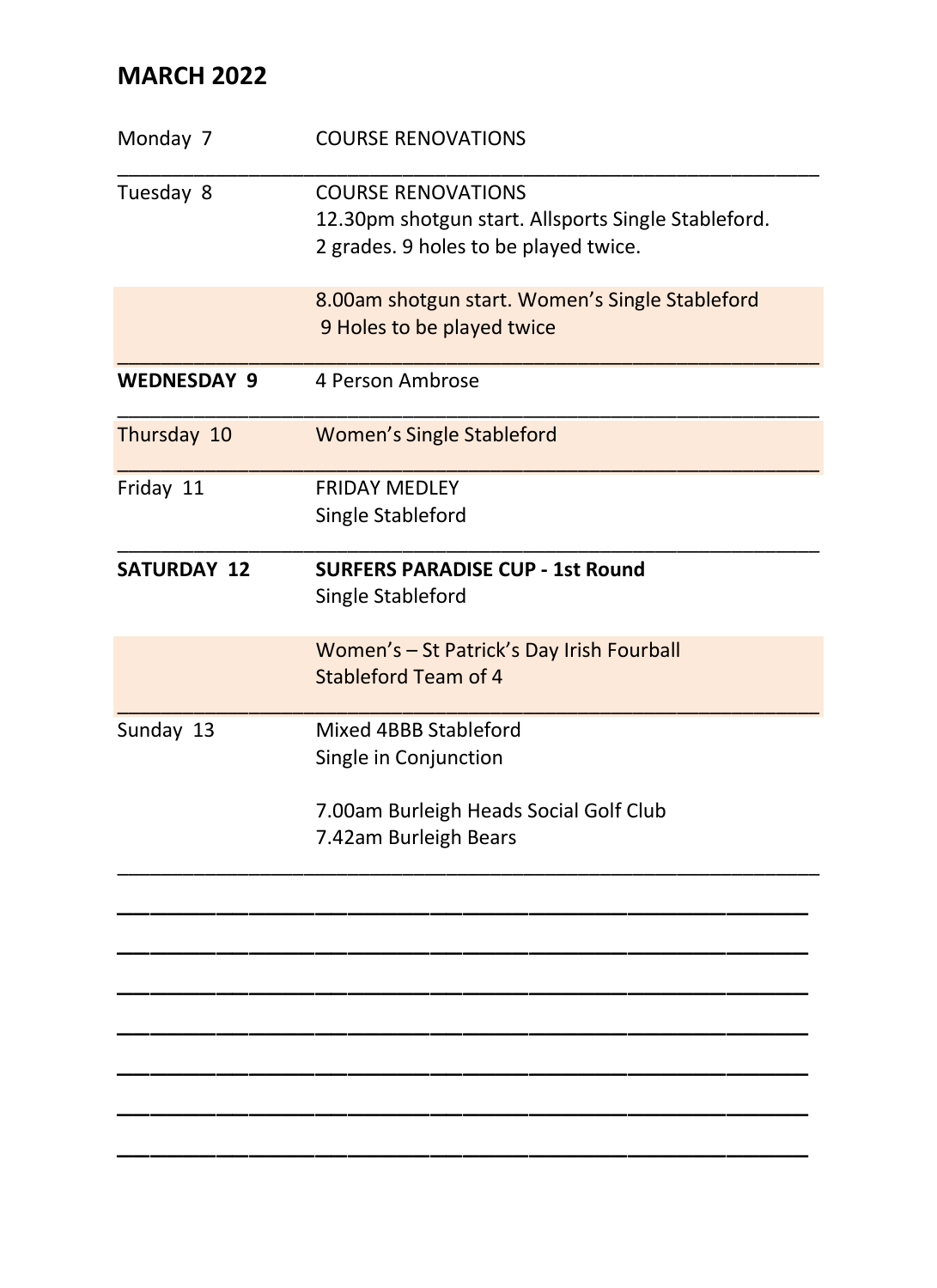| Monday 7           | <b>COURSE RENOVATIONS</b>                                                                    |
|--------------------|----------------------------------------------------------------------------------------------|
| Tuesday 8          | <b>COURSE RENOVATIONS</b>                                                                    |
|                    | 12.30pm shotgun start. Allsports Single Stableford.<br>2 grades. 9 holes to be played twice. |
|                    | 8.00am shotgun start. Women's Single Stableford<br>9 Holes to be played twice                |
| <b>WEDNESDAY 9</b> | 4 Person Ambrose                                                                             |
| Thursday 10        | <b>Women's Single Stableford</b>                                                             |
| Friday 11          | <b>FRIDAY MEDLEY</b>                                                                         |
|                    | Single Stableford                                                                            |
| <b>SATURDAY 12</b> | <b>SURFERS PARADISE CUP - 1st Round</b><br>Single Stableford                                 |
|                    | Women's - St Patrick's Day Irish Fourball<br>Stableford Team of 4                            |
| Sunday 13          | Mixed 4BBB Stableford                                                                        |
|                    | Single in Conjunction                                                                        |
|                    | 7.00am Burleigh Heads Social Golf Club                                                       |
|                    | 7.42am Burleigh Bears                                                                        |
|                    |                                                                                              |
|                    |                                                                                              |
|                    |                                                                                              |
|                    |                                                                                              |
|                    |                                                                                              |
|                    |                                                                                              |
|                    |                                                                                              |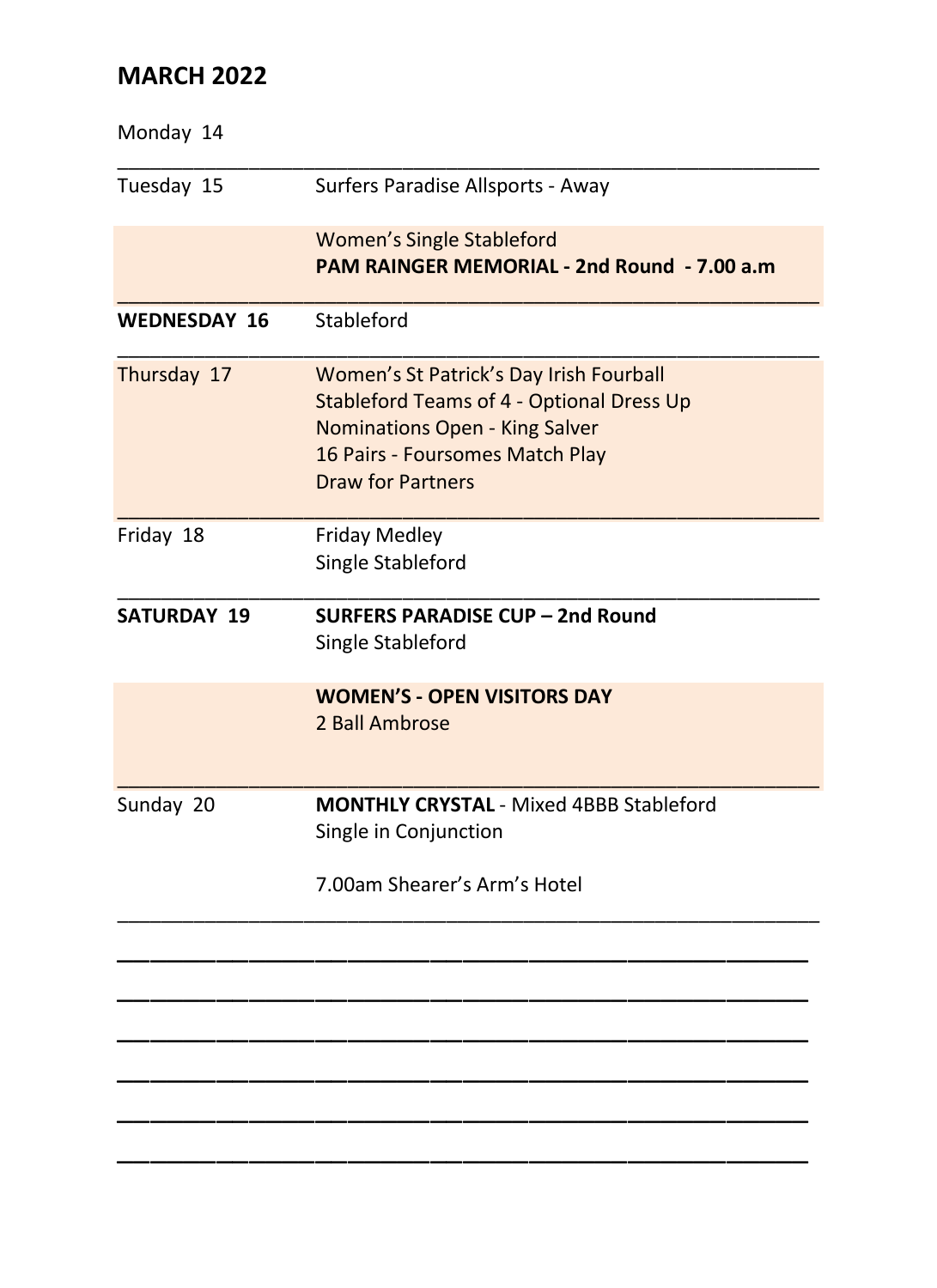| Monday 14           |                                                                                                                                                                                       |
|---------------------|---------------------------------------------------------------------------------------------------------------------------------------------------------------------------------------|
| Tuesday 15          | Surfers Paradise Allsports - Away                                                                                                                                                     |
|                     | <b>Women's Single Stableford</b><br>PAM RAINGER MEMORIAL - 2nd Round - 7.00 a.m.                                                                                                      |
| <b>WEDNESDAY 16</b> | Stableford                                                                                                                                                                            |
| Thursday 17         | Women's St Patrick's Day Irish Fourball<br>Stableford Teams of 4 - Optional Dress Up<br>Nominations Open - King Salver<br>16 Pairs - Foursomes Match Play<br><b>Draw for Partners</b> |
| Friday 18           | <b>Friday Medley</b><br>Single Stableford                                                                                                                                             |
| <b>SATURDAY 19</b>  | <b>SURFERS PARADISE CUP - 2nd Round</b><br>Single Stableford                                                                                                                          |
|                     | <b>WOMEN'S - OPEN VISITORS DAY</b><br>2 Ball Ambrose                                                                                                                                  |
| Sunday 20           | <b>MONTHLY CRYSTAL - Mixed 4BBB Stableford</b><br>Single in Conjunction                                                                                                               |
|                     | 7.00am Shearer's Arm's Hotel                                                                                                                                                          |
|                     |                                                                                                                                                                                       |
|                     |                                                                                                                                                                                       |
|                     |                                                                                                                                                                                       |
|                     |                                                                                                                                                                                       |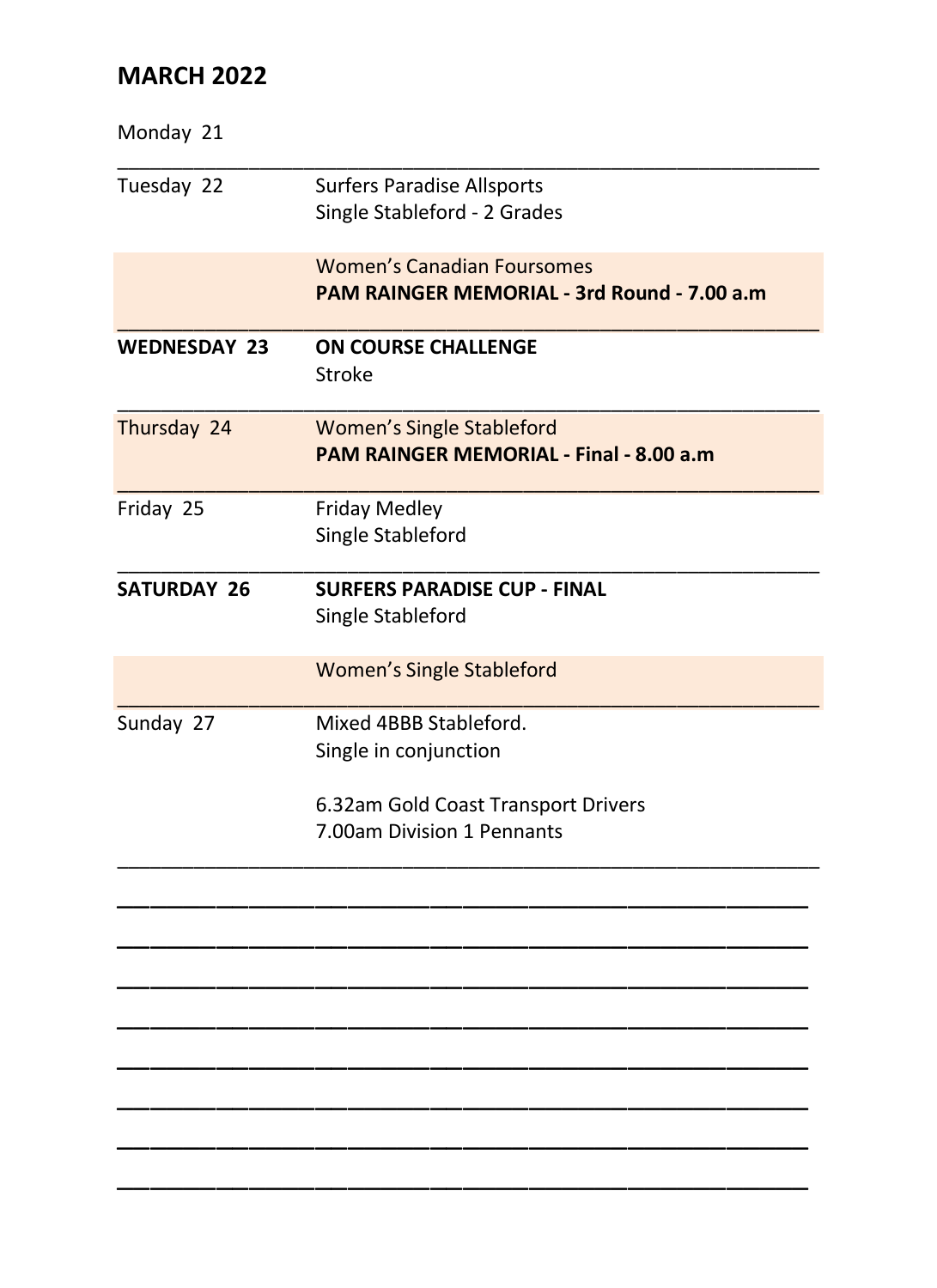| Monday 21           |                                                                                  |
|---------------------|----------------------------------------------------------------------------------|
| Tuesday 22          | <b>Surfers Paradise Allsports</b><br>Single Stableford - 2 Grades                |
|                     | <b>Women's Canadian Foursomes</b><br>PAM RAINGER MEMORIAL - 3rd Round - 7.00 a.m |
| <b>WEDNESDAY 23</b> | <b>ON COURSE CHALLENGE</b><br><b>Stroke</b>                                      |
| Thursday 24         | <b>Women's Single Stableford</b><br>PAM RAINGER MEMORIAL - Final - 8.00 a.m      |
| Friday 25           | <b>Friday Medley</b><br>Single Stableford                                        |
| <b>SATURDAY 26</b>  | <b>SURFERS PARADISE CUP - FINAL</b><br>Single Stableford                         |
|                     | <b>Women's Single Stableford</b>                                                 |
| Sunday 27           | Mixed 4BBB Stableford.<br>Single in conjunction                                  |
|                     | 6.32am Gold Coast Transport Drivers<br>7.00am Division 1 Pennants                |
|                     |                                                                                  |
|                     |                                                                                  |
|                     |                                                                                  |
|                     |                                                                                  |
|                     |                                                                                  |
|                     |                                                                                  |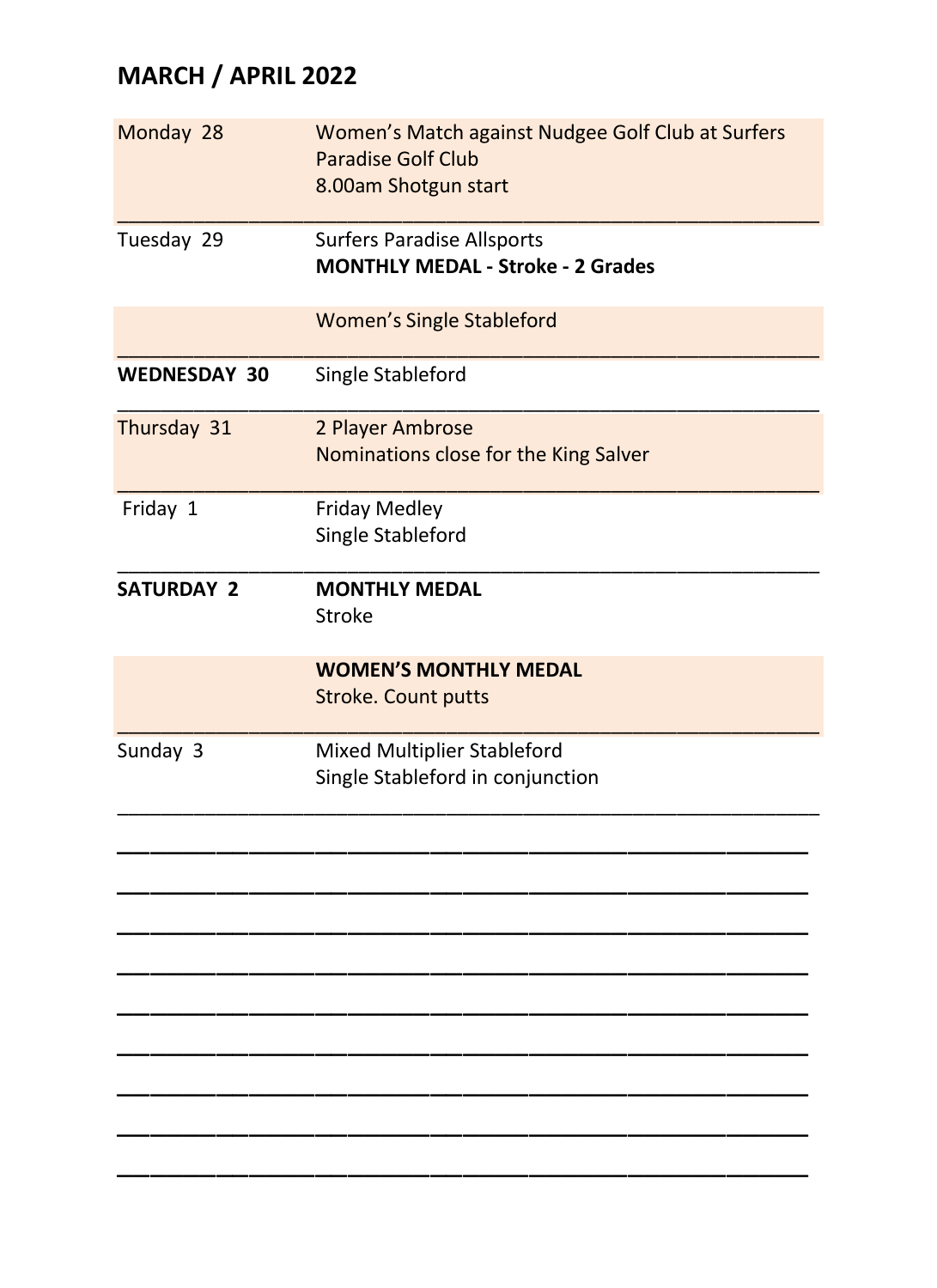# **MARCH / APRIL 2022**

| Monday 28           | Women's Match against Nudgee Golf Club at Surfers<br>Paradise Golf Club<br>8.00am Shotgun start |
|---------------------|-------------------------------------------------------------------------------------------------|
| Tuesday 29          | <b>Surfers Paradise Allsports</b><br><b>MONTHLY MEDAL - Stroke - 2 Grades</b>                   |
|                     | <b>Women's Single Stableford</b>                                                                |
| <b>WEDNESDAY 30</b> | Single Stableford                                                                               |
| Thursday 31         | 2 Player Ambrose<br>Nominations close for the King Salver                                       |
| Friday 1            | <b>Friday Medley</b><br>Single Stableford                                                       |
| <b>SATURDAY 2</b>   | <b>MONTHLY MEDAL</b><br><b>Stroke</b>                                                           |
|                     | <b>WOMEN'S MONTHLY MEDAL</b><br><b>Stroke. Count putts</b>                                      |
| Sunday 3            | Mixed Multiplier Stableford<br>Single Stableford in conjunction                                 |
|                     |                                                                                                 |
|                     |                                                                                                 |
|                     |                                                                                                 |
|                     |                                                                                                 |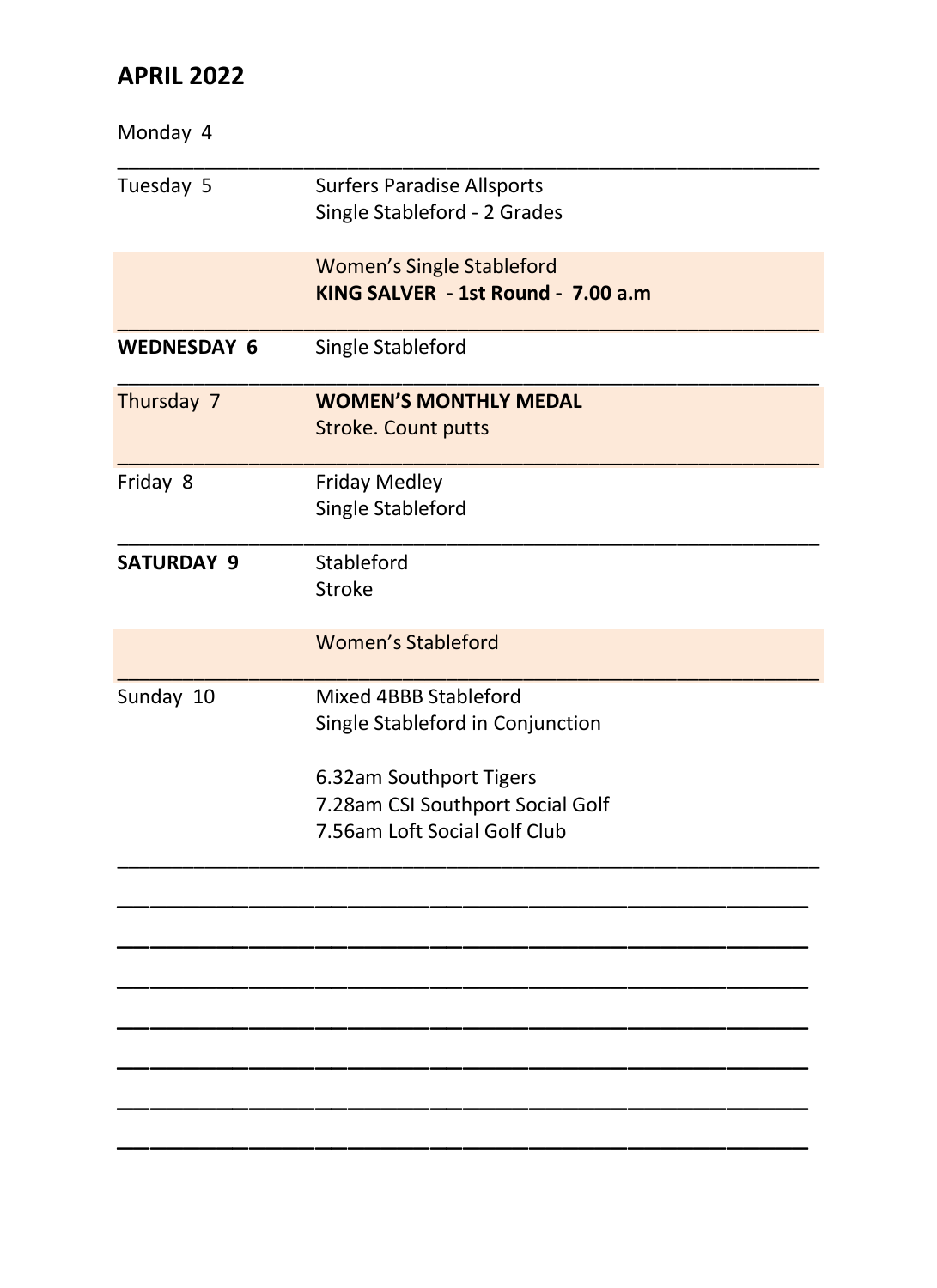## **APRIL 2022**

| Monday 4           |                                                                                             |
|--------------------|---------------------------------------------------------------------------------------------|
| Tuesday 5          | <b>Surfers Paradise Allsports</b><br>Single Stableford - 2 Grades                           |
|                    | <b>Women's Single Stableford</b><br>KING SALVER - 1st Round - 7.00 a.m.                     |
| <b>WEDNESDAY 6</b> | Single Stableford                                                                           |
| Thursday 7         | <b>WOMEN'S MONTHLY MEDAL</b><br><b>Stroke. Count putts</b>                                  |
| Friday 8           | <b>Friday Medley</b><br>Single Stableford                                                   |
| <b>SATURDAY 9</b>  | Stableford<br>Stroke                                                                        |
|                    | Women's Stableford                                                                          |
| Sunday 10          | Mixed 4BBB Stableford<br>Single Stableford in Conjunction                                   |
|                    | 6.32am Southport Tigers<br>7.28am CSI Southport Social Golf<br>7.56am Loft Social Golf Club |
|                    |                                                                                             |
|                    |                                                                                             |
|                    |                                                                                             |
|                    |                                                                                             |
|                    |                                                                                             |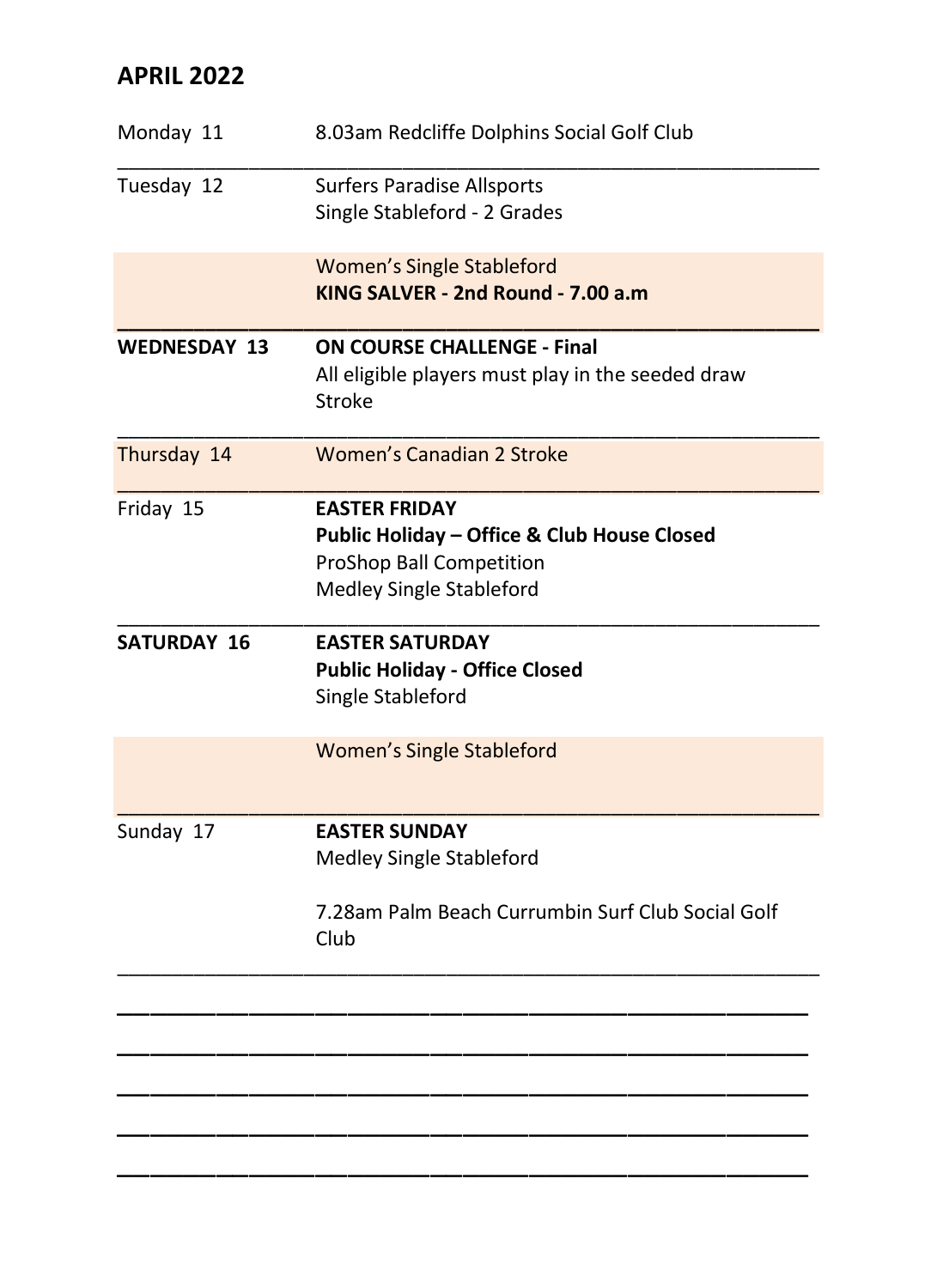## **APRIL 2022**

| Monday 11           | 8.03am Redcliffe Dolphins Social Golf Club                                                                                  |
|---------------------|-----------------------------------------------------------------------------------------------------------------------------|
| Tuesday 12          | <b>Surfers Paradise Allsports</b><br>Single Stableford - 2 Grades                                                           |
|                     | <b>Women's Single Stableford</b><br>KING SALVER - 2nd Round - 7.00 a.m                                                      |
| <b>WEDNESDAY 13</b> | <b>ON COURSE CHALLENGE - Final</b><br>All eligible players must play in the seeded draw<br>Stroke                           |
| Thursday 14         | Women's Canadian 2 Stroke                                                                                                   |
| Friday 15           | <b>EASTER FRIDAY</b><br>Public Holiday - Office & Club House Closed<br>ProShop Ball Competition<br>Medley Single Stableford |
| <b>SATURDAY 16</b>  | <b>EASTER SATURDAY</b><br><b>Public Holiday - Office Closed</b><br>Single Stableford                                        |
|                     | <b>Women's Single Stableford</b>                                                                                            |
| Sunday 17           | <b>EASTER SUNDAY</b><br>Medley Single Stableford                                                                            |
|                     | 7.28am Palm Beach Currumbin Surf Club Social Golf<br>Club                                                                   |
|                     |                                                                                                                             |
|                     |                                                                                                                             |
|                     |                                                                                                                             |
|                     |                                                                                                                             |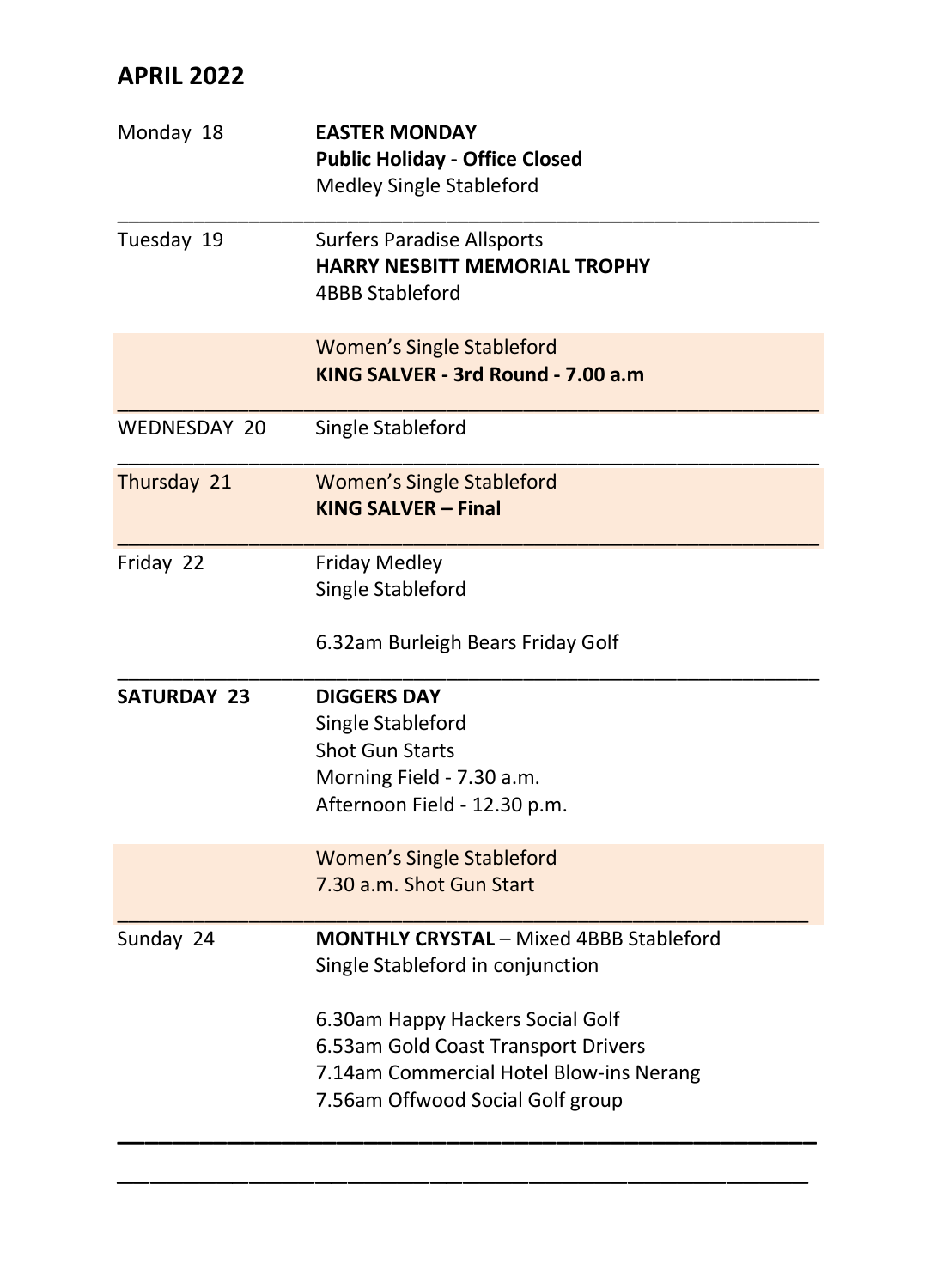## **APRIL 2022**

| Monday 18          | <b>EASTER MONDAY</b><br><b>Public Holiday - Office Closed</b><br>Medley Single Stableford                                                                                                                                                    |
|--------------------|----------------------------------------------------------------------------------------------------------------------------------------------------------------------------------------------------------------------------------------------|
| Tuesday 19         | <b>Surfers Paradise Allsports</b><br><b>HARRY NESBITT MEMORIAL TROPHY</b><br>4BBB Stableford                                                                                                                                                 |
|                    | <b>Women's Single Stableford</b><br>KING SALVER - 3rd Round - 7.00 a.m.                                                                                                                                                                      |
| WEDNESDAY 20       | Single Stableford                                                                                                                                                                                                                            |
| Thursday 21        | <b>Women's Single Stableford</b><br><b>KING SALVER - Final</b>                                                                                                                                                                               |
| Friday 22          | <b>Friday Medley</b><br>Single Stableford<br>6.32am Burleigh Bears Friday Golf                                                                                                                                                               |
| <b>SATURDAY 23</b> | <b>DIGGERS DAY</b><br>Single Stableford<br><b>Shot Gun Starts</b><br>Morning Field - 7.30 a.m.<br>Afternoon Field - 12.30 p.m.                                                                                                               |
|                    | <b>Women's Single Stableford</b><br>7.30 a.m. Shot Gun Start                                                                                                                                                                                 |
| Sunday 24          | <b>MONTHLY CRYSTAL - Mixed 4BBB Stableford</b><br>Single Stableford in conjunction<br>6.30am Happy Hackers Social Golf<br>6.53am Gold Coast Transport Drivers<br>7.14am Commercial Hotel Blow-ins Nerang<br>7.56am Offwood Social Golf group |

\_\_\_\_\_\_\_\_\_\_\_\_\_\_\_\_\_\_\_\_\_\_\_\_\_\_\_\_\_\_\_\_\_\_\_\_\_\_\_\_\_\_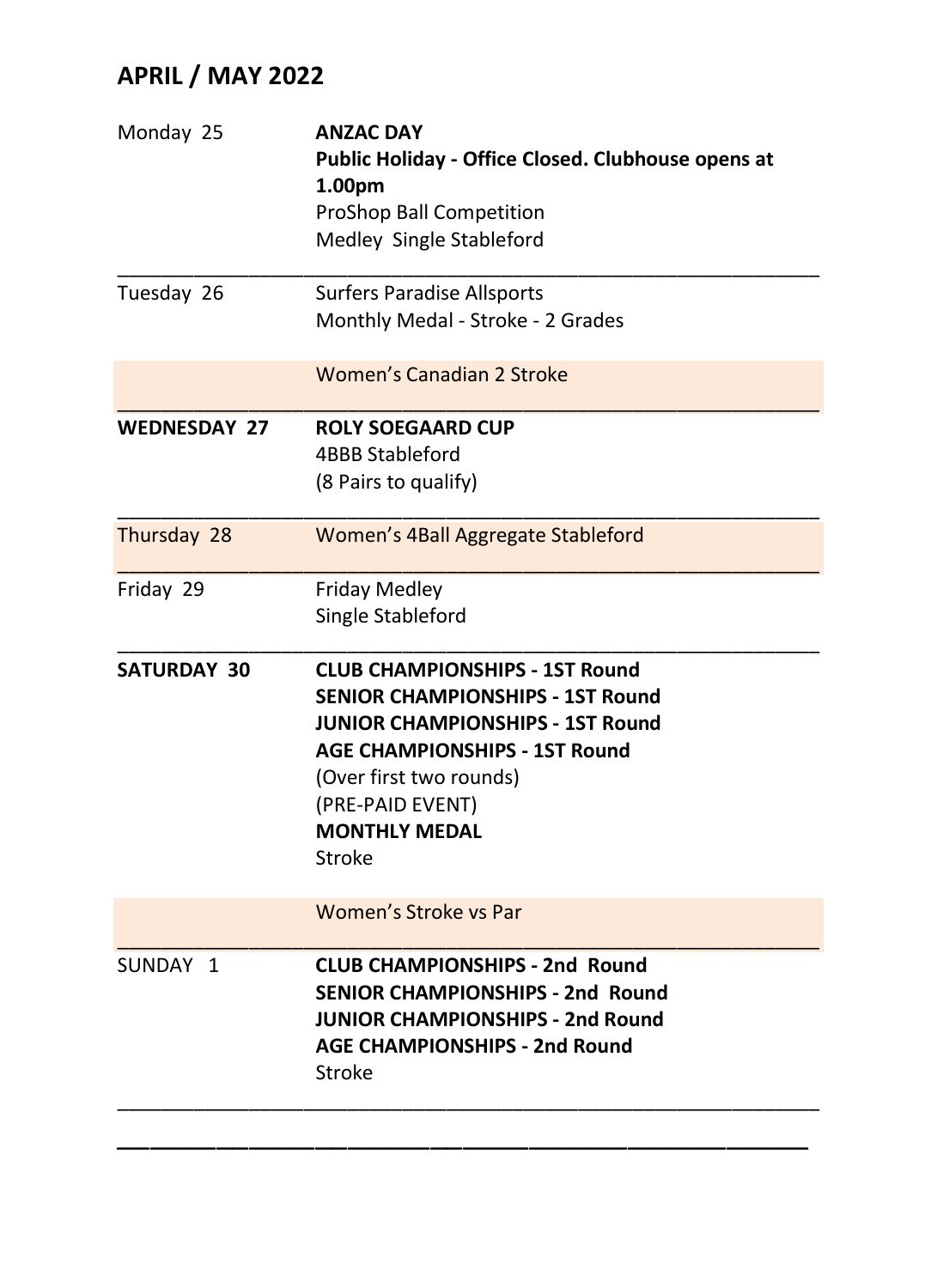# **APRIL / MAY 2022**

| <b>ANZAC DAY</b><br>Public Holiday - Office Closed. Clubhouse opens at<br>1.00pm<br><b>ProShop Ball Competition</b><br>Medley Single Stableford                                                                                                      |
|------------------------------------------------------------------------------------------------------------------------------------------------------------------------------------------------------------------------------------------------------|
| <b>Surfers Paradise Allsports</b><br>Monthly Medal - Stroke - 2 Grades                                                                                                                                                                               |
| Women's Canadian 2 Stroke                                                                                                                                                                                                                            |
| <b>ROLY SOEGAARD CUP</b><br><b>4BBB Stableford</b><br>(8 Pairs to qualify)                                                                                                                                                                           |
| Women's 4Ball Aggregate Stableford                                                                                                                                                                                                                   |
| <b>Friday Medley</b><br>Single Stableford                                                                                                                                                                                                            |
| <b>CLUB CHAMPIONSHIPS - 1ST Round</b><br><b>SENIOR CHAMPIONSHIPS - 1ST Round</b><br><b>JUNIOR CHAMPIONSHIPS - 1ST Round</b><br><b>AGE CHAMPIONSHIPS - 1ST Round</b><br>(Over first two rounds)<br>(PRE-PAID EVENT)<br><b>MONTHLY MEDAL</b><br>Stroke |
| Women's Stroke vs Par                                                                                                                                                                                                                                |
| <b>CLUB CHAMPIONSHIPS - 2nd Round</b><br><b>SENIOR CHAMPIONSHIPS - 2nd Round</b><br><b>JUNIOR CHAMPIONSHIPS - 2nd Round</b><br><b>AGE CHAMPIONSHIPS - 2nd Round</b><br>Stroke                                                                        |
|                                                                                                                                                                                                                                                      |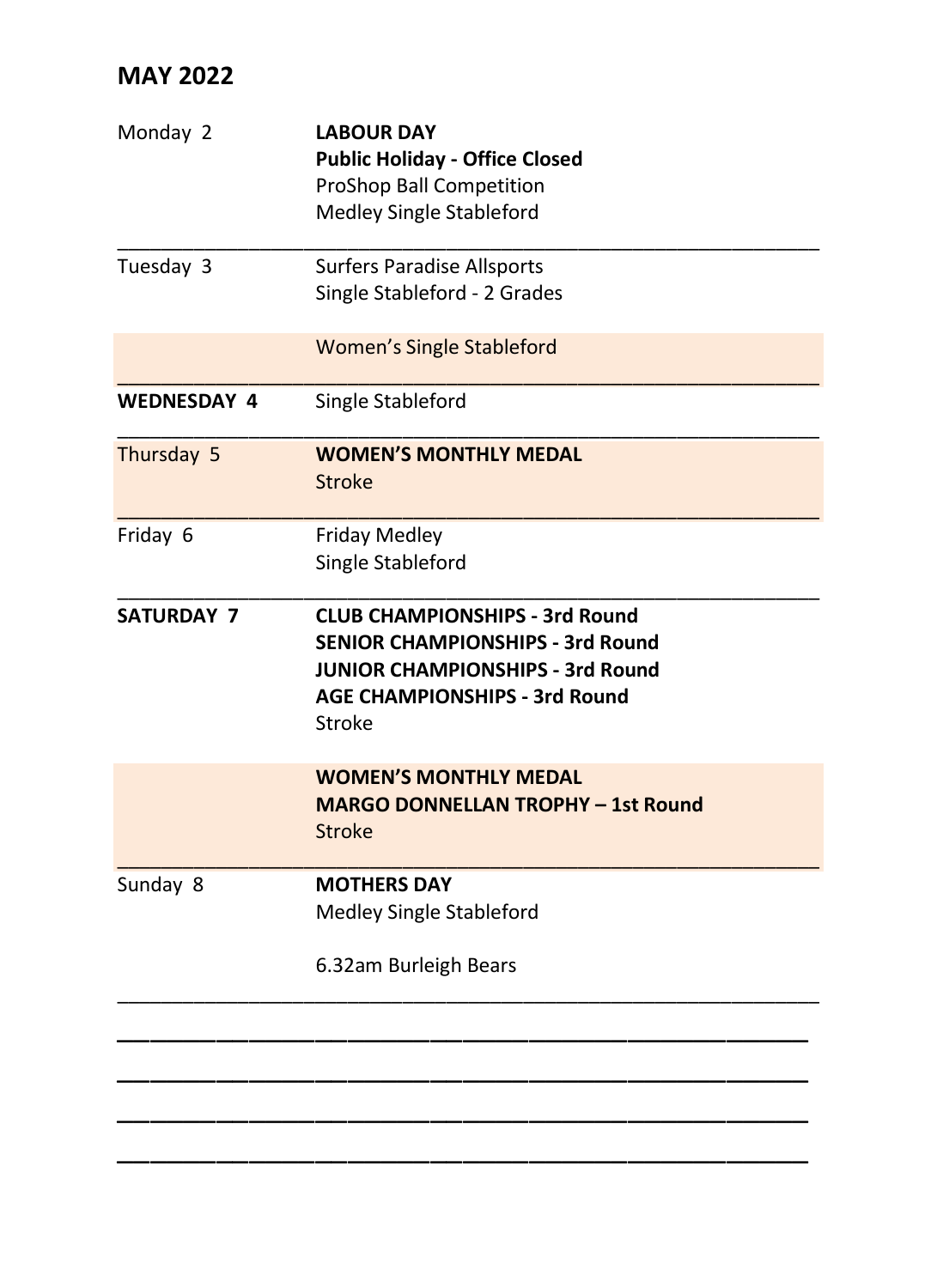| Monday 2           | <b>LABOUR DAY</b><br><b>Public Holiday - Office Closed</b><br><b>ProShop Ball Competition</b><br>Medley Single Stableford                                       |
|--------------------|-----------------------------------------------------------------------------------------------------------------------------------------------------------------|
| Tuesday 3          | <b>Surfers Paradise Allsports</b><br>Single Stableford - 2 Grades                                                                                               |
|                    | <b>Women's Single Stableford</b>                                                                                                                                |
| <b>WEDNESDAY 4</b> | Single Stableford                                                                                                                                               |
| Thursday 5         | <b>WOMEN'S MONTHLY MEDAL</b><br><b>Stroke</b>                                                                                                                   |
| Friday 6           | <b>Friday Medley</b><br>Single Stableford                                                                                                                       |
| <b>SATURDAY 7</b>  | <b>CLUB CHAMPIONSHIPS - 3rd Round</b><br><b>SENIOR CHAMPIONSHIPS - 3rd Round</b><br>JUNIOR CHAMPIONSHIPS - 3rd Round<br>AGE CHAMPIONSHIPS - 3rd Round<br>Stroke |
|                    | <b>WOMEN'S MONTHLY MEDAL</b><br><b>MARGO DONNELLAN TROPHY - 1st Round</b><br><b>Stroke</b>                                                                      |
| Sunday 8           | <b>MOTHERS DAY</b><br>Medley Single Stableford                                                                                                                  |
|                    | 6.32am Burleigh Bears                                                                                                                                           |
|                    |                                                                                                                                                                 |
|                    |                                                                                                                                                                 |
|                    |                                                                                                                                                                 |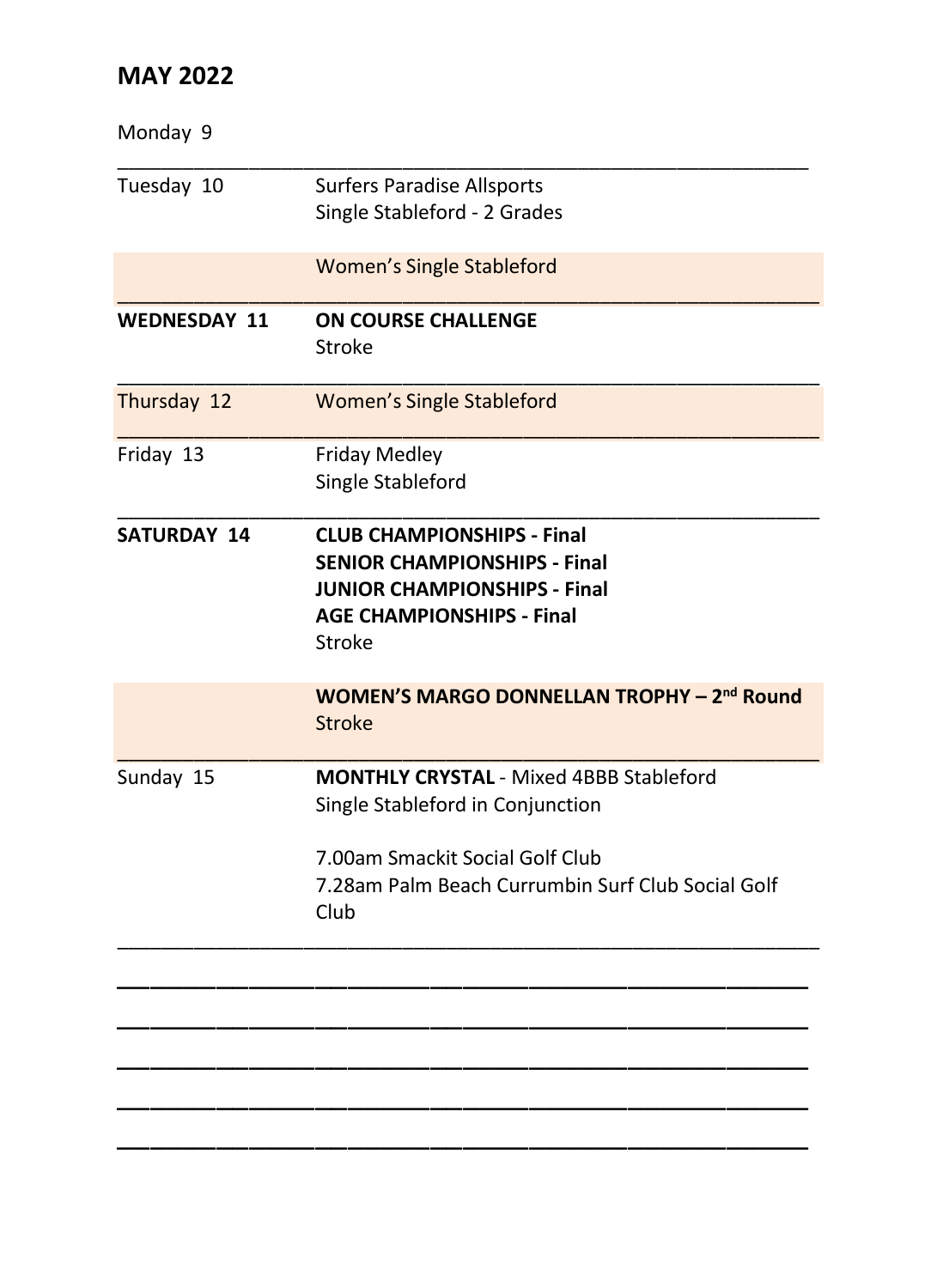| <b>Surfers Paradise Allsports</b><br>Single Stableford - 2 Grades                                                                                                                  |
|------------------------------------------------------------------------------------------------------------------------------------------------------------------------------------|
| <b>Women's Single Stableford</b>                                                                                                                                                   |
| <b>ON COURSE CHALLENGE</b><br>Stroke                                                                                                                                               |
| <b>Women's Single Stableford</b>                                                                                                                                                   |
| <b>Friday Medley</b><br>Single Stableford                                                                                                                                          |
| <b>CLUB CHAMPIONSHIPS - Final</b><br><b>SENIOR CHAMPIONSHIPS - Final</b><br><b>JUNIOR CHAMPIONSHIPS - Final</b><br><b>AGE CHAMPIONSHIPS - Final</b><br>Stroke                      |
| <b>WOMEN'S MARGO DONNELLAN TROPHY - 2nd Round</b><br><b>Stroke</b>                                                                                                                 |
| <b>MONTHLY CRYSTAL - Mixed 4BBB Stableford</b><br>Single Stableford in Conjunction<br>7.00am Smackit Social Golf Club<br>7.28am Palm Beach Currumbin Surf Club Social Golf<br>Club |
|                                                                                                                                                                                    |
|                                                                                                                                                                                    |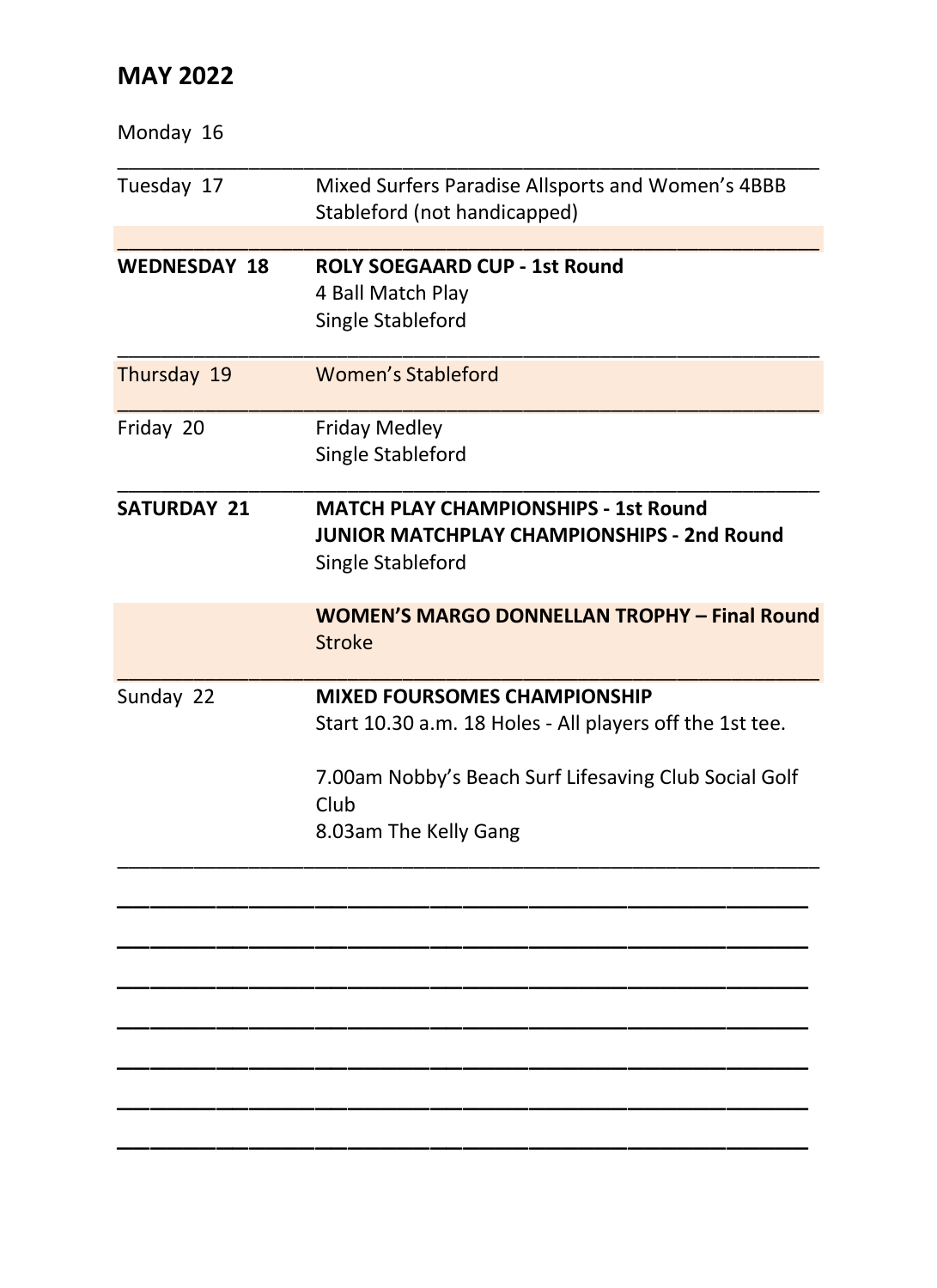| Mixed Surfers Paradise Allsports and Women's 4BBB<br>Stableford (not handicapped)                                                                                                         |
|-------------------------------------------------------------------------------------------------------------------------------------------------------------------------------------------|
| <b>ROLY SOEGAARD CUP - 1st Round</b><br>4 Ball Match Play<br>Single Stableford                                                                                                            |
| Women's Stableford                                                                                                                                                                        |
| <b>Friday Medley</b><br>Single Stableford                                                                                                                                                 |
| <b>MATCH PLAY CHAMPIONSHIPS - 1st Round</b><br>JUNIOR MATCHPLAY CHAMPIONSHIPS - 2nd Round<br>Single Stableford                                                                            |
| <b>WOMEN'S MARGO DONNELLAN TROPHY - Final Round</b><br><b>Stroke</b>                                                                                                                      |
| <b>MIXED FOURSOMES CHAMPIONSHIP</b><br>Start 10.30 a.m. 18 Holes - All players off the 1st tee.<br>7.00am Nobby's Beach Surf Lifesaving Club Social Golf<br>Club<br>8.03am The Kelly Gang |
|                                                                                                                                                                                           |
|                                                                                                                                                                                           |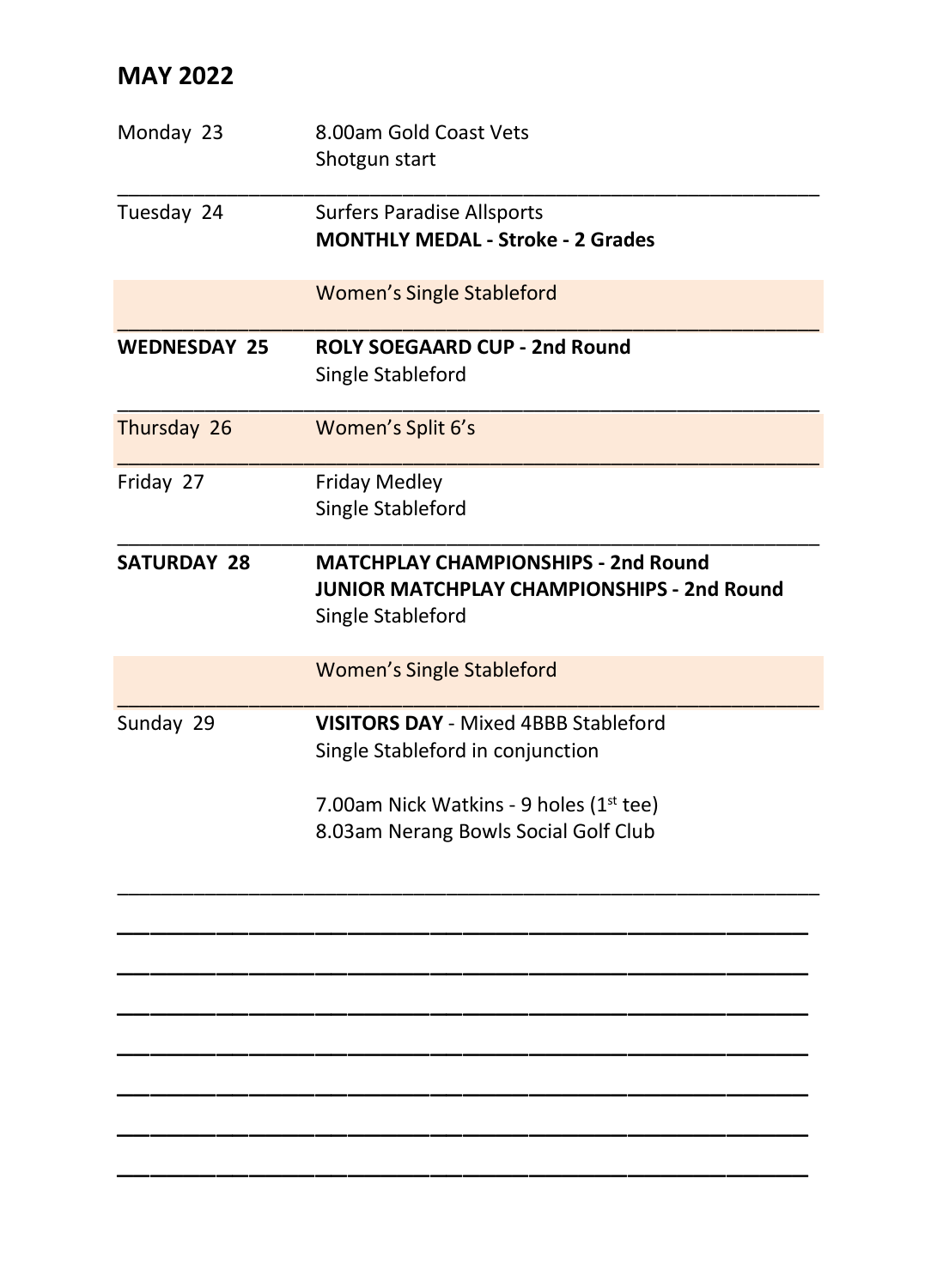| Monday 23           | 8.00am Gold Coast Vets<br>Shotgun start                                                                       |
|---------------------|---------------------------------------------------------------------------------------------------------------|
| Tuesday 24          | <b>Surfers Paradise Allsports</b><br><b>MONTHLY MEDAL - Stroke - 2 Grades</b>                                 |
|                     | <b>Women's Single Stableford</b>                                                                              |
| <b>WEDNESDAY 25</b> | ROLY SOFGAARD CUP - 2nd Round<br>Single Stableford                                                            |
| Thursday 26         | Women's Split 6's                                                                                             |
| Friday 27           | Friday Medley<br>Single Stableford                                                                            |
| <b>SATURDAY 28</b>  | <b>MATCHPLAY CHAMPIONSHIPS - 2nd Round</b><br>JUNIOR MATCHPLAY CHAMPIONSHIPS - 2nd Round<br>Single Stableford |
|                     | <b>Women's Single Stableford</b>                                                                              |
| Sunday 29           | <b>VISITORS DAY - Mixed 4BBB Stableford</b><br>Single Stableford in conjunction                               |
|                     | 7.00am Nick Watkins - 9 holes (1st tee)<br>8.03am Nerang Bowls Social Golf Club                               |

\_\_\_\_\_\_\_\_\_\_\_\_\_\_\_\_\_\_\_\_\_\_\_\_\_\_\_\_\_\_\_\_\_\_\_\_\_\_\_\_\_\_

\_\_\_\_\_\_\_\_\_\_\_\_\_\_\_\_\_\_\_\_\_\_\_\_\_\_\_\_\_\_\_\_\_\_\_\_\_\_\_\_\_\_ \_\_\_\_\_\_\_\_\_\_\_\_\_\_\_\_\_\_\_\_\_\_\_\_\_\_\_\_\_\_\_\_\_\_\_\_\_\_\_\_\_\_ \_\_\_\_\_\_\_\_\_\_\_\_\_\_\_\_\_\_\_\_\_\_\_\_\_\_\_\_\_\_\_\_\_\_\_\_\_\_\_\_\_\_ \_\_\_\_\_\_\_\_\_\_\_\_\_\_\_\_\_\_\_\_\_\_\_\_\_\_\_\_\_\_\_\_\_\_\_\_\_\_\_\_\_\_ \_\_\_\_\_\_\_\_\_\_\_\_\_\_\_\_\_\_\_\_\_\_\_\_\_\_\_\_\_\_\_\_\_\_\_\_\_\_\_\_\_\_

\_\_\_\_\_\_\_\_\_\_\_\_\_\_\_\_\_\_\_\_\_\_\_\_\_\_\_\_\_\_\_\_\_\_\_\_\_\_\_\_\_\_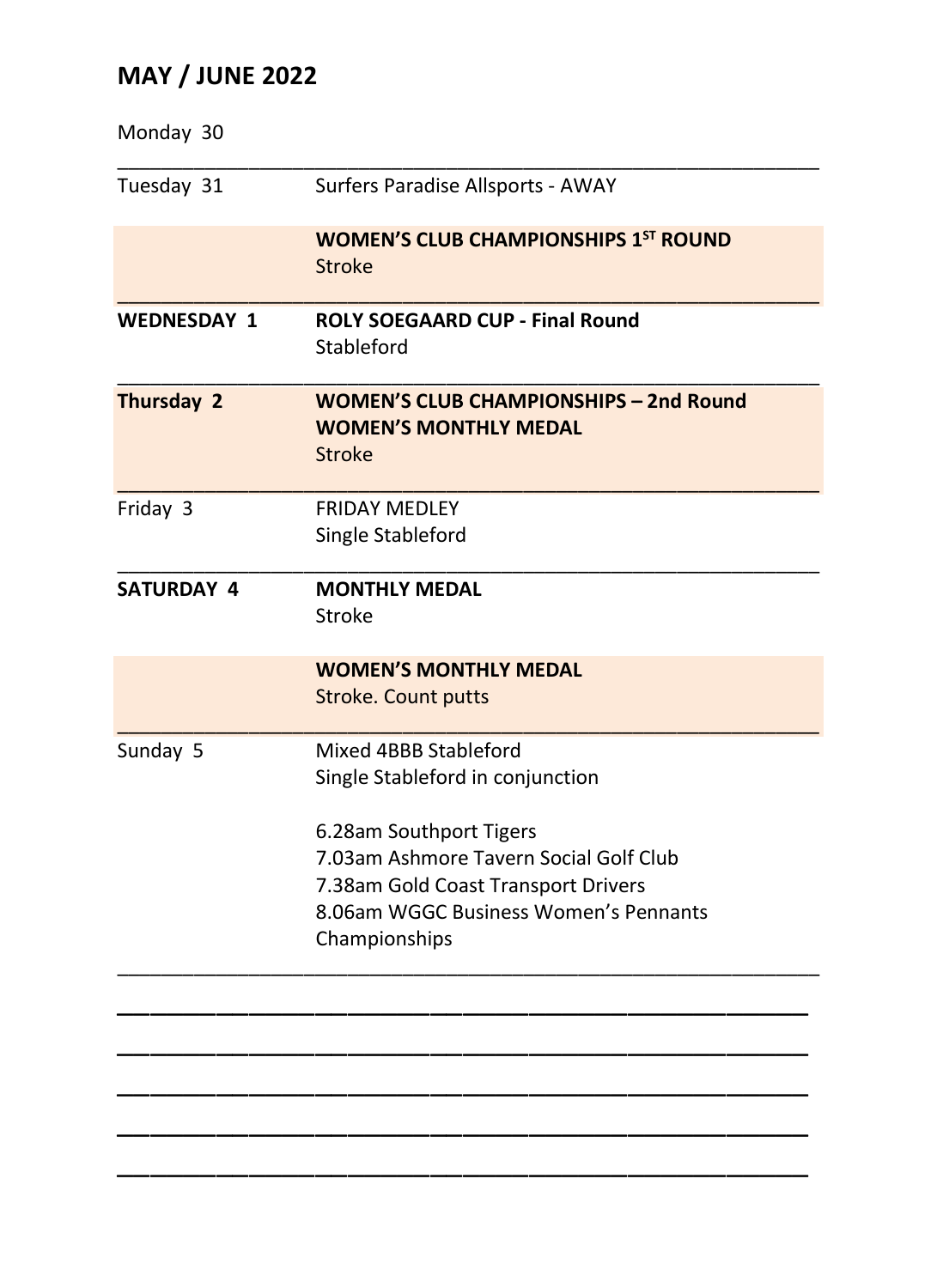# **MAY / JUNE 2022**

| Monday 30          |                                                                                         |
|--------------------|-----------------------------------------------------------------------------------------|
| Tuesday 31         | Surfers Paradise Allsports - AWAY                                                       |
|                    | <b>WOMEN'S CLUB CHAMPIONSHIPS 1ST ROUND</b>                                             |
|                    | <b>Stroke</b>                                                                           |
| <b>WEDNESDAY 1</b> | <b>ROLY SOEGAARD CUP - Final Round</b><br>Stableford                                    |
| Thursday 2         | <b>WOMEN'S CLUB CHAMPIONSHIPS - 2nd Round</b><br><b>WOMEN'S MONTHLY MEDAL</b><br>Stroke |
| Friday 3           | <b>FRIDAY MEDLEY</b>                                                                    |
|                    | Single Stableford                                                                       |
| <b>SATURDAY 4</b>  | <b>MONTHLY MEDAL</b><br>Stroke                                                          |
|                    | <b>WOMEN'S MONTHLY MEDAL</b>                                                            |
|                    | <b>Stroke. Count putts</b>                                                              |
| Sunday 5           | Mixed 4BBB Stableford                                                                   |
|                    | Single Stableford in conjunction                                                        |
|                    | 6.28am Southport Tigers                                                                 |
|                    | 7.03am Ashmore Tavern Social Golf Club                                                  |
|                    | 7.38am Gold Coast Transport Drivers                                                     |
|                    | 8.06am WGGC Business Women's Pennants                                                   |
|                    | Championships                                                                           |
|                    |                                                                                         |
|                    |                                                                                         |
|                    |                                                                                         |
|                    |                                                                                         |

\_\_\_\_\_\_\_\_\_\_\_\_\_\_\_\_\_\_\_\_\_\_\_\_\_\_\_\_\_\_\_\_\_\_\_\_\_\_\_\_\_\_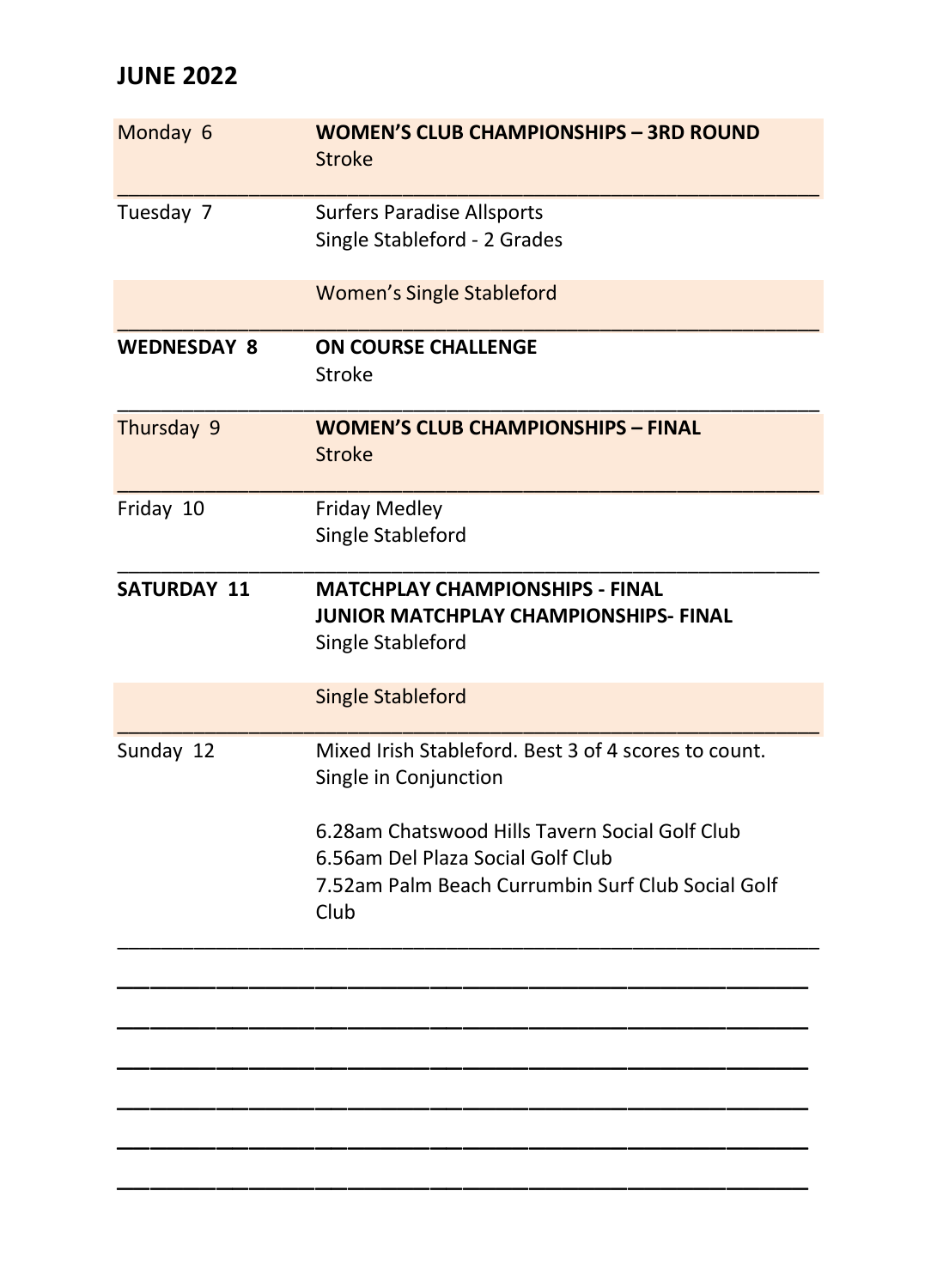# **JUNE 2022**

| Monday 6           | <b>WOMEN'S CLUB CHAMPIONSHIPS - 3RD ROUND</b><br><b>Stroke</b>                                                                                   |
|--------------------|--------------------------------------------------------------------------------------------------------------------------------------------------|
| Tuesday 7          | <b>Surfers Paradise Allsports</b><br>Single Stableford - 2 Grades                                                                                |
|                    | <b>Women's Single Stableford</b>                                                                                                                 |
| <b>WEDNESDAY 8</b> | <b>ON COURSE CHALLENGE</b><br>Stroke                                                                                                             |
| Thursday 9         | <b>WOMEN'S CLUB CHAMPIONSHIPS - FINAL</b><br><b>Stroke</b>                                                                                       |
| Friday 10          | <b>Friday Medley</b><br>Single Stableford                                                                                                        |
| <b>SATURDAY 11</b> | <b>MATCHPLAY CHAMPIONSHIPS - FINAL</b><br>JUNIOR MATCHPLAY CHAMPIONSHIPS- FINAL<br>Single Stableford                                             |
|                    | <b>Single Stableford</b>                                                                                                                         |
| Sunday 12          | Mixed Irish Stableford, Best 3 of 4 scores to count.<br>Single in Conjunction                                                                    |
|                    | 6.28am Chatswood Hills Tavern Social Golf Club<br>6.56am Del Plaza Social Golf Club<br>7.52am Palm Beach Currumbin Surf Club Social Golf<br>Club |
|                    |                                                                                                                                                  |
|                    |                                                                                                                                                  |
|                    |                                                                                                                                                  |

\_\_\_\_\_\_\_\_\_\_\_\_\_\_\_\_\_\_\_\_\_\_\_\_\_\_\_\_\_\_\_\_\_\_\_\_\_\_\_\_\_\_ \_\_\_\_\_\_\_\_\_\_\_\_\_\_\_\_\_\_\_\_\_\_\_\_\_\_\_\_\_\_\_\_\_\_\_\_\_\_\_\_\_\_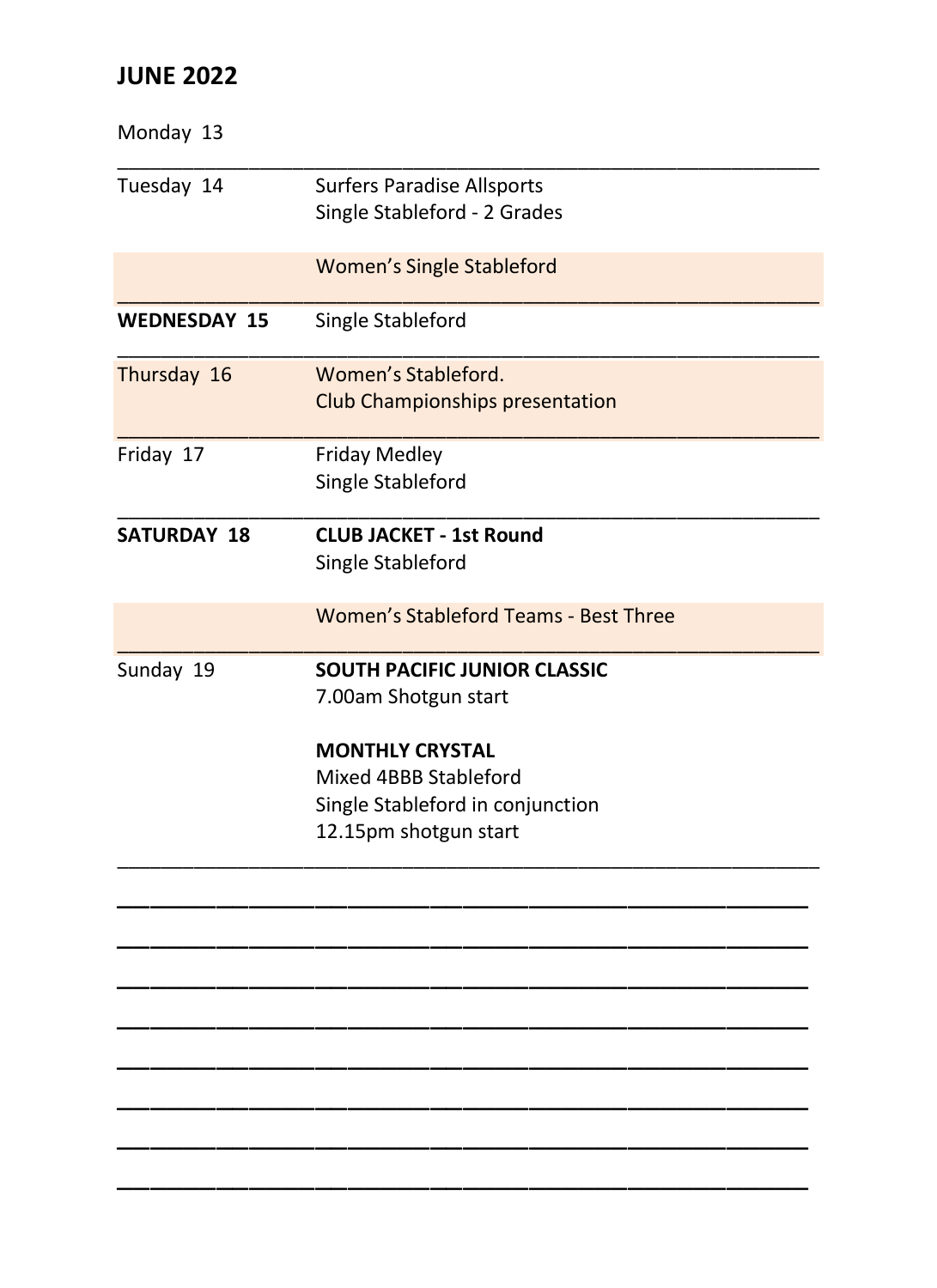## **JUNE 2022**

| Monday 13           |                                                                                                                                                                             |
|---------------------|-----------------------------------------------------------------------------------------------------------------------------------------------------------------------------|
| Tuesday 14          | <b>Surfers Paradise Allsports</b><br>Single Stableford - 2 Grades                                                                                                           |
|                     | <b>Women's Single Stableford</b>                                                                                                                                            |
| <b>WEDNESDAY 15</b> | Single Stableford                                                                                                                                                           |
| Thursday 16         | Women's Stableford.<br><b>Club Championships presentation</b>                                                                                                               |
| Friday 17           | <b>Friday Medley</b><br>Single Stableford                                                                                                                                   |
| <b>SATURDAY 18</b>  | <b>CLUB JACKET - 1st Round</b><br>Single Stableford                                                                                                                         |
|                     | Women's Stableford Teams - Best Three                                                                                                                                       |
| Sunday 19           | <b>SOUTH PACIFIC JUNIOR CLASSIC</b><br>7.00am Shotgun start<br><b>MONTHLY CRYSTAL</b><br>Mixed 4BBB Stableford<br>Single Stableford in conjunction<br>12.15pm shotgun start |
|                     |                                                                                                                                                                             |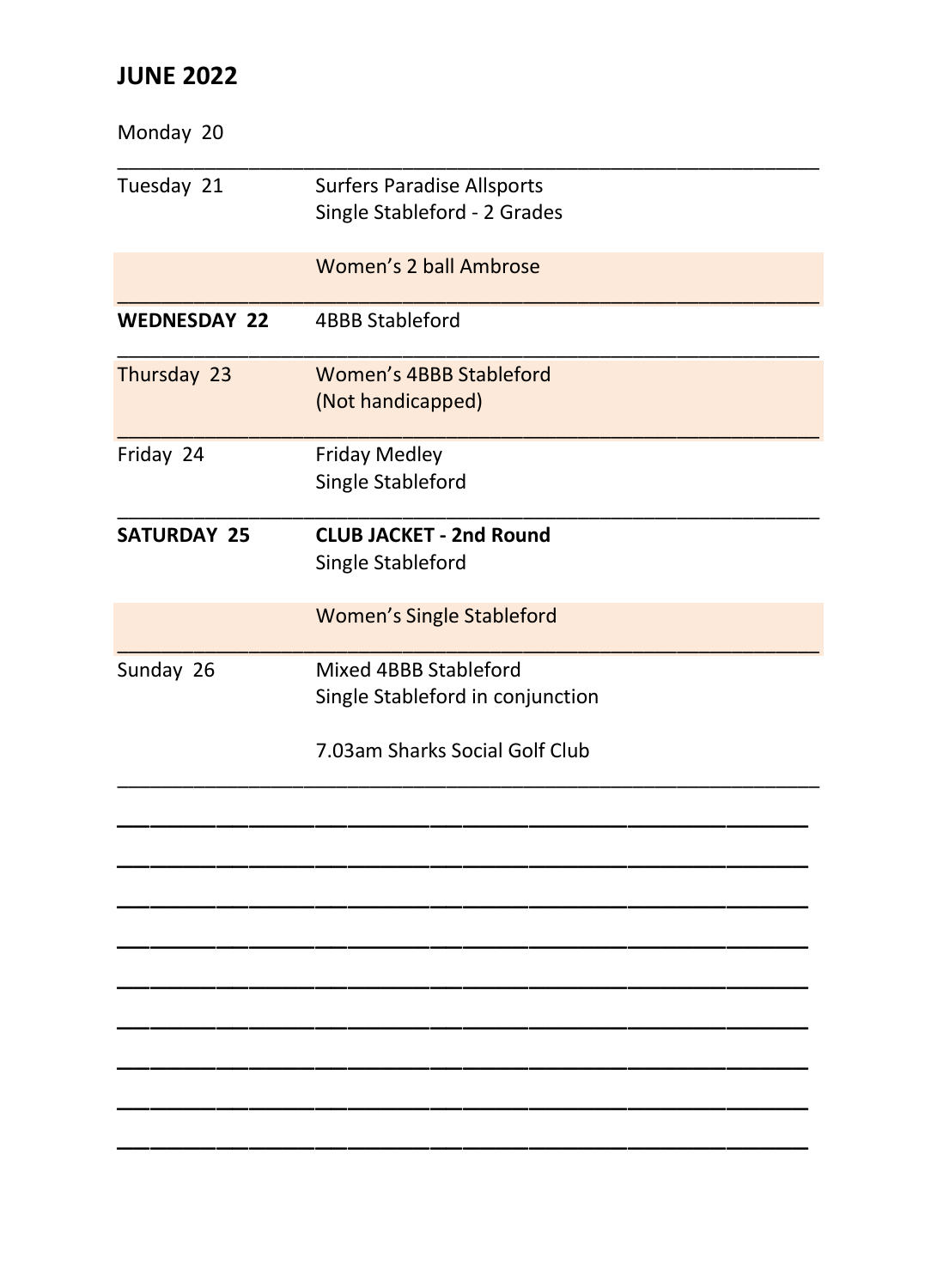## **JUNE 2022**

| Monday 20           |                                                                   |
|---------------------|-------------------------------------------------------------------|
| Tuesday 21          | <b>Surfers Paradise Allsports</b><br>Single Stableford - 2 Grades |
|                     | Women's 2 ball Ambrose                                            |
| <b>WEDNESDAY 22</b> | <b>4BBB Stableford</b>                                            |
| Thursday 23         | Women's 4BBB Stableford<br>(Not handicapped)                      |
| Friday 24           | <b>Friday Medley</b><br>Single Stableford                         |
| <b>SATURDAY 25</b>  | <b>CLUB JACKET - 2nd Round</b><br>Single Stableford               |
|                     | <b>Women's Single Stableford</b>                                  |
| Sunday 26           | Mixed 4BBB Stableford<br>Single Stableford in conjunction         |
|                     | 7.03am Sharks Social Golf Club                                    |
|                     |                                                                   |
|                     |                                                                   |
|                     |                                                                   |
|                     |                                                                   |
|                     |                                                                   |
|                     |                                                                   |
|                     |                                                                   |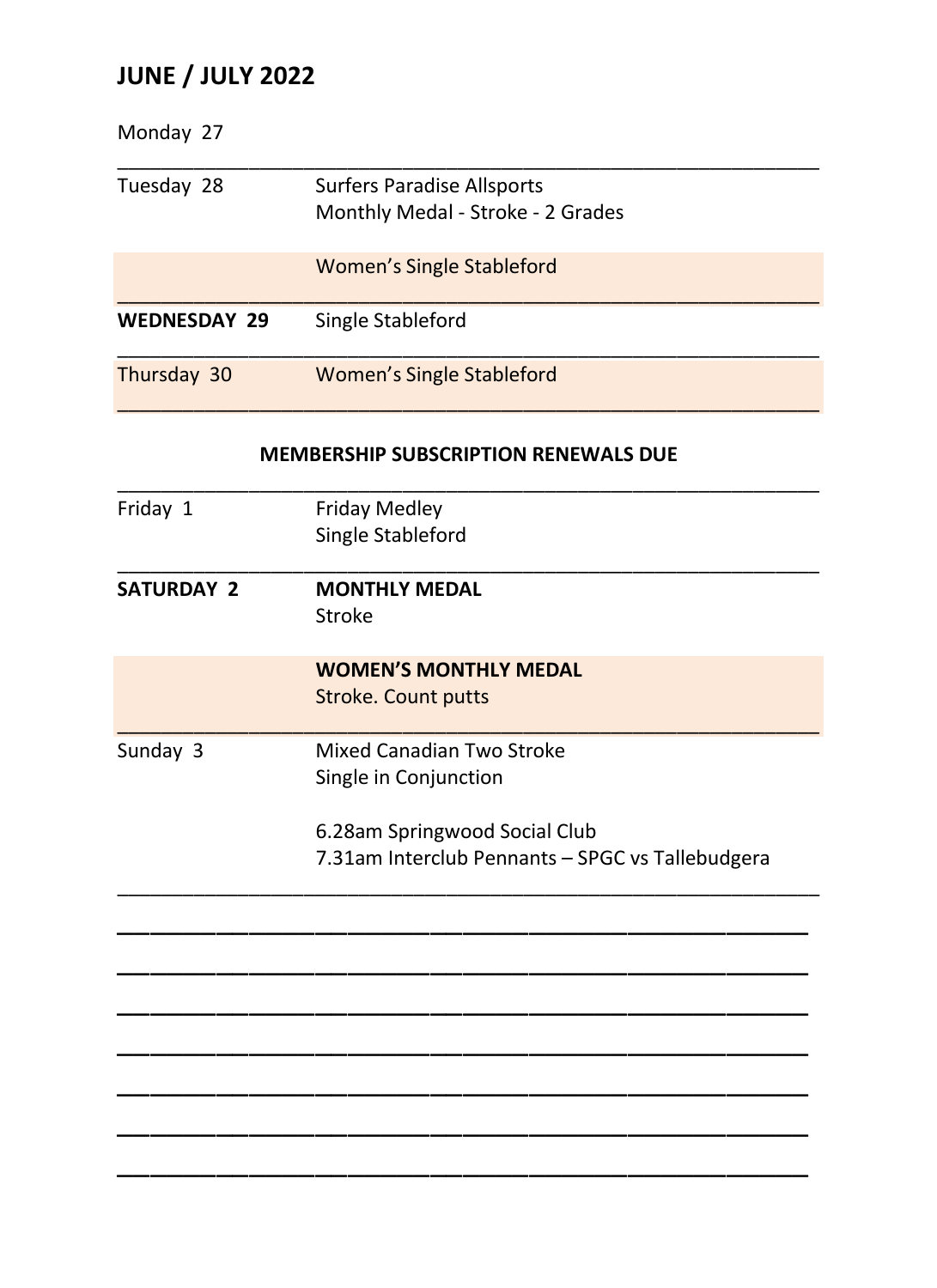# **JUNE / JULY 2022**

| Monday 27           |                                                                        |
|---------------------|------------------------------------------------------------------------|
| Tuesday 28          | <b>Surfers Paradise Allsports</b><br>Monthly Medal - Stroke - 2 Grades |
|                     | <b>Women's Single Stableford</b>                                       |
| <b>WEDNESDAY 29</b> | Single Stableford                                                      |
| Thursday 30         | <b>Women's Single Stableford</b>                                       |
|                     | <b>MEMBERSHIP SUBSCRIPTION RENEWALS DUE</b>                            |
| Friday 1            | <b>Friday Medley</b>                                                   |
|                     | Single Stableford                                                      |
| <b>SATURDAY 2</b>   | <b>MONTHLY MEDAL</b>                                                   |
|                     | Stroke                                                                 |
|                     | <b>WOMEN'S MONTHLY MEDAL</b>                                           |
|                     | <b>Stroke. Count putts</b>                                             |
| Sunday 3            | Mixed Canadian Two Stroke                                              |
|                     | Single in Conjunction                                                  |
|                     | 6.28am Springwood Social Club                                          |
|                     | 7.31am Interclub Pennants - SPGC vs Tallebudgera                       |
|                     |                                                                        |
|                     |                                                                        |
|                     |                                                                        |
|                     |                                                                        |
|                     |                                                                        |
|                     |                                                                        |
|                     |                                                                        |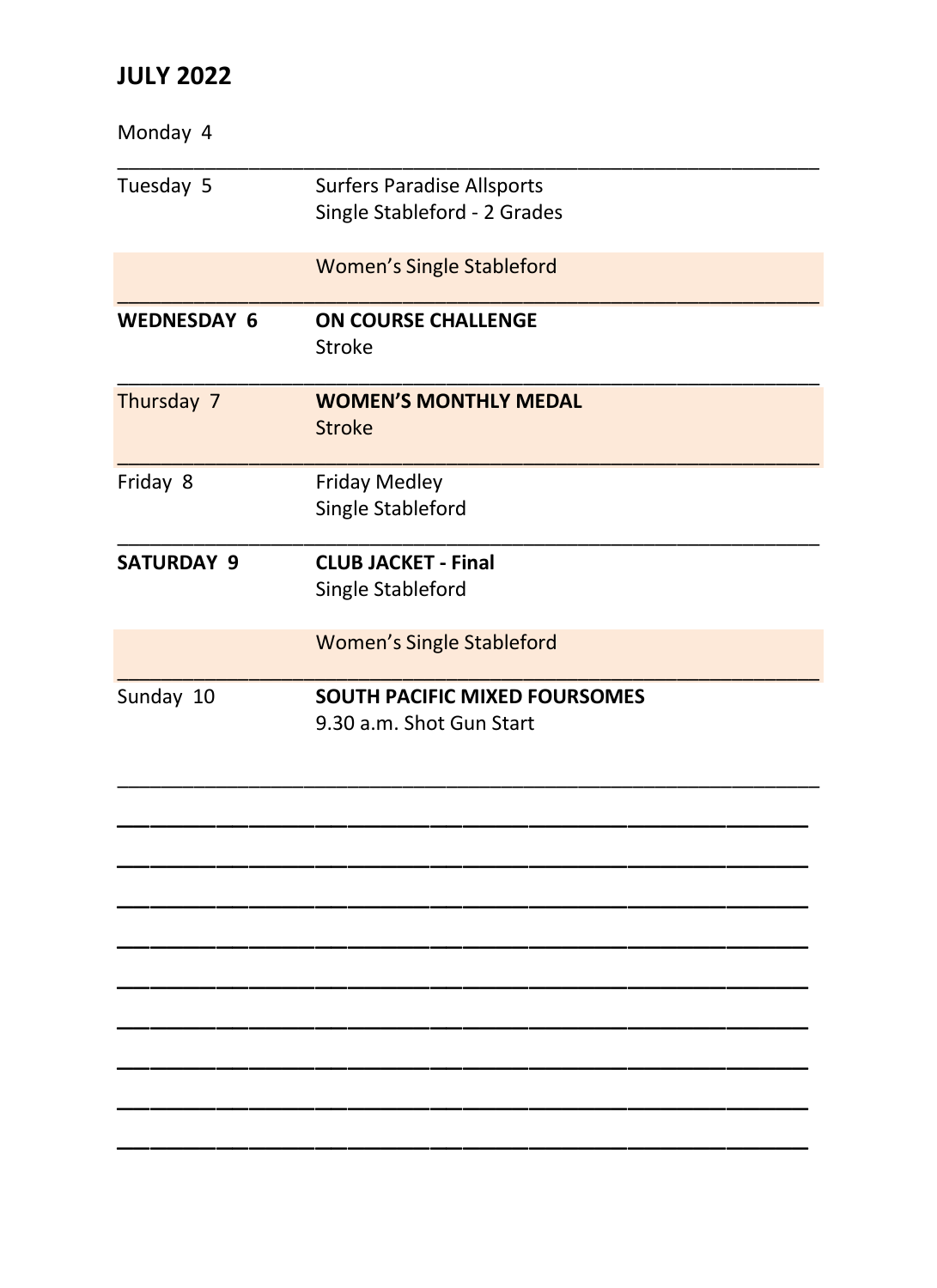| Monday 4           |                                                                   |
|--------------------|-------------------------------------------------------------------|
| Tuesday 5          | <b>Surfers Paradise Allsports</b><br>Single Stableford - 2 Grades |
|                    | <b>Women's Single Stableford</b>                                  |
| <b>WEDNESDAY 6</b> | ON COURSE CHALLENGE<br>Stroke                                     |
| Thursday 7         | <b>WOMEN'S MONTHLY MEDAL</b><br>Stroke                            |
| Friday 8           | <b>Friday Medley</b><br>Single Stableford                         |
| <b>SATURDAY 9</b>  | <b>CLUB JACKET - Final</b><br>Single Stableford                   |
|                    | <b>Women's Single Stableford</b>                                  |
| Sunday 10          | <b>SOUTH PACIFIC MIXED FOURSOMES</b><br>9.30 a.m. Shot Gun Start  |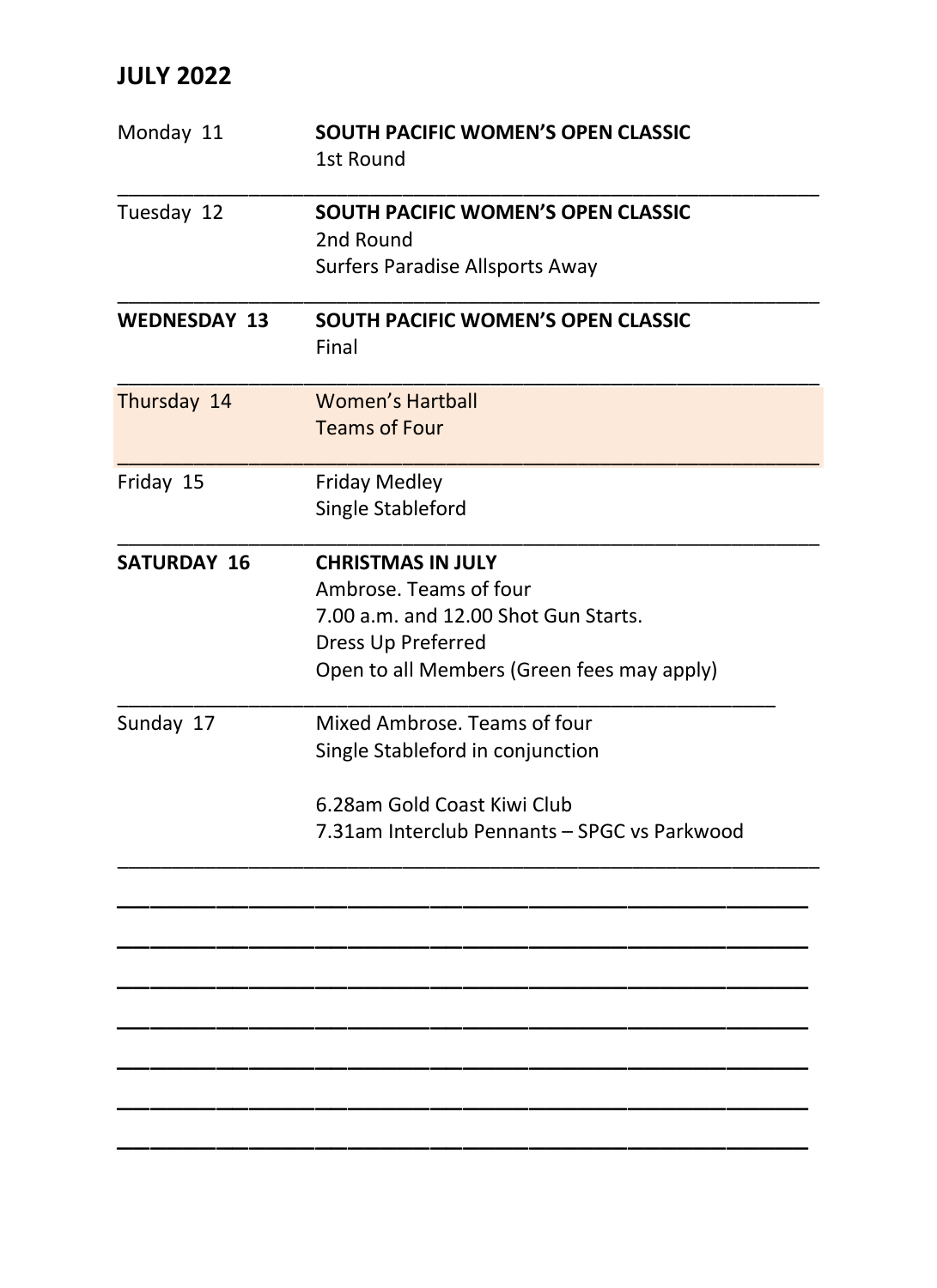| Monday 11           | SOUTH PACIFIC WOMEN'S OPEN CLASSIC<br>1st Round        |
|---------------------|--------------------------------------------------------|
| Tuesday 12          | <b>SOUTH PACIFIC WOMEN'S OPEN CLASSIC</b><br>2nd Round |
|                     | Surfers Paradise Allsports Away                        |
| <b>WEDNESDAY 13</b> | SOUTH PACIFIC WOMEN'S OPEN CLASSIC<br>Final            |
| Thursday 14         | <b>Women's Hartball</b><br><b>Teams of Four</b>        |
| Friday 15           | <b>Friday Medley</b><br>Single Stableford              |
| SATURDAY 16         | <b>CHRISTMAS IN JULY</b>                               |
|                     | Ambrose. Teams of four                                 |
|                     | 7.00 a.m. and 12.00 Shot Gun Starts.                   |
|                     | Dress Up Preferred                                     |
|                     | Open to all Members (Green fees may apply)             |
| Sunday 17           | Mixed Ambrose. Teams of four                           |
|                     | Single Stableford in conjunction                       |
|                     | 6.28am Gold Coast Kiwi Club                            |
|                     | 7.31am Interclub Pennants - SPGC vs Parkwood           |
|                     |                                                        |
|                     |                                                        |
|                     |                                                        |
|                     |                                                        |
|                     |                                                        |
|                     |                                                        |
|                     |                                                        |
|                     |                                                        |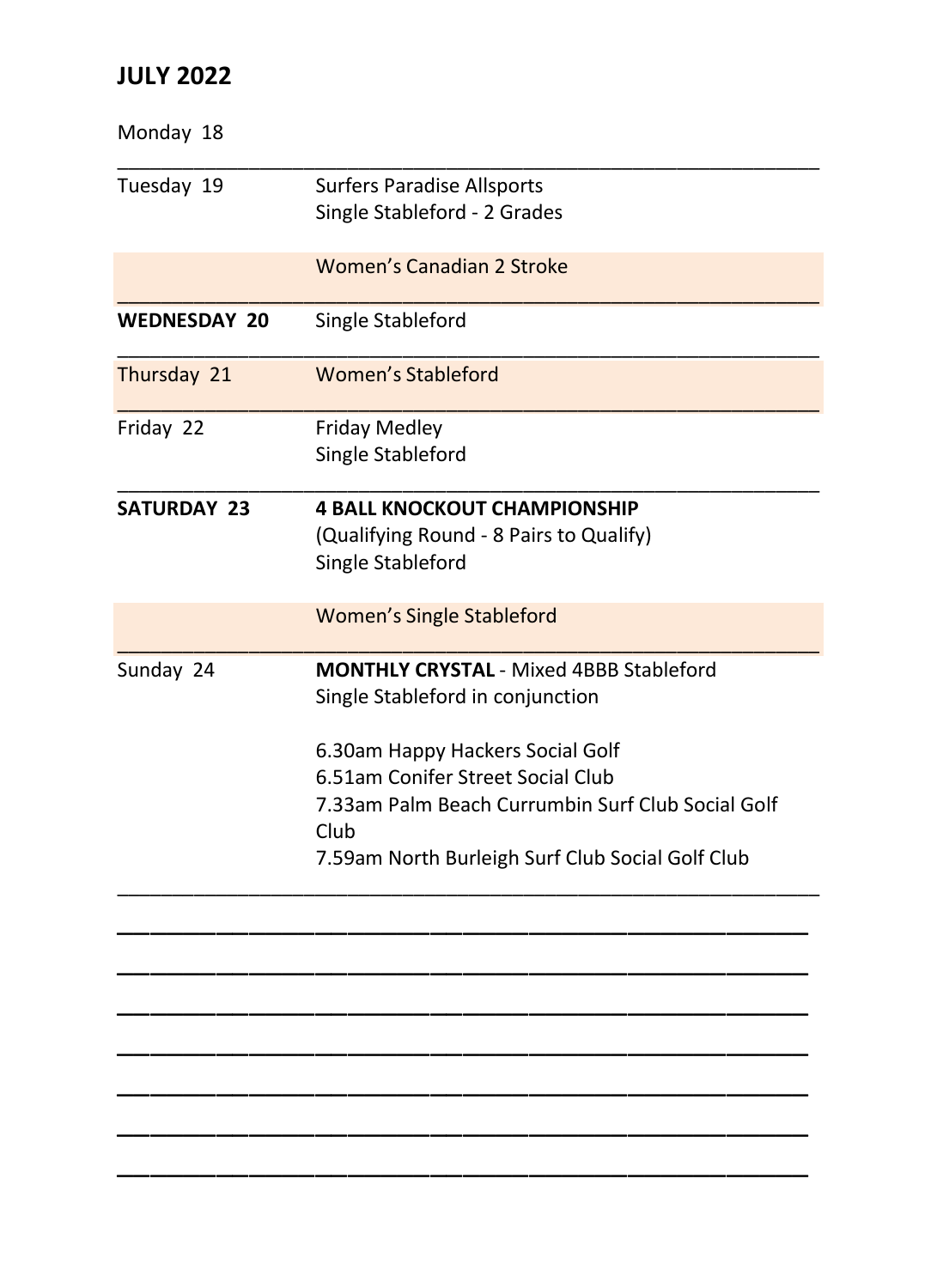| Monday 18           |                                                           |
|---------------------|-----------------------------------------------------------|
| Tuesday 19          | <b>Surfers Paradise Allsports</b>                         |
|                     | Single Stableford - 2 Grades                              |
|                     | Women's Canadian 2 Stroke                                 |
| <b>WEDNESDAY 20</b> | Single Stableford                                         |
| Thursday 21         | <b>Women's Stableford</b>                                 |
| Friday 22           | <b>Friday Medley</b>                                      |
|                     | Single Stableford                                         |
| <b>SATURDAY 23</b>  | <b>4 BALL KNOCKOUT CHAMPIONSHIP</b>                       |
|                     | (Qualifying Round - 8 Pairs to Qualify)                   |
|                     | Single Stableford                                         |
|                     | <b>Women's Single Stableford</b>                          |
| Sunday 24           | <b>MONTHLY CRYSTAL - Mixed 4BBB Stableford</b>            |
|                     | Single Stableford in conjunction                          |
|                     | 6.30am Happy Hackers Social Golf                          |
|                     | 6.51am Conifer Street Social Club                         |
|                     | 7.33am Palm Beach Currumbin Surf Club Social Golf<br>Club |
|                     | 7.59am North Burleigh Surf Club Social Golf Club          |
|                     |                                                           |
|                     |                                                           |
|                     |                                                           |
|                     |                                                           |
|                     |                                                           |
|                     |                                                           |
|                     |                                                           |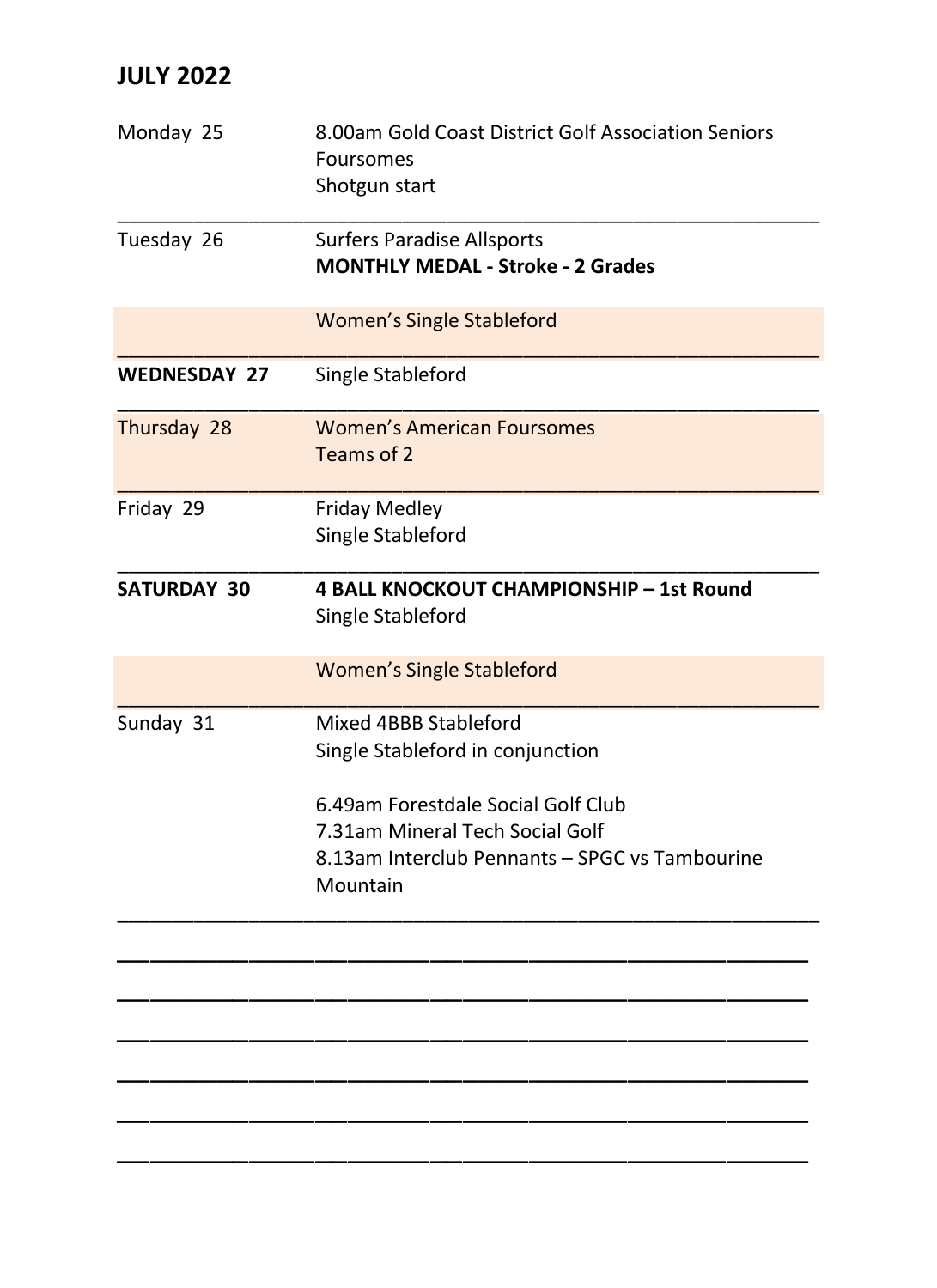| Monday 25           | 8.00am Gold Coast District Golf Association Seniors<br>Foursomes<br>Shotgun start                                                   |
|---------------------|-------------------------------------------------------------------------------------------------------------------------------------|
| Tuesday 26          | <b>Surfers Paradise Allsports</b><br><b>MONTHLY MEDAL - Stroke - 2 Grades</b>                                                       |
|                     | <b>Women's Single Stableford</b>                                                                                                    |
| <b>WEDNESDAY 27</b> | Single Stableford                                                                                                                   |
| Thursday 28         | <b>Women's American Foursomes</b><br>Teams of 2                                                                                     |
| Friday 29           | <b>Friday Medley</b><br>Single Stableford                                                                                           |
| SATURDAY 30         | 4 BALL KNOCKOUT CHAMPIONSHIP - 1st Round<br>Single Stableford                                                                       |
|                     | <b>Women's Single Stableford</b>                                                                                                    |
| Sunday 31           | Mixed 4BBB Stableford<br>Single Stableford in conjunction                                                                           |
|                     | 6.49am Forestdale Social Golf Club<br>7.31am Mineral Tech Social Golf<br>8.13am Interclub Pennants - SPGC vs Tambourine<br>Mountain |
|                     |                                                                                                                                     |
|                     |                                                                                                                                     |
|                     |                                                                                                                                     |
|                     |                                                                                                                                     |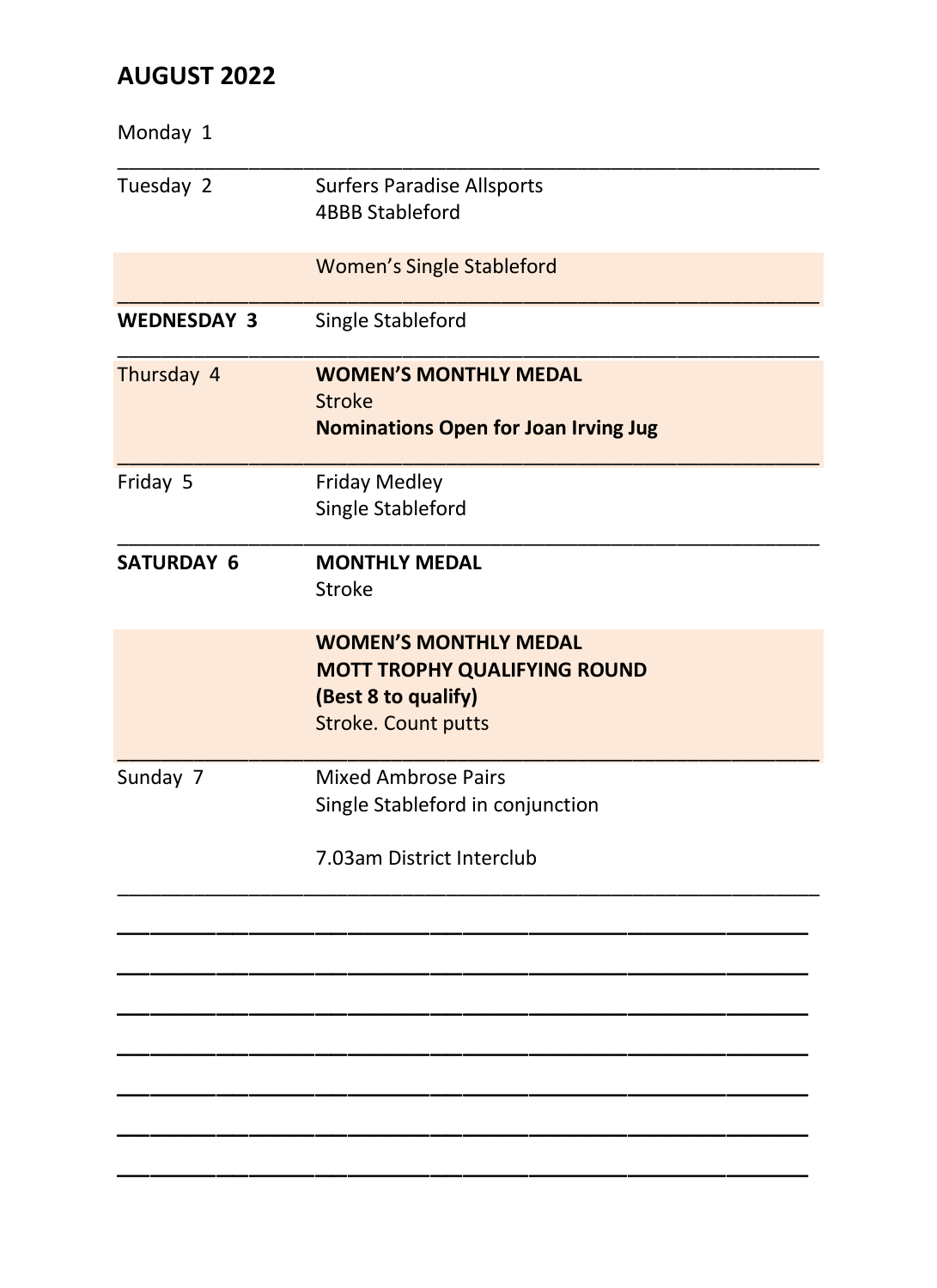| <b>Surfers Paradise Allsports</b><br><b>4BBB Stableford</b>                                                              |
|--------------------------------------------------------------------------------------------------------------------------|
| <b>Women's Single Stableford</b>                                                                                         |
| Single Stableford                                                                                                        |
| <b>WOMEN'S MONTHLY MEDAL</b><br><b>Stroke</b><br><b>Nominations Open for Joan Irving Jug</b>                             |
| <b>Friday Medley</b><br>Single Stableford                                                                                |
| <b>MONTHLY MEDAL</b><br>Stroke                                                                                           |
| <b>WOMEN'S MONTHLY MEDAL</b><br><b>MOTT TROPHY QUALIFYING ROUND</b><br>(Best 8 to qualify)<br><b>Stroke. Count putts</b> |
| <b>Mixed Ambrose Pairs</b><br>Single Stableford in conjunction<br>7.03am District Interclub                              |
|                                                                                                                          |
|                                                                                                                          |
|                                                                                                                          |
|                                                                                                                          |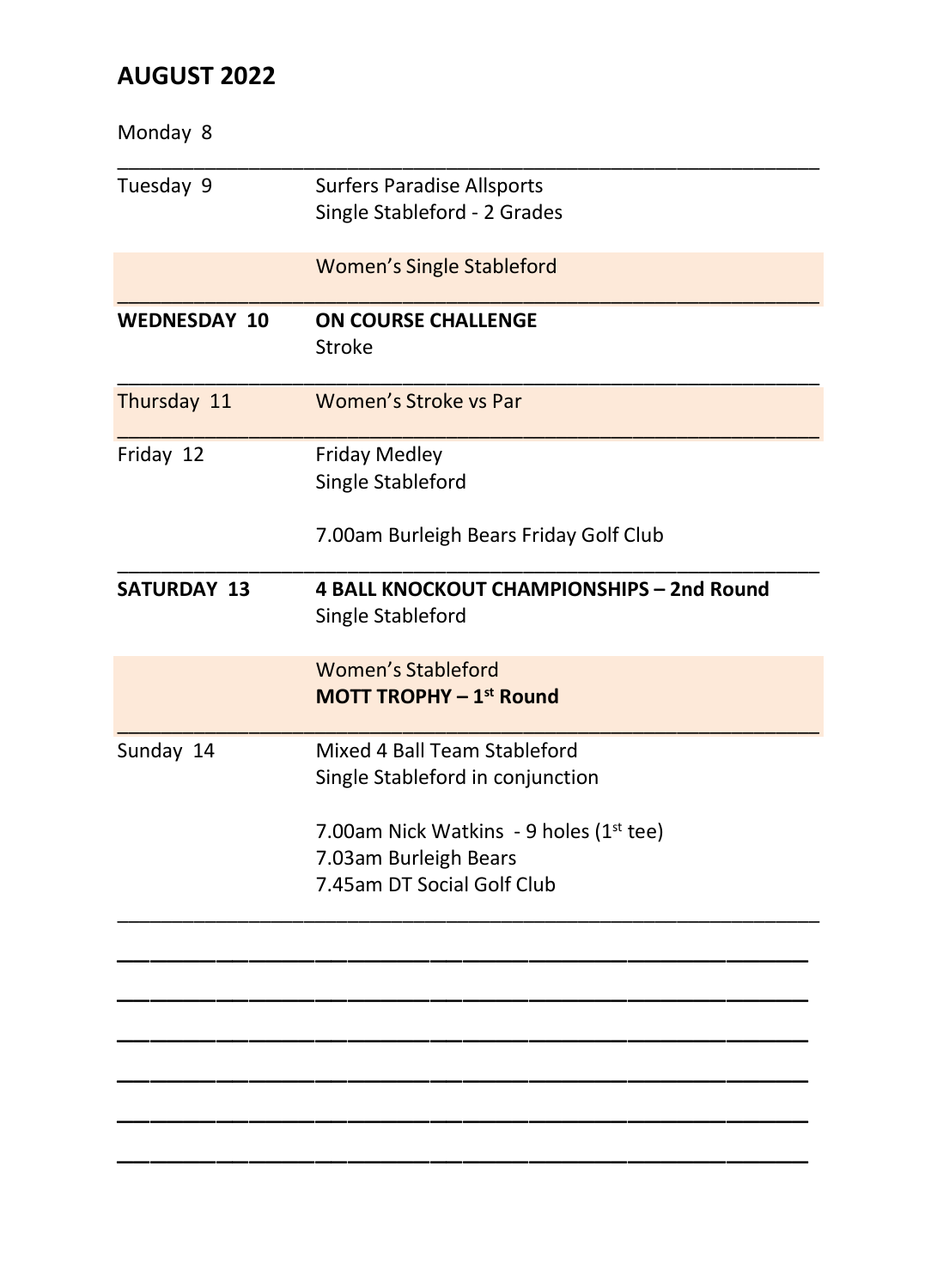| Monday 8            |                                             |
|---------------------|---------------------------------------------|
| Tuesday 9           | <b>Surfers Paradise Allsports</b>           |
|                     | Single Stableford - 2 Grades                |
|                     | <b>Women's Single Stableford</b>            |
| <b>WEDNESDAY 10</b> | <b>ON COURSE CHALLENGE</b><br><b>Stroke</b> |
| Thursday 11         | Women's Stroke vs Par                       |
| Friday 12           | <b>Friday Medley</b>                        |
|                     | Single Stableford                           |
|                     | 7.00am Burleigh Bears Friday Golf Club      |
| <b>SATURDAY 13</b>  | 4 BALL KNOCKOUT CHAMPIONSHIPS - 2nd Round   |
|                     | Single Stableford                           |
|                     | <b>Women's Stableford</b>                   |
|                     | MOTT TROPHY - 1st Round                     |
| Sunday 14           | Mixed 4 Ball Team Stableford                |
|                     | Single Stableford in conjunction            |
|                     | 7.00am Nick Watkins - 9 holes (1st tee)     |
|                     | 7.03am Burleigh Bears                       |
|                     | 7.45am DT Social Golf Club                  |
|                     |                                             |
|                     |                                             |
|                     |                                             |
|                     |                                             |
|                     |                                             |
|                     |                                             |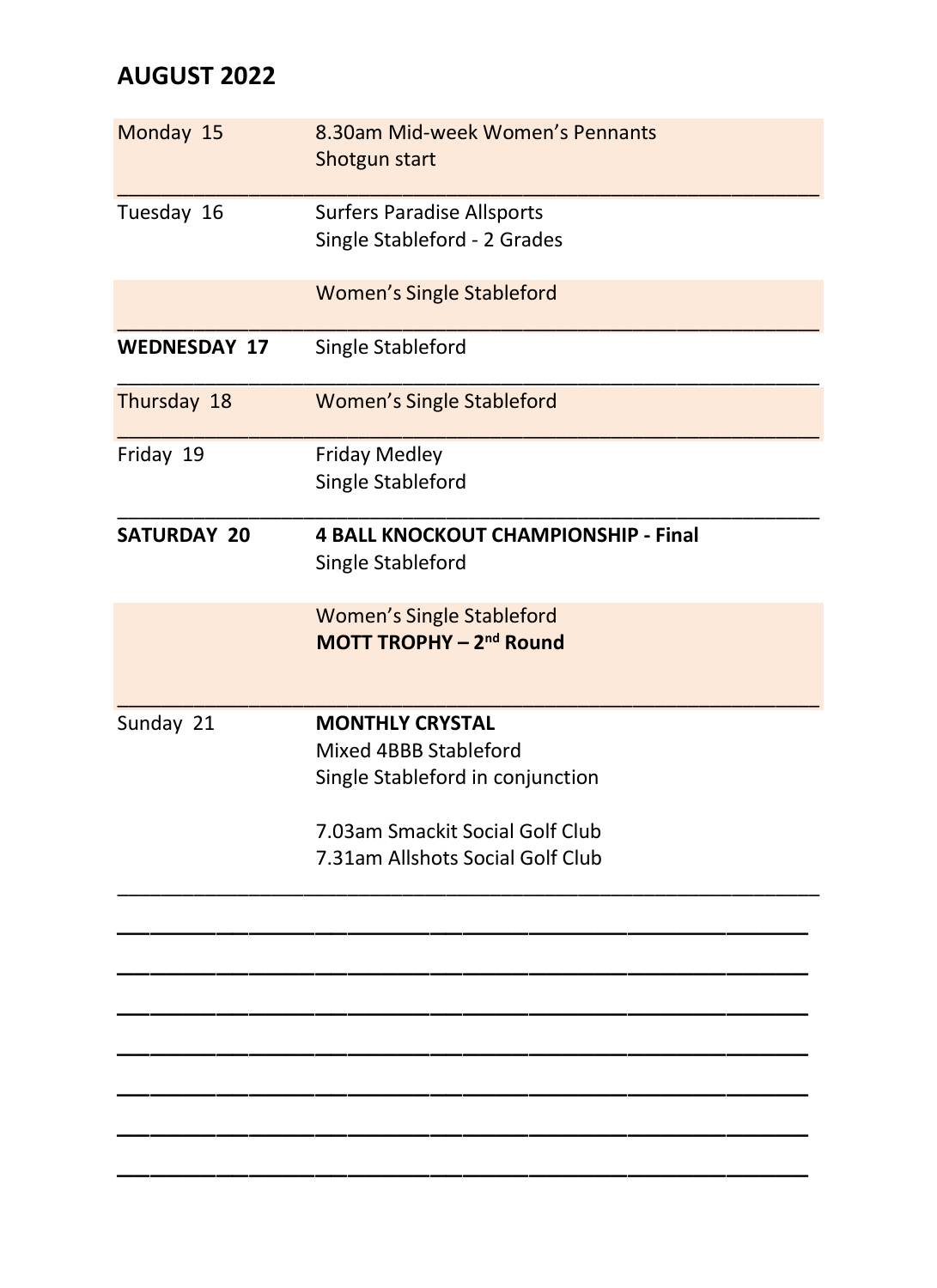| Monday 15           | 8.30am Mid-week Women's Pennants<br>Shotgun start                                                                                                          |
|---------------------|------------------------------------------------------------------------------------------------------------------------------------------------------------|
| Tuesday 16          | <b>Surfers Paradise Allsports</b><br>Single Stableford - 2 Grades                                                                                          |
|                     | <b>Women's Single Stableford</b>                                                                                                                           |
| <b>WEDNESDAY 17</b> | Single Stableford                                                                                                                                          |
| Thursday 18         | <b>Women's Single Stableford</b>                                                                                                                           |
| Friday 19           | <b>Friday Medley</b><br>Single Stableford                                                                                                                  |
| <b>SATURDAY 20</b>  | <b>4 BALL KNOCKOUT CHAMPIONSHIP - Final</b><br>Single Stableford                                                                                           |
|                     | <b>Women's Single Stableford</b><br>MOTT TROPHY - 2 <sup>nd</sup> Round                                                                                    |
| Sunday 21           | <b>MONTHLY CRYSTAL</b><br>Mixed 4BBB Stableford<br>Single Stableford in conjunction<br>7.03am Smackit Social Golf Club<br>7.31am Allshots Social Golf Club |
|                     |                                                                                                                                                            |
|                     |                                                                                                                                                            |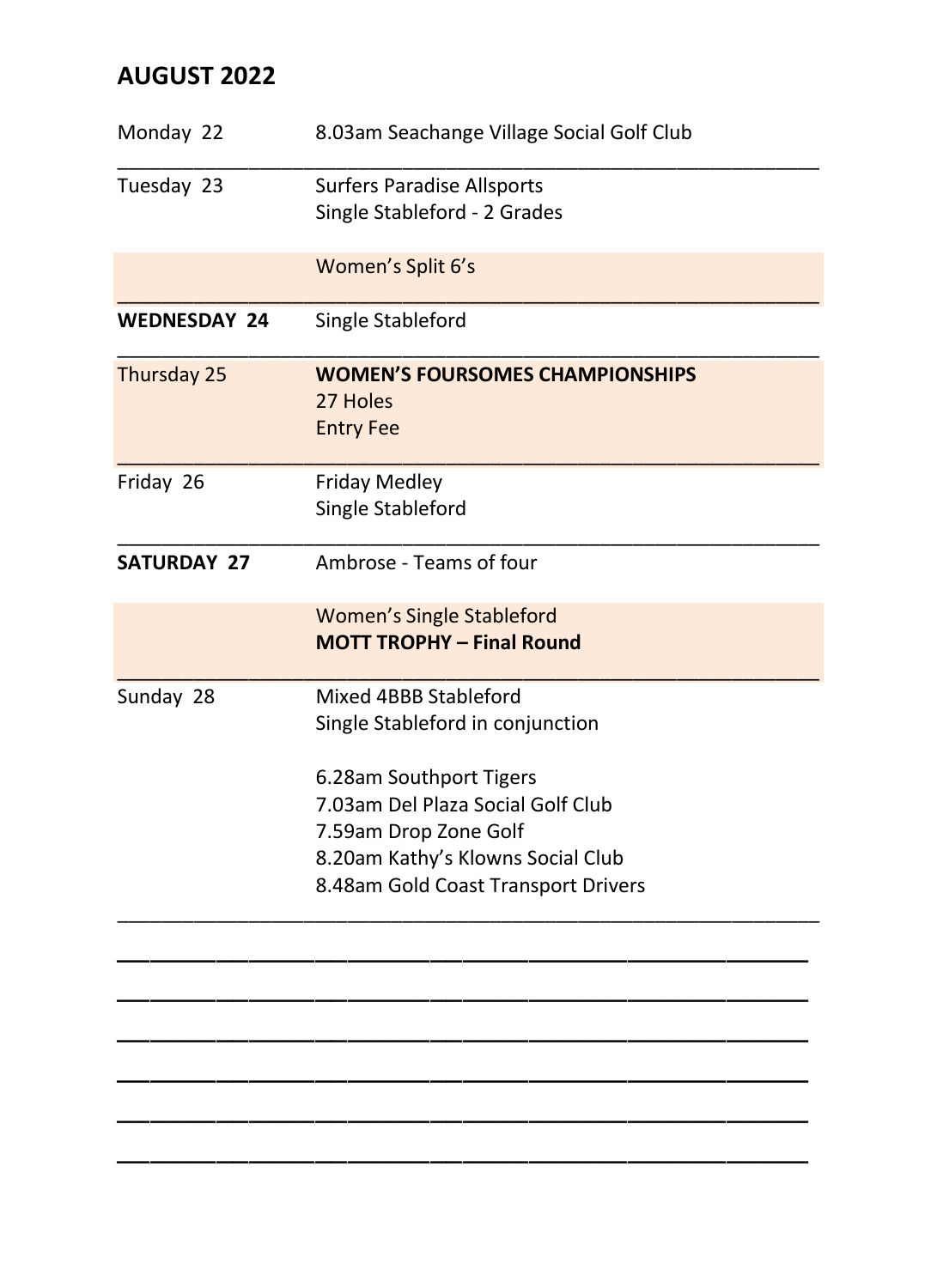| Monday 22           | 8.03am Seachange Village Social Golf Club                              |
|---------------------|------------------------------------------------------------------------|
| Tuesday 23          | <b>Surfers Paradise Allsports</b><br>Single Stableford - 2 Grades      |
|                     | Women's Split 6's                                                      |
| <b>WEDNESDAY 24</b> | Single Stableford                                                      |
| Thursday 25         | <b>WOMEN'S FOURSOMES CHAMPIONSHIPS</b><br>27 Holes<br><b>Entry Fee</b> |
| Friday 26           | <b>Friday Medley</b><br>Single Stableford                              |
| <b>SATURDAY 27</b>  | Ambrose - Teams of four                                                |
|                     | <b>Women's Single Stableford</b><br><b>MOTT TROPHY - Final Round</b>   |
| Sunday 28           | Mixed 4BBB Stableford<br>Single Stableford in conjunction              |
|                     | 6.28am Southport Tigers                                                |
|                     | 7.03am Del Plaza Social Golf Club                                      |
|                     | 7.59am Drop Zone Golf<br>8.20am Kathy's Klowns Social Club             |
|                     | 8.48am Gold Coast Transport Drivers                                    |
|                     |                                                                        |
|                     |                                                                        |
|                     |                                                                        |
|                     |                                                                        |
|                     |                                                                        |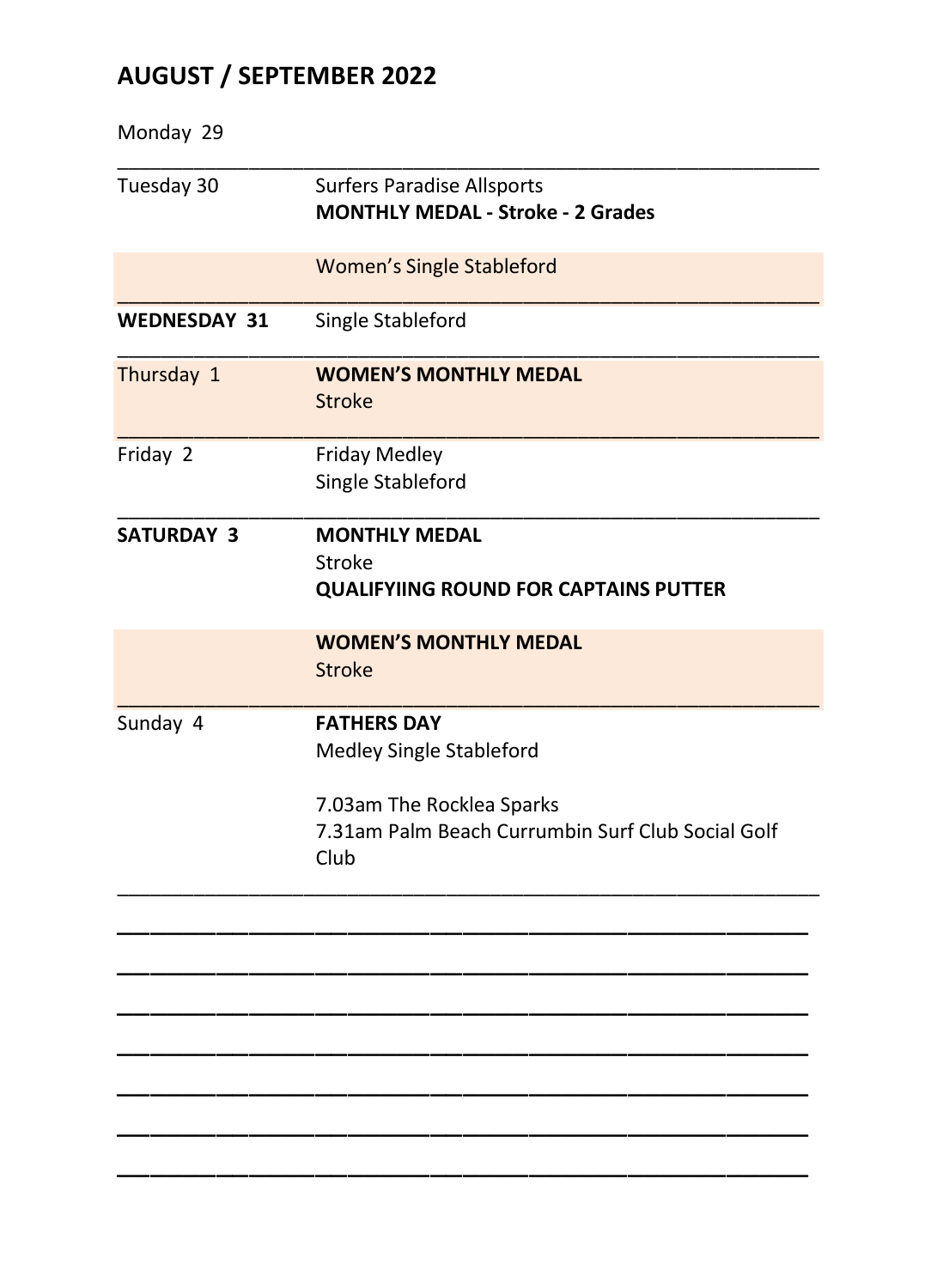# **AUGUST / SEPTEMBER 2022**

| Monday 29           |                                                                                        |
|---------------------|----------------------------------------------------------------------------------------|
| Tuesday 30          | <b>Surfers Paradise Allsports</b><br><b>MONTHLY MEDAL - Stroke - 2 Grades</b>          |
|                     | <b>Women's Single Stableford</b>                                                       |
| <b>WEDNESDAY 31</b> | Single Stableford                                                                      |
| Thursday 1          | <b>WOMEN'S MONTHLY MEDAL</b><br><b>Stroke</b>                                          |
| Friday 2            | <b>Friday Medley</b><br>Single Stableford                                              |
| <b>SATURDAY 3</b>   | <b>MONTHLY MEDAL</b><br><b>Stroke</b><br><b>QUALIFYIING ROUND FOR CAPTAINS PUTTER</b>  |
|                     | <b>WOMEN'S MONTHLY MEDAL</b><br><b>Stroke</b>                                          |
| Sunday 4            | <b>FATHERS DAY</b><br>Medley Single Stableford                                         |
|                     | 7.03am The Rocklea Sparks<br>7.31am Palm Beach Currumbin Surf Club Social Golf<br>Club |
|                     |                                                                                        |
|                     |                                                                                        |
|                     |                                                                                        |
|                     |                                                                                        |
|                     |                                                                                        |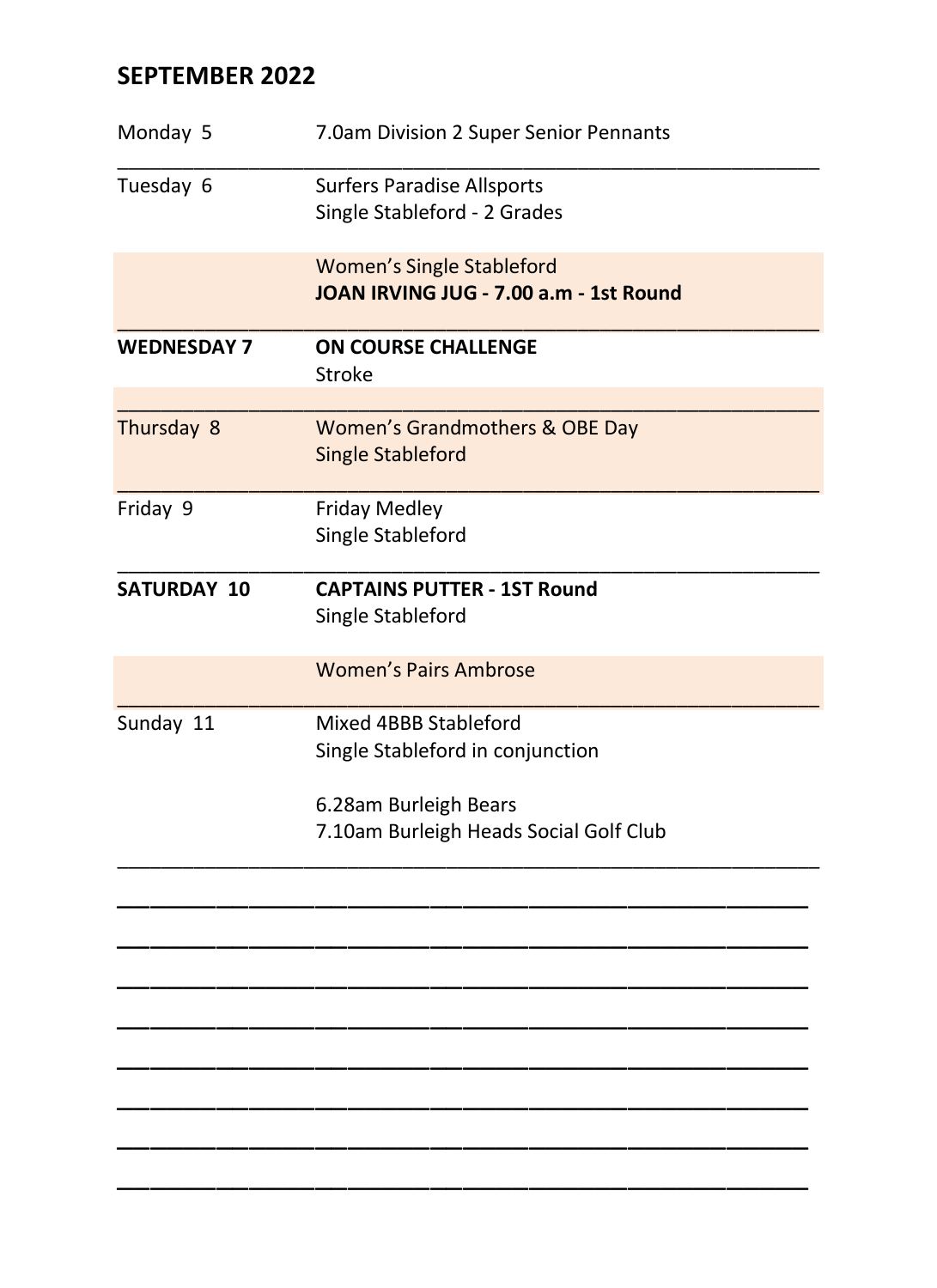# **SEPTEMBER 2022**

| Monday 5           | 7.0am Division 2 Super Senior Pennants                                     |
|--------------------|----------------------------------------------------------------------------|
| Tuesday 6          | <b>Surfers Paradise Allsports</b><br>Single Stableford - 2 Grades          |
|                    | <b>Women's Single Stableford</b><br>JOAN IRVING JUG - 7.00 a.m - 1st Round |
| <b>WEDNESDAY 7</b> | <b>ON COURSE CHALLENGE</b><br><b>Stroke</b>                                |
| Thursday 8         | Women's Grandmothers & OBE Day<br><b>Single Stableford</b>                 |
| Friday 9           | <b>Friday Medley</b><br>Single Stableford                                  |
| <b>SATURDAY 10</b> | <b>CAPTAINS PUTTER - 1ST Round</b><br>Single Stableford                    |
|                    | <b>Women's Pairs Ambrose</b>                                               |
| Sunday 11          | Mixed 4BBB Stableford<br>Single Stableford in conjunction                  |
|                    | 6.28am Burleigh Bears<br>7.10am Burleigh Heads Social Golf Club            |
|                    |                                                                            |
|                    |                                                                            |
|                    |                                                                            |
|                    |                                                                            |
|                    |                                                                            |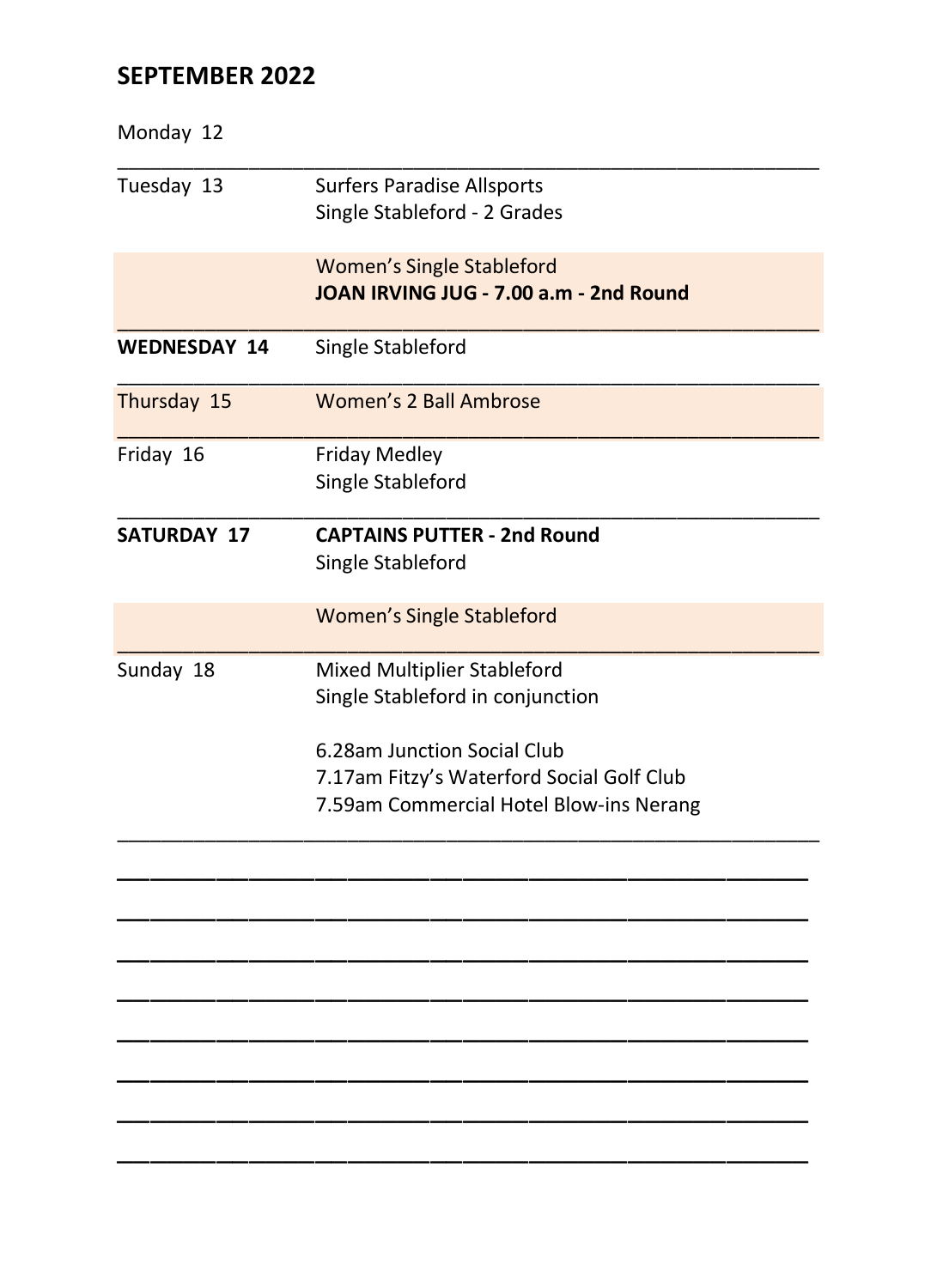# **SEPTEMBER 2022**

| Monday 12           |                                                                            |  |
|---------------------|----------------------------------------------------------------------------|--|
| Tuesday 13          | <b>Surfers Paradise Allsports</b><br>Single Stableford - 2 Grades          |  |
|                     | <b>Women's Single Stableford</b><br>JOAN IRVING JUG - 7.00 a.m - 2nd Round |  |
| <b>WEDNESDAY 14</b> | Single Stableford                                                          |  |
| Thursday 15         | Women's 2 Ball Ambrose                                                     |  |
| Friday 16           | <b>Friday Medley</b><br>Single Stableford                                  |  |
| <b>SATURDAY 17</b>  | <b>CAPTAINS PUTTER - 2nd Round</b><br>Single Stableford                    |  |
|                     | <b>Women's Single Stableford</b>                                           |  |
| Sunday 18           | Mixed Multiplier Stableford<br>Single Stableford in conjunction            |  |
|                     | 6.28am Junction Social Club                                                |  |
|                     | 7.17am Fitzy's Waterford Social Golf Club                                  |  |
|                     | 7.59am Commercial Hotel Blow-ins Nerang                                    |  |
|                     |                                                                            |  |
|                     |                                                                            |  |
|                     |                                                                            |  |
|                     |                                                                            |  |
|                     |                                                                            |  |
|                     |                                                                            |  |
|                     |                                                                            |  |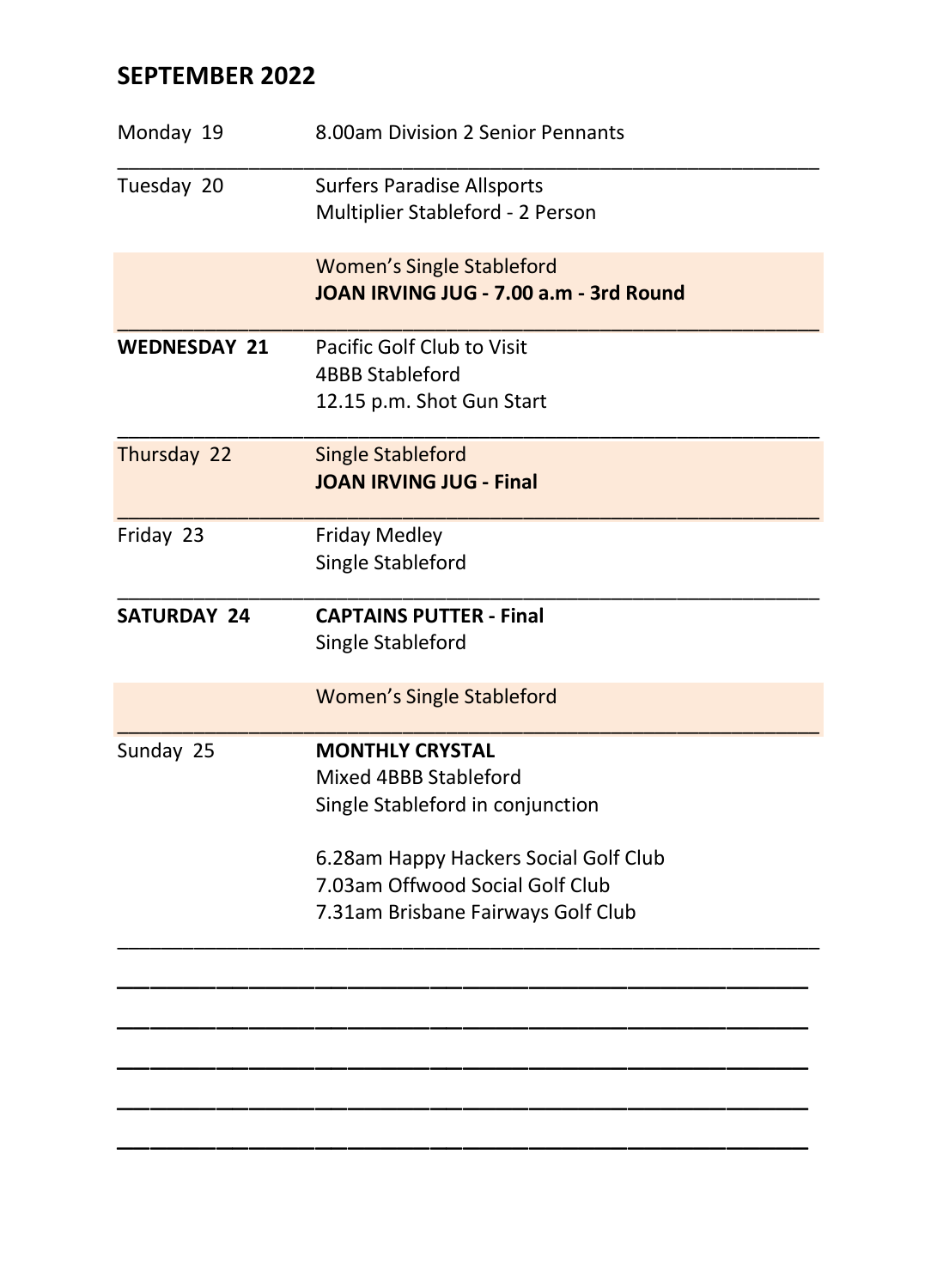# **SEPTEMBER 2022**

| Monday 19           | 8.00am Division 2 Senior Pennants                                                                                                                                                                     |
|---------------------|-------------------------------------------------------------------------------------------------------------------------------------------------------------------------------------------------------|
| Tuesday 20          | <b>Surfers Paradise Allsports</b><br>Multiplier Stableford - 2 Person                                                                                                                                 |
|                     | <b>Women's Single Stableford</b><br>JOAN IRVING JUG - 7.00 a.m - 3rd Round                                                                                                                            |
| <b>WEDNESDAY 21</b> | Pacific Golf Club to Visit<br><b>4BBB Stableford</b><br>12.15 p.m. Shot Gun Start                                                                                                                     |
| Thursday 22         | Single Stableford<br><b>JOAN IRVING JUG - Final</b>                                                                                                                                                   |
| Friday 23           | <b>Friday Medley</b><br>Single Stableford                                                                                                                                                             |
| <b>SATURDAY 24</b>  | <b>CAPTAINS PUTTER - Final</b><br>Single Stableford                                                                                                                                                   |
|                     | <b>Women's Single Stableford</b>                                                                                                                                                                      |
| Sunday 25           | <b>MONTHLY CRYSTAL</b><br>Mixed 4BBB Stableford<br>Single Stableford in conjunction<br>6.28am Happy Hackers Social Golf Club<br>7.03am Offwood Social Golf Club<br>7.31am Brisbane Fairways Golf Club |
|                     |                                                                                                                                                                                                       |

\_\_\_\_\_\_\_\_\_\_\_\_\_\_\_\_\_\_\_\_\_\_\_\_\_\_\_\_\_\_\_\_\_\_\_\_\_\_\_\_\_\_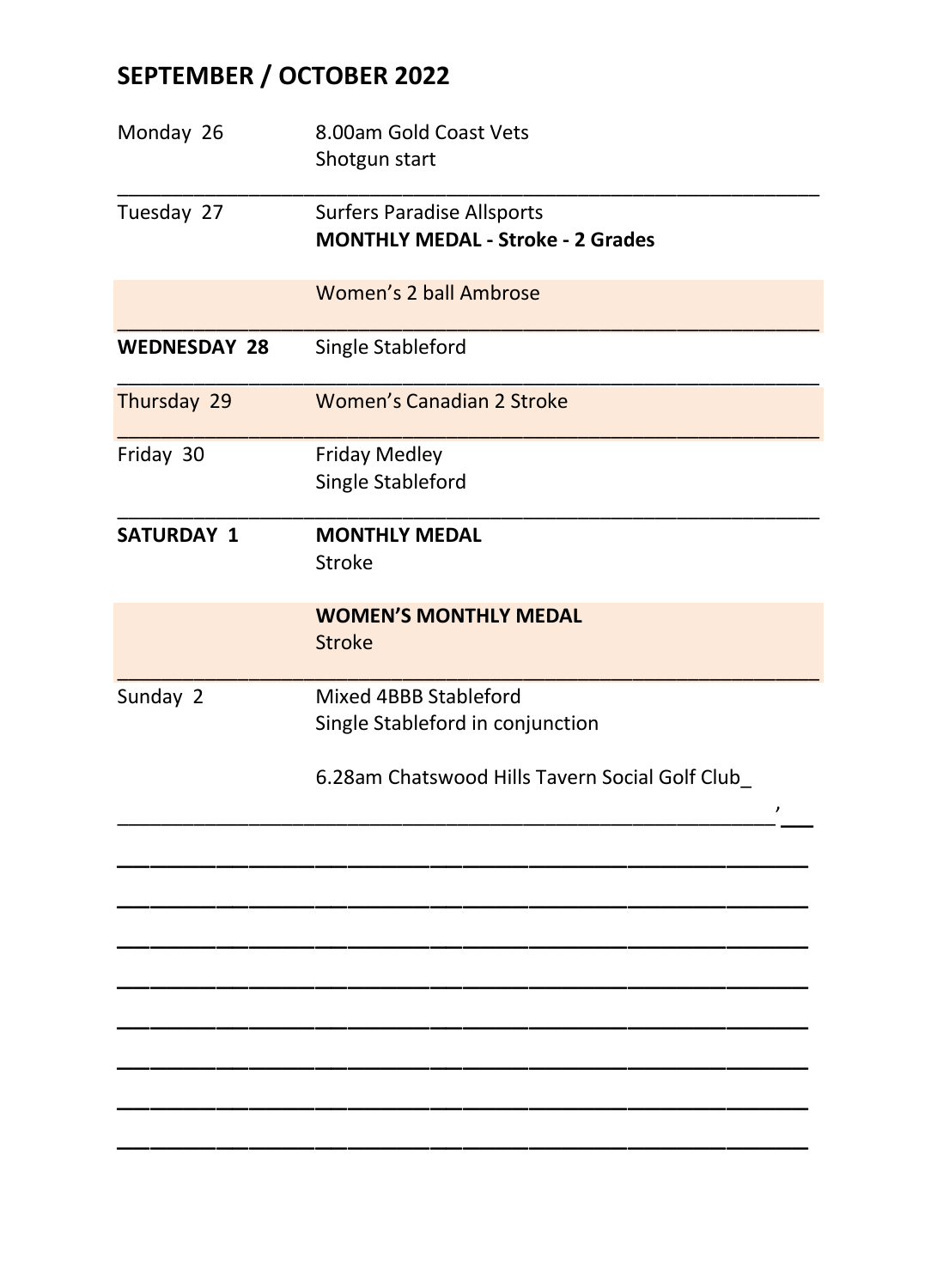# **SEPTEMBER / OCTOBER 2022**

| Monday 26           | 8.00am Gold Coast Vets<br>Shotgun start                                       |
|---------------------|-------------------------------------------------------------------------------|
| Tuesday 27          | <b>Surfers Paradise Allsports</b><br><b>MONTHLY MEDAL - Stroke - 2 Grades</b> |
|                     | Women's 2 ball Ambrose                                                        |
| <b>WEDNESDAY 28</b> | Single Stableford                                                             |
| Thursday 29         | Women's Canadian 2 Stroke                                                     |
| Friday 30           | <b>Friday Medley</b><br>Single Stableford                                     |
| <b>SATURDAY 1</b>   | <b>MONTHLY MEDAL</b><br>Stroke                                                |
|                     | <b>WOMEN'S MONTHLY MEDAL</b><br><b>Stroke</b>                                 |
| Sunday 2            | Mixed 4BBB Stableford<br>Single Stableford in conjunction                     |
|                     | 6.28am Chatswood Hills Tavern Social Golf Club_<br>$\lambda$                  |
|                     |                                                                               |
|                     |                                                                               |
|                     |                                                                               |
|                     |                                                                               |
|                     |                                                                               |
|                     |                                                                               |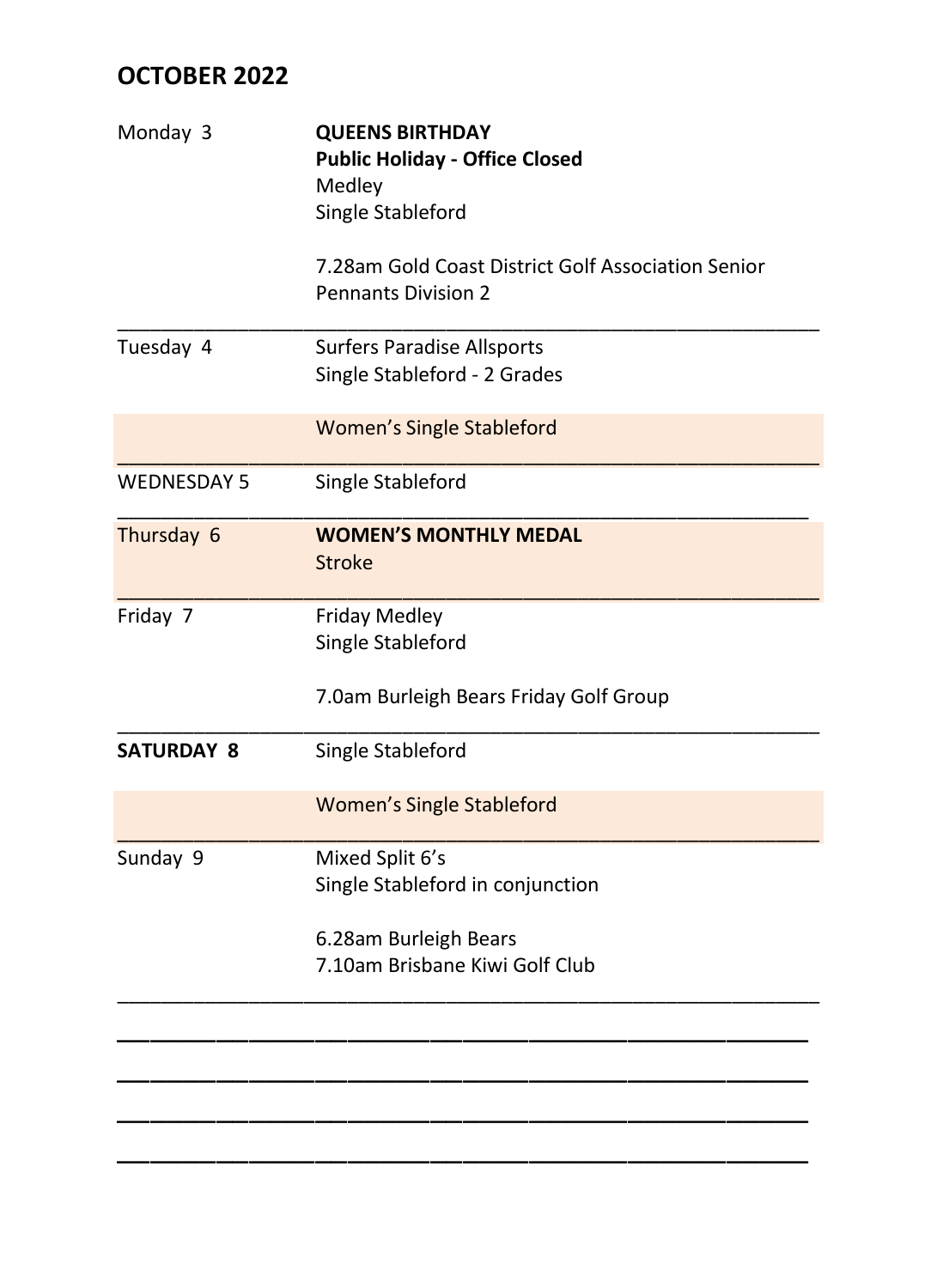# **OCTOBER 2022**

| Monday 3           | <b>QUEENS BIRTHDAY</b><br><b>Public Holiday - Office Closed</b><br>Medley<br>Single Stableford |  |  |
|--------------------|------------------------------------------------------------------------------------------------|--|--|
|                    | 7.28am Gold Coast District Golf Association Senior<br><b>Pennants Division 2</b>               |  |  |
| Tuesday 4          | <b>Surfers Paradise Allsports</b><br>Single Stableford - 2 Grades                              |  |  |
|                    | <b>Women's Single Stableford</b>                                                               |  |  |
| <b>WEDNESDAY 5</b> | Single Stableford                                                                              |  |  |
| Thursday 6         | <b>WOMEN'S MONTHLY MEDAL</b><br><b>Stroke</b>                                                  |  |  |
| Friday 7           | <b>Friday Medley</b><br>Single Stableford<br>7.0am Burleigh Bears Friday Golf Group            |  |  |
| <b>SATURDAY 8</b>  | Single Stableford                                                                              |  |  |
|                    | <b>Women's Single Stableford</b>                                                               |  |  |
| Sunday 9           | Mixed Split 6's<br>Single Stableford in conjunction                                            |  |  |
|                    | 6.28am Burleigh Bears<br>7.10am Brisbane Kiwi Golf Club                                        |  |  |
|                    |                                                                                                |  |  |
|                    |                                                                                                |  |  |
|                    |                                                                                                |  |  |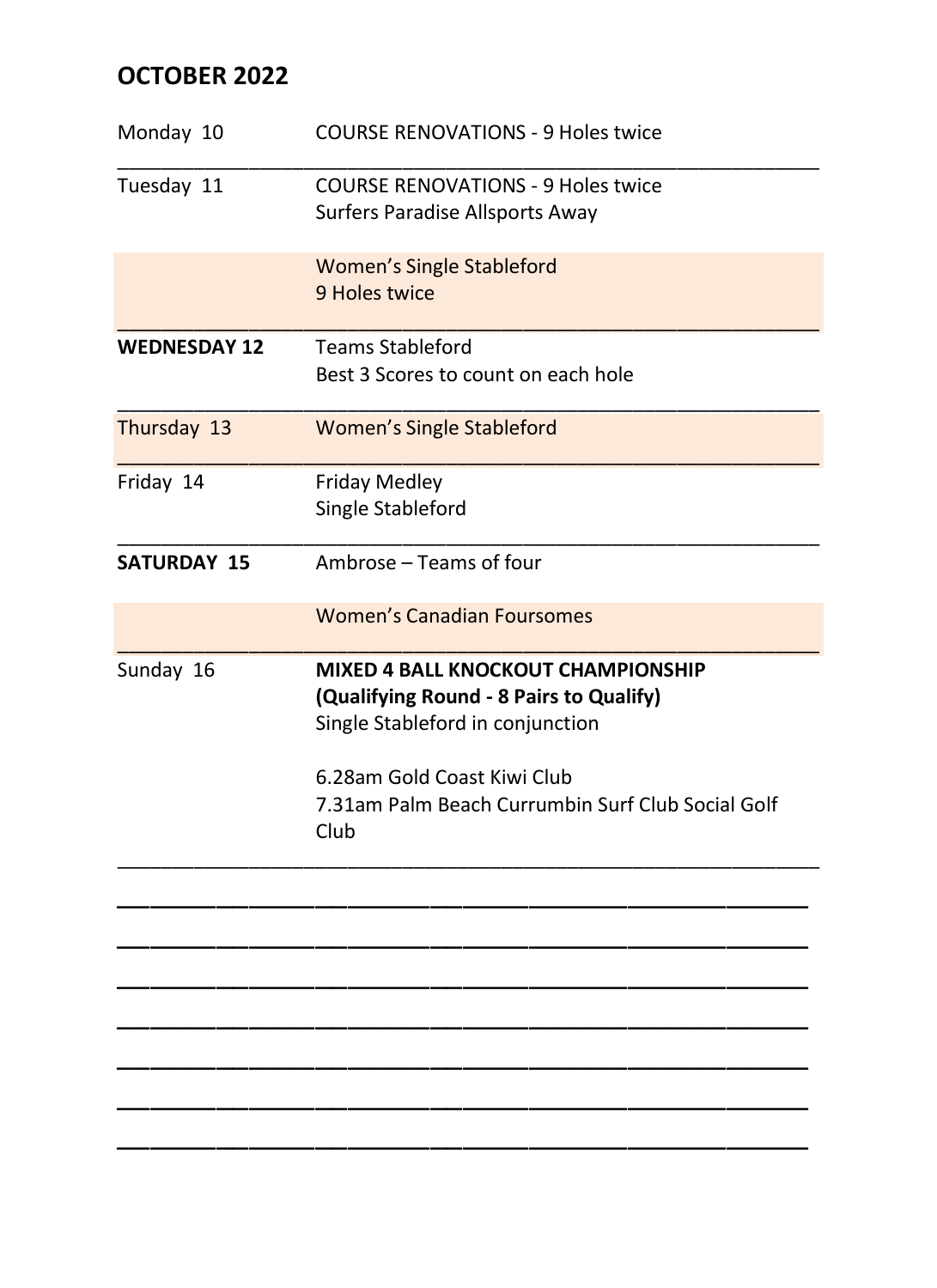# **OCTOBER 2022**

| Monday 10           | <b>COURSE RENOVATIONS - 9 Holes twice</b>                                                                                                                                                                     |
|---------------------|---------------------------------------------------------------------------------------------------------------------------------------------------------------------------------------------------------------|
| Tuesday 11          | <b>COURSE RENOVATIONS - 9 Holes twice</b><br>Surfers Paradise Allsports Away                                                                                                                                  |
|                     | <b>Women's Single Stableford</b><br>9 Holes twice                                                                                                                                                             |
| <b>WEDNESDAY 12</b> | <b>Teams Stableford</b><br>Best 3 Scores to count on each hole                                                                                                                                                |
| Thursday 13         | <b>Women's Single Stableford</b>                                                                                                                                                                              |
| Friday 14           | <b>Friday Medley</b><br>Single Stableford                                                                                                                                                                     |
| <b>SATURDAY 15</b>  | Ambrose - Teams of four                                                                                                                                                                                       |
|                     | Women's Canadian Foursomes                                                                                                                                                                                    |
| Sunday 16           | MIXED 4 BALL KNOCKOUT CHAMPIONSHIP<br>(Qualifying Round - 8 Pairs to Qualify)<br>Single Stableford in conjunction<br>6.28am Gold Coast Kiwi Club<br>7.31am Palm Beach Currumbin Surf Club Social Golf<br>Club |
|                     |                                                                                                                                                                                                               |
|                     |                                                                                                                                                                                                               |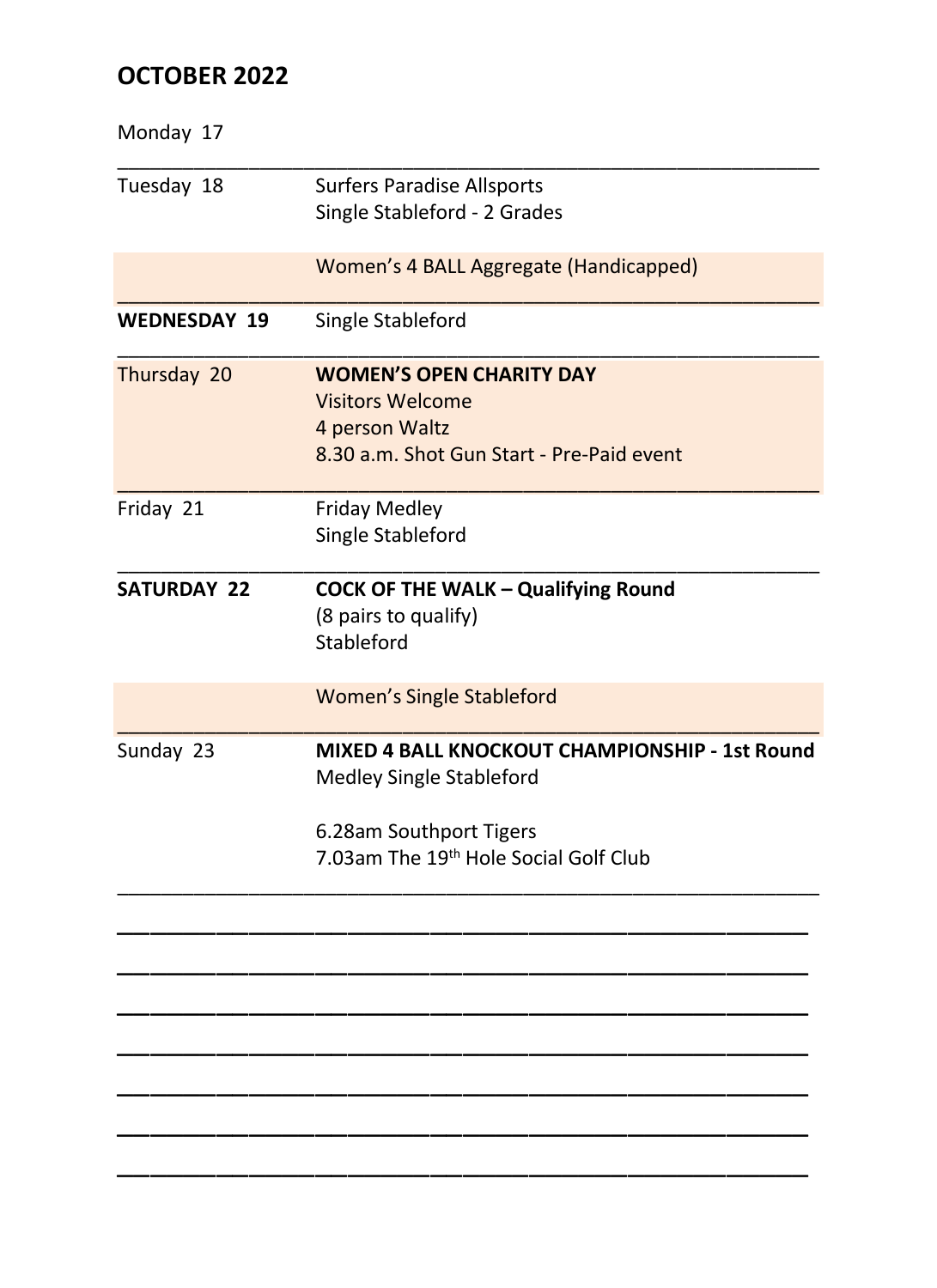# **OCTOBER 2022**

| Monday 17           |                                                             |
|---------------------|-------------------------------------------------------------|
| Tuesday 18          | <b>Surfers Paradise Allsports</b>                           |
|                     | Single Stableford - 2 Grades                                |
|                     | Women's 4 BALL Aggregate (Handicapped)                      |
| <b>WEDNESDAY 19</b> | Single Stableford                                           |
| Thursday 20         | <b>WOMEN'S OPEN CHARITY DAY</b>                             |
|                     | <b>Visitors Welcome</b>                                     |
|                     | 4 person Waltz<br>8.30 a.m. Shot Gun Start - Pre-Paid event |
|                     |                                                             |
| Friday 21           | <b>Friday Medley</b>                                        |
|                     | Single Stableford                                           |
| <b>SATURDAY 22</b>  | <b>COCK OF THE WALK - Qualifying Round</b>                  |
|                     | (8 pairs to qualify)                                        |
|                     | Stableford                                                  |
|                     | <b>Women's Single Stableford</b>                            |
| Sunday 23           | MIXED 4 BALL KNOCKOUT CHAMPIONSHIP - 1st Round              |
|                     | Medley Single Stableford                                    |
|                     | 6.28am Southport Tigers                                     |
|                     | 7.03am The 19th Hole Social Golf Club                       |
|                     |                                                             |
|                     |                                                             |
|                     |                                                             |
|                     |                                                             |
|                     |                                                             |
|                     |                                                             |
|                     |                                                             |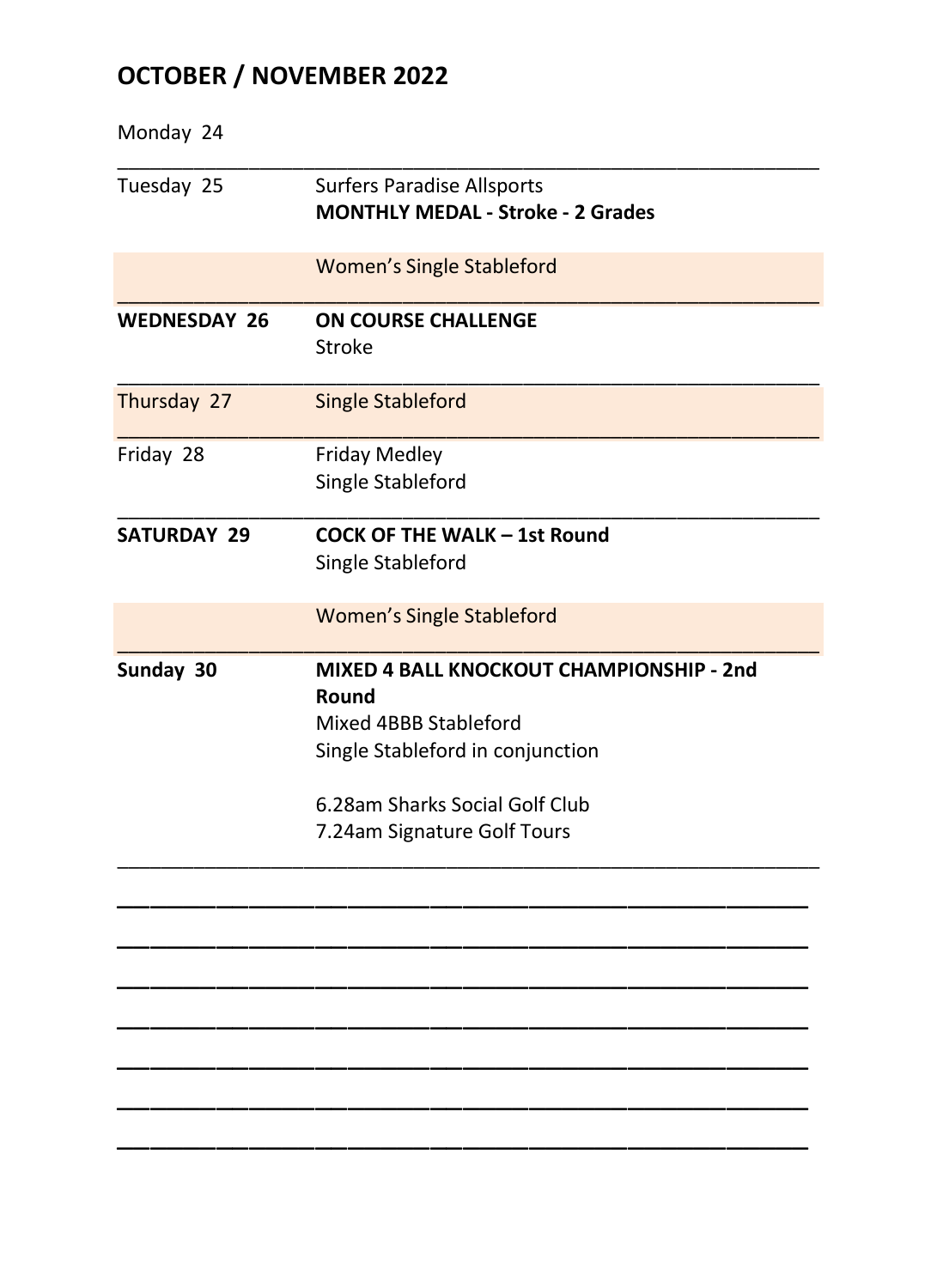# **OCTOBER / NOVEMBER 2022**

| Monday 24           |                                                   |
|---------------------|---------------------------------------------------|
| Tuesday 25          | <b>Surfers Paradise Allsports</b>                 |
|                     | <b>MONTHLY MEDAL - Stroke - 2 Grades</b>          |
|                     | <b>Women's Single Stableford</b>                  |
| <b>WEDNESDAY 26</b> | <b>ON COURSE CHALLENGE</b><br>Stroke              |
| Thursday 27         | <b>Single Stableford</b>                          |
| Friday 28           | <b>Friday Medley</b>                              |
|                     | Single Stableford                                 |
| <b>SATURDAY 29</b>  | <b>COCK OF THE WALK - 1st Round</b>               |
|                     | Single Stableford                                 |
|                     | <b>Women's Single Stableford</b>                  |
| Sunday 30           | MIXED 4 BALL KNOCKOUT CHAMPIONSHIP - 2nd<br>Round |
|                     | Mixed 4BBB Stableford                             |
|                     | Single Stableford in conjunction                  |
|                     | 6.28am Sharks Social Golf Club                    |
|                     | 7.24am Signature Golf Tours                       |
|                     |                                                   |
|                     |                                                   |
|                     |                                                   |
|                     |                                                   |
|                     |                                                   |
|                     |                                                   |
|                     |                                                   |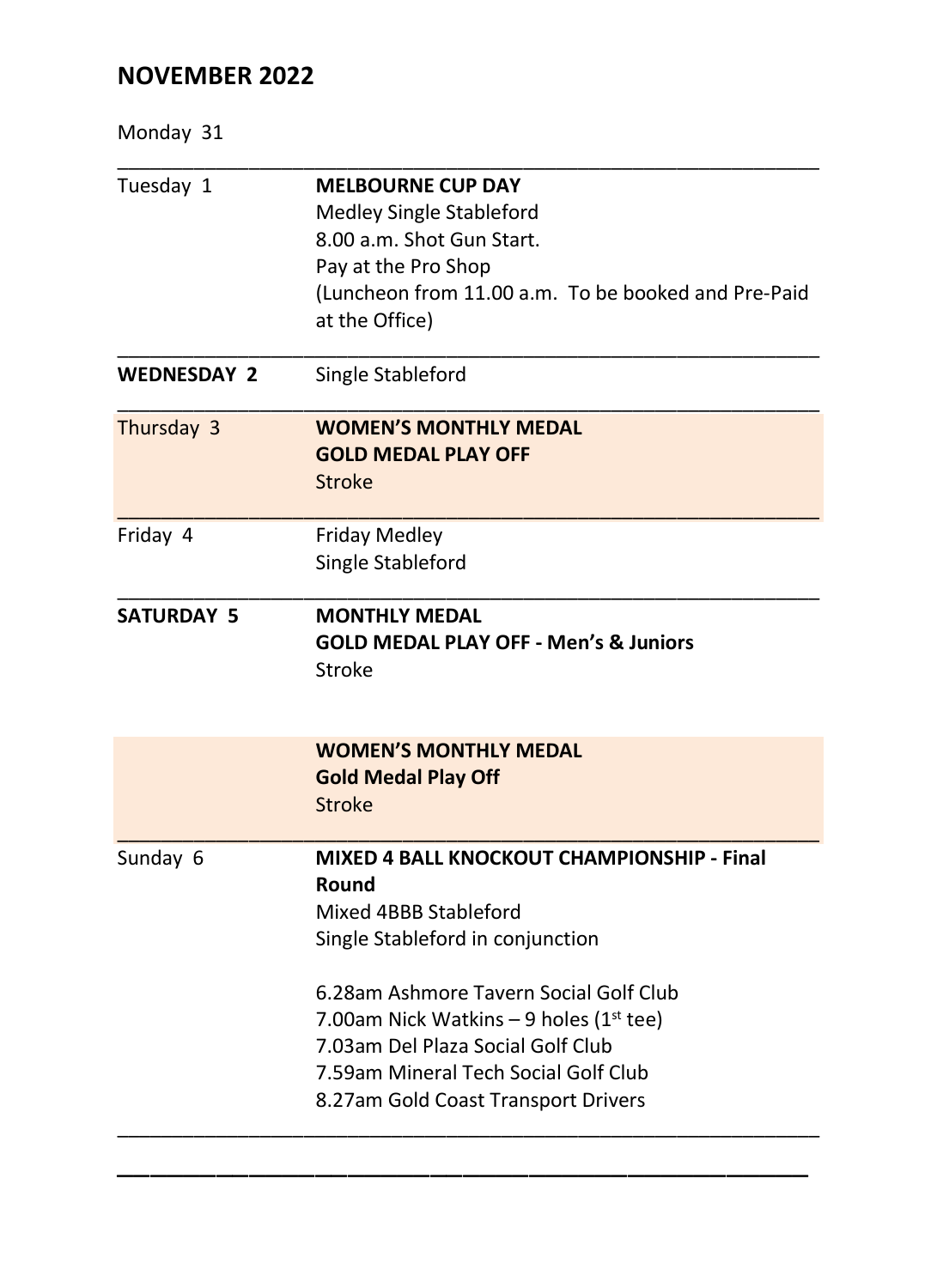Monday 31

| <b>MELBOURNE CUP DAY</b>                                                           |
|------------------------------------------------------------------------------------|
| Medley Single Stableford                                                           |
| 8.00 a.m. Shot Gun Start.                                                          |
| Pay at the Pro Shop                                                                |
| (Luncheon from 11.00 a.m. To be booked and Pre-Paid                                |
| at the Office)                                                                     |
| Single Stableford                                                                  |
| <b>WOMEN'S MONTHLY MEDAL</b>                                                       |
| <b>GOLD MEDAL PLAY OFF</b>                                                         |
| Stroke                                                                             |
| <b>Friday Medley</b>                                                               |
| Single Stableford                                                                  |
| <b>MONTHLY MEDAL</b><br><b>GOLD MEDAL PLAY OFF - Men's &amp; Juniors</b><br>Stroke |
| <b>WOMEN'S MONTHLY MEDAL</b>                                                       |
| <b>Gold Medal Play Off</b>                                                         |
| <b>Stroke</b>                                                                      |
| MIXED 4 BALL KNOCKOUT CHAMPIONSHIP - Final                                         |
| Round                                                                              |
| Mixed 4BBB Stableford                                                              |
| Single Stableford in conjunction                                                   |
| 6.28am Ashmore Tavern Social Golf Club                                             |
| 7.00am Nick Watkins - 9 holes ( $1st$ tee)                                         |
| 7.03am Del Plaza Social Golf Club                                                  |
| 7.59am Mineral Tech Social Golf Club                                               |
| 8.27am Gold Coast Transport Drivers                                                |
|                                                                                    |

\_\_\_\_\_\_\_\_\_\_\_\_\_\_\_\_\_\_\_\_\_\_\_\_\_\_\_\_\_\_\_\_\_\_\_\_\_\_\_\_\_\_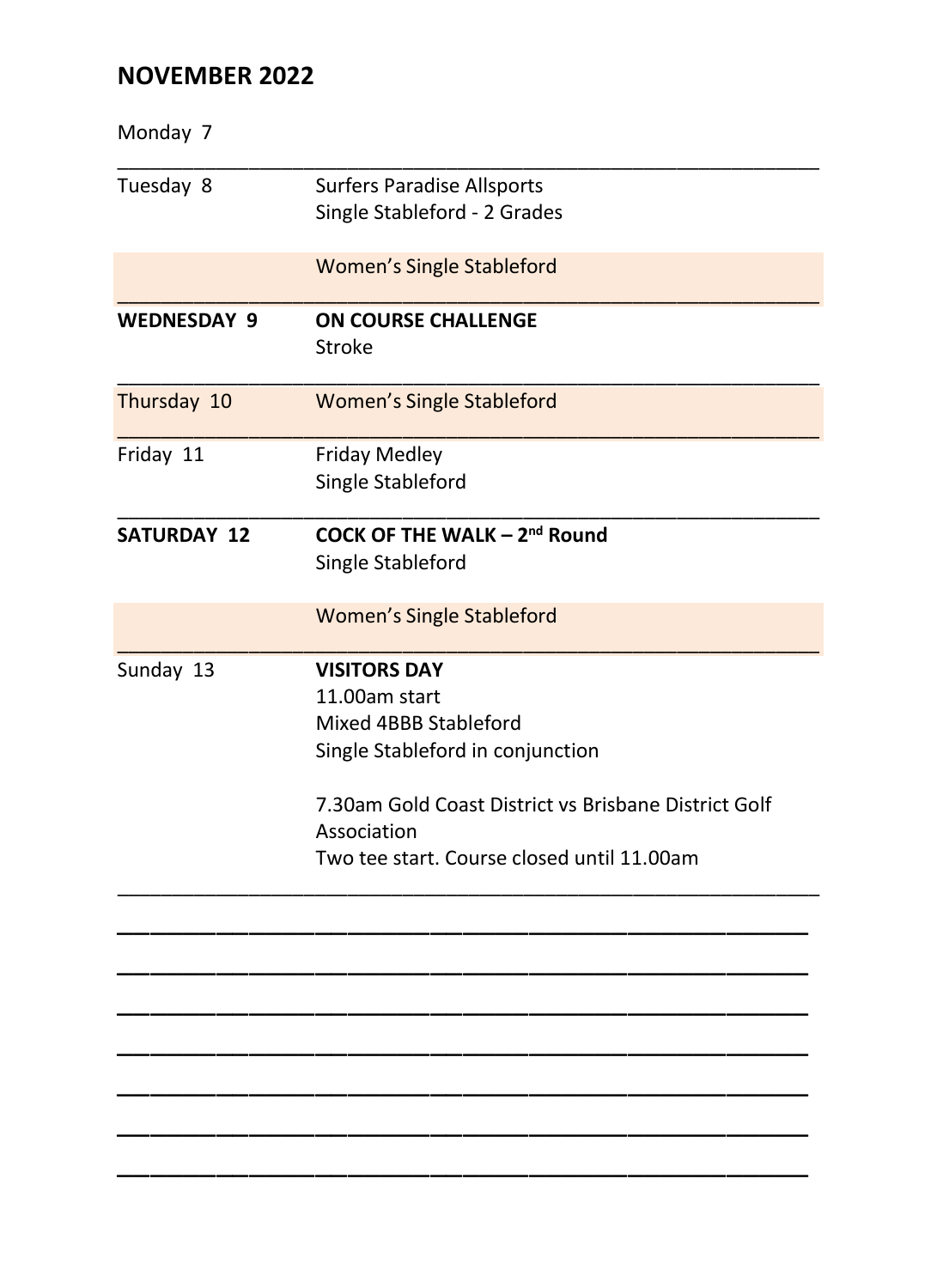| Monday 7           |                                                                                                                                                                                                                        |
|--------------------|------------------------------------------------------------------------------------------------------------------------------------------------------------------------------------------------------------------------|
| Tuesday 8          | <b>Surfers Paradise Allsports</b><br>Single Stableford - 2 Grades                                                                                                                                                      |
|                    | <b>Women's Single Stableford</b>                                                                                                                                                                                       |
| <b>WEDNESDAY 9</b> | <b>ON COURSE CHALLENGE</b><br>Stroke                                                                                                                                                                                   |
| Thursday 10        | <b>Women's Single Stableford</b>                                                                                                                                                                                       |
| Friday 11          | <b>Friday Medley</b><br>Single Stableford                                                                                                                                                                              |
| <b>SATURDAY 12</b> | COCK OF THE WALK - 2 <sup>nd</sup> Round<br>Single Stableford                                                                                                                                                          |
|                    | <b>Women's Single Stableford</b>                                                                                                                                                                                       |
| Sunday 13          | <b>VISITORS DAY</b><br>11.00am start<br>Mixed 4BBB Stableford<br>Single Stableford in conjunction<br>7.30am Gold Coast District vs Brisbane District Golf<br>Association<br>Two tee start. Course closed until 11.00am |
|                    |                                                                                                                                                                                                                        |
|                    |                                                                                                                                                                                                                        |
|                    |                                                                                                                                                                                                                        |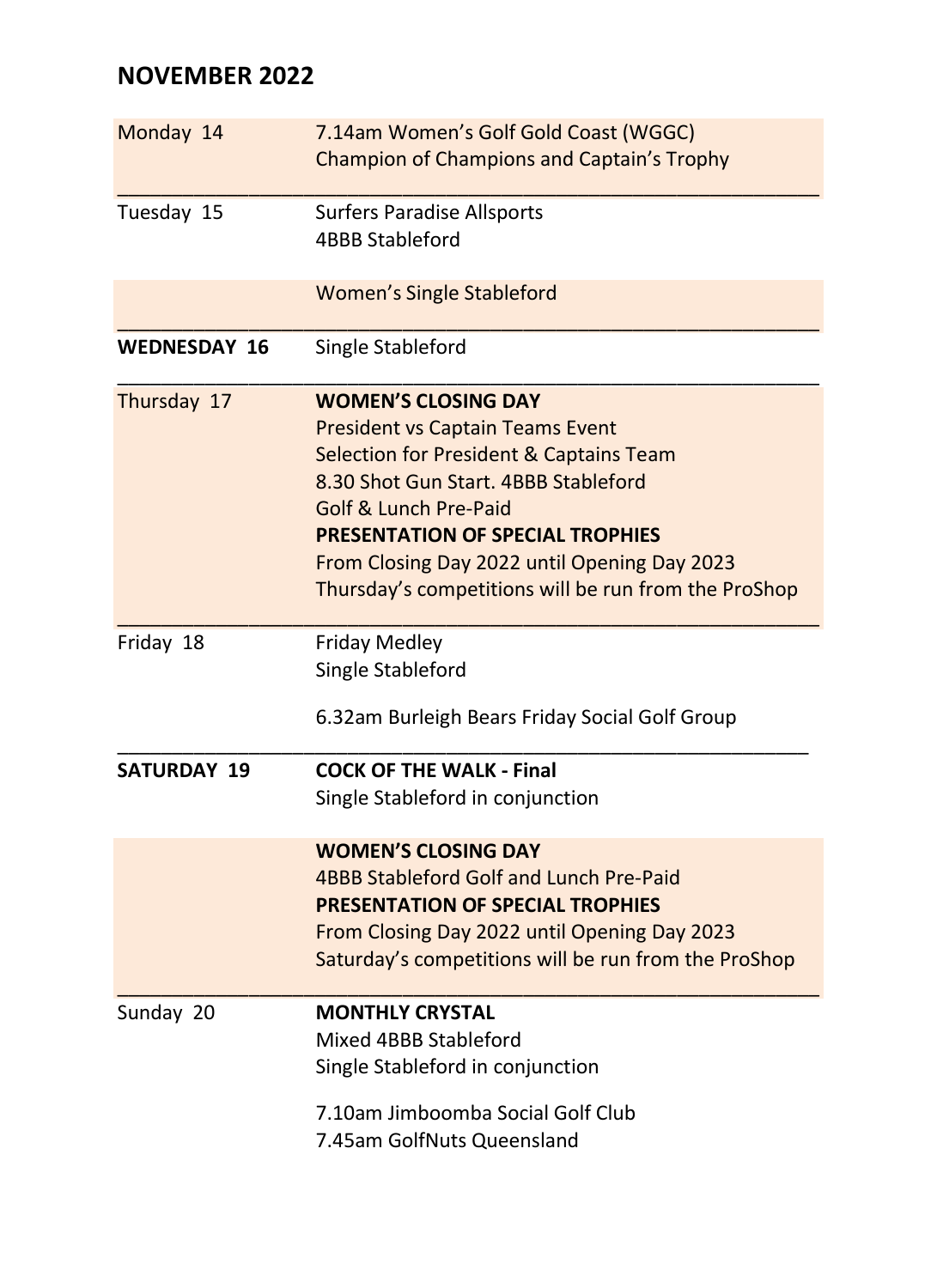| Monday 14           | 7.14am Women's Golf Gold Coast (WGGC)<br>Champion of Champions and Captain's Trophy                                                                                                                                                                                                                                                  |
|---------------------|--------------------------------------------------------------------------------------------------------------------------------------------------------------------------------------------------------------------------------------------------------------------------------------------------------------------------------------|
| Tuesday 15          | <b>Surfers Paradise Allsports</b><br><b>4BBB Stableford</b>                                                                                                                                                                                                                                                                          |
|                     | <b>Women's Single Stableford</b>                                                                                                                                                                                                                                                                                                     |
| <b>WEDNESDAY 16</b> | Single Stableford                                                                                                                                                                                                                                                                                                                    |
| Thursday 17         | <b>WOMEN'S CLOSING DAY</b><br><b>President vs Captain Teams Event</b><br>Selection for President & Captains Team<br>8.30 Shot Gun Start, 4BBB Stableford<br>Golf & Lunch Pre-Paid<br><b>PRESENTATION OF SPECIAL TROPHIES</b><br>From Closing Day 2022 until Opening Day 2023<br>Thursday's competitions will be run from the ProShop |
| Friday 18           | <b>Friday Medley</b><br>Single Stableford<br>6.32am Burleigh Bears Friday Social Golf Group                                                                                                                                                                                                                                          |
| <b>SATURDAY 19</b>  | <b>COCK OF THE WALK - Final</b><br>Single Stableford in conjunction                                                                                                                                                                                                                                                                  |
|                     | <b>WOMEN'S CLOSING DAY</b><br>4BBB Stableford Golf and Lunch Pre-Paid<br><b>PRESENTATION OF SPECIAL TROPHIES</b><br>From Closing Day 2022 until Opening Day 2023<br>Saturday's competitions will be run from the ProShop                                                                                                             |
| Sunday 20           | <b>MONTHLY CRYSTAL</b><br>Mixed 4BBB Stableford<br>Single Stableford in conjunction<br>7.10am Jimboomba Social Golf Club<br>7.45am GolfNuts Queensland                                                                                                                                                                               |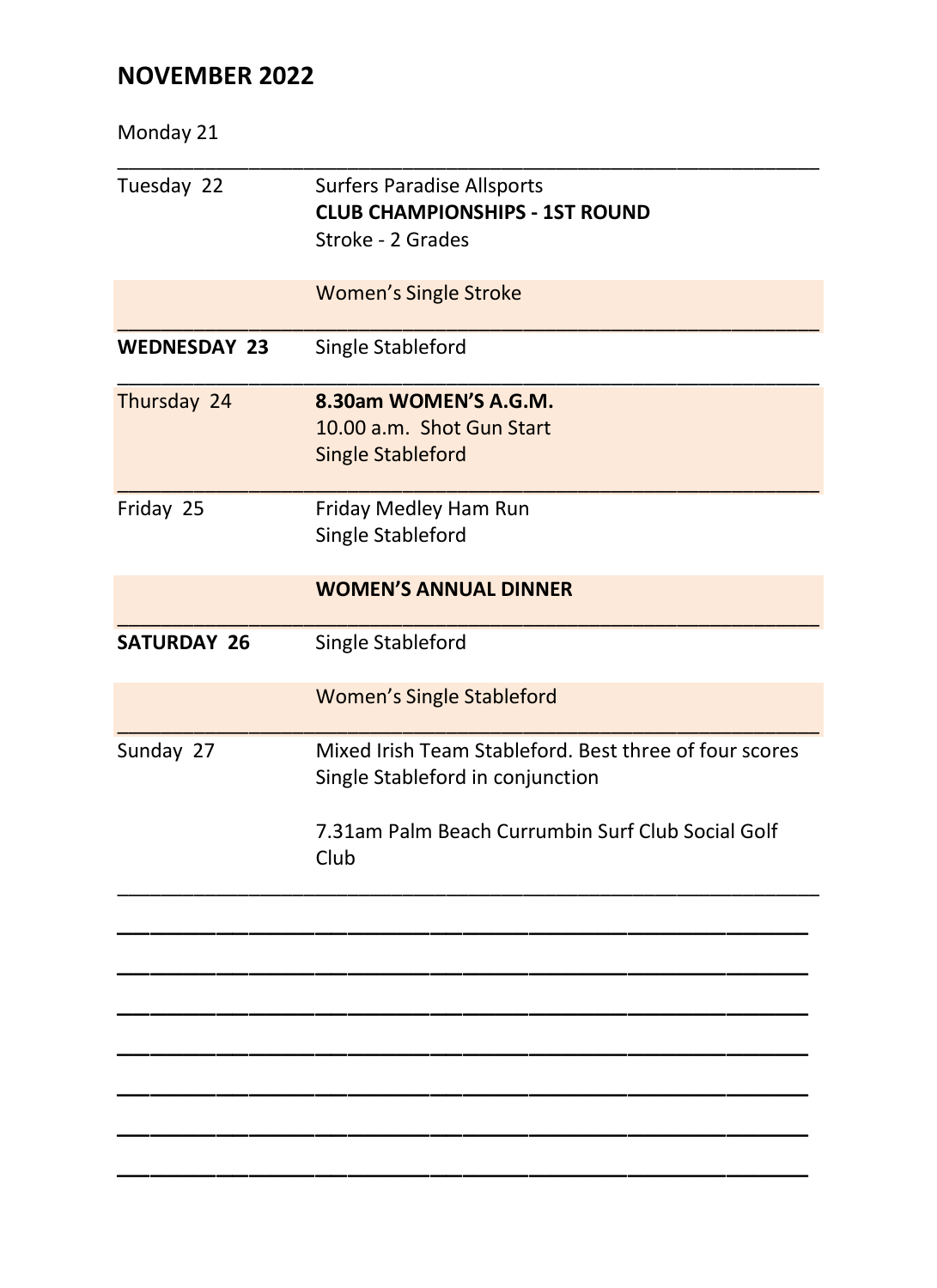| Monday 21           |                                                                                                                                                         |
|---------------------|---------------------------------------------------------------------------------------------------------------------------------------------------------|
| Tuesday 22          | <b>Surfers Paradise Allsports</b><br><b>CLUB CHAMPIONSHIPS - 1ST ROUND</b><br>Stroke - 2 Grades                                                         |
|                     | <b>Women's Single Stroke</b>                                                                                                                            |
| <b>WEDNESDAY 23</b> | Single Stableford                                                                                                                                       |
| Thursday 24         | 8.30am WOMEN'S A.G.M.<br>10.00 a.m. Shot Gun Start<br><b>Single Stableford</b>                                                                          |
| Friday 25           | Friday Medley Ham Run<br>Single Stableford                                                                                                              |
|                     | <b>WOMEN'S ANNUAL DINNER</b>                                                                                                                            |
| <b>SATURDAY 26</b>  | Single Stableford                                                                                                                                       |
|                     | <b>Women's Single Stableford</b>                                                                                                                        |
| Sunday 27           | Mixed Irish Team Stableford. Best three of four scores<br>Single Stableford in conjunction<br>7.31am Palm Beach Currumbin Surf Club Social Golf<br>Club |
|                     |                                                                                                                                                         |
|                     |                                                                                                                                                         |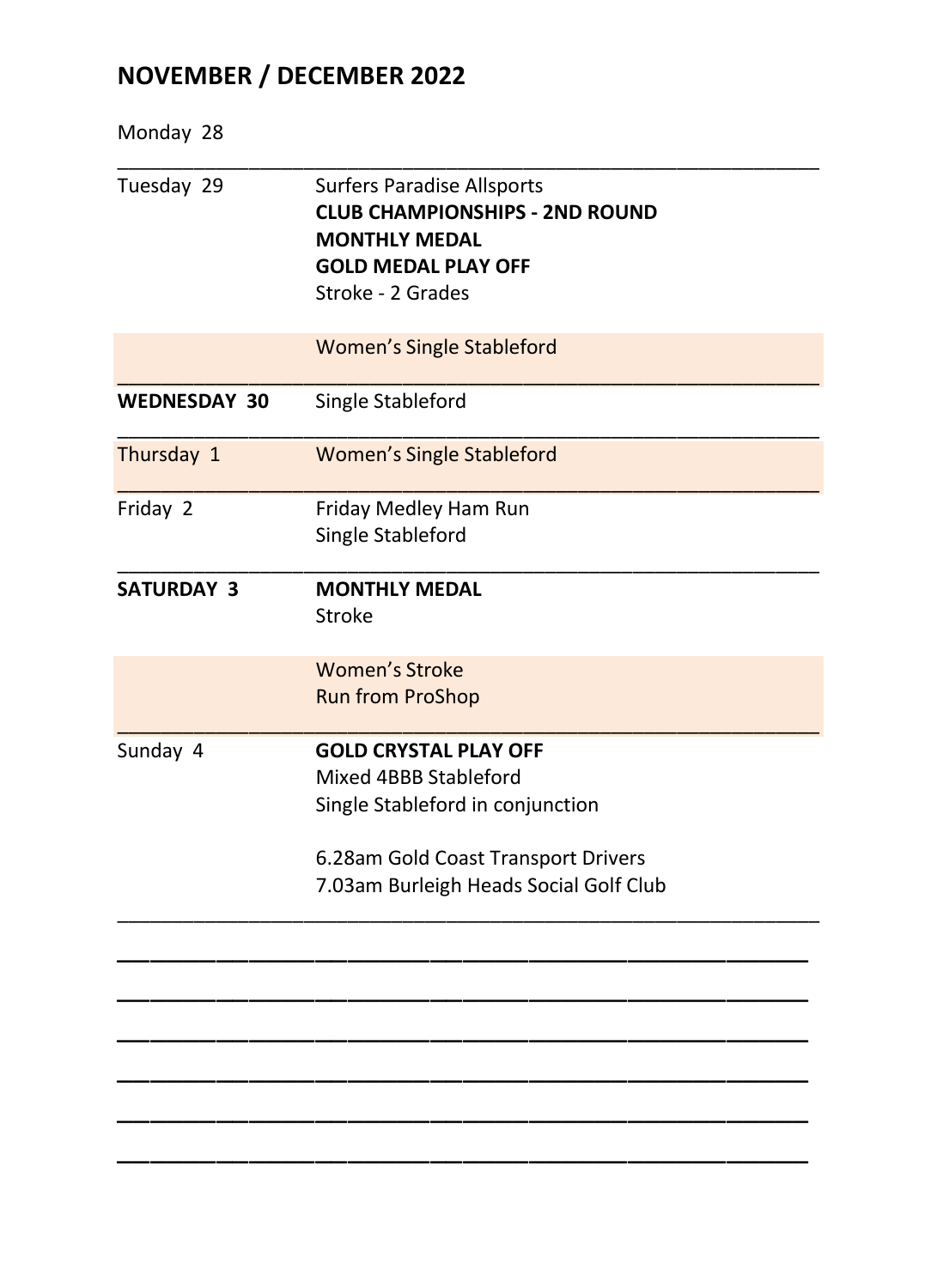# **NOVEMBER / DECEMBER 2022**

| <b>Surfers Paradise Allsports</b><br><b>CLUB CHAMPIONSHIPS - 2ND ROUND</b><br><b>MONTHLY MEDAL</b><br><b>GOLD MEDAL PLAY OFF</b><br>Stroke - 2 Grades                      |
|----------------------------------------------------------------------------------------------------------------------------------------------------------------------------|
| <b>Women's Single Stableford</b>                                                                                                                                           |
| Single Stableford                                                                                                                                                          |
| <b>Women's Single Stableford</b>                                                                                                                                           |
| Friday Medley Ham Run                                                                                                                                                      |
| Single Stableford                                                                                                                                                          |
| <b>MONTHLY MEDAL</b><br><b>Stroke</b>                                                                                                                                      |
| <b>Women's Stroke</b><br><b>Run from ProShop</b>                                                                                                                           |
| <b>GOLD CRYSTAL PLAY OFF</b><br>Mixed 4BBB Stableford<br>Single Stableford in conjunction<br>6.28am Gold Coast Transport Drivers<br>7.03am Burleigh Heads Social Golf Club |
|                                                                                                                                                                            |
|                                                                                                                                                                            |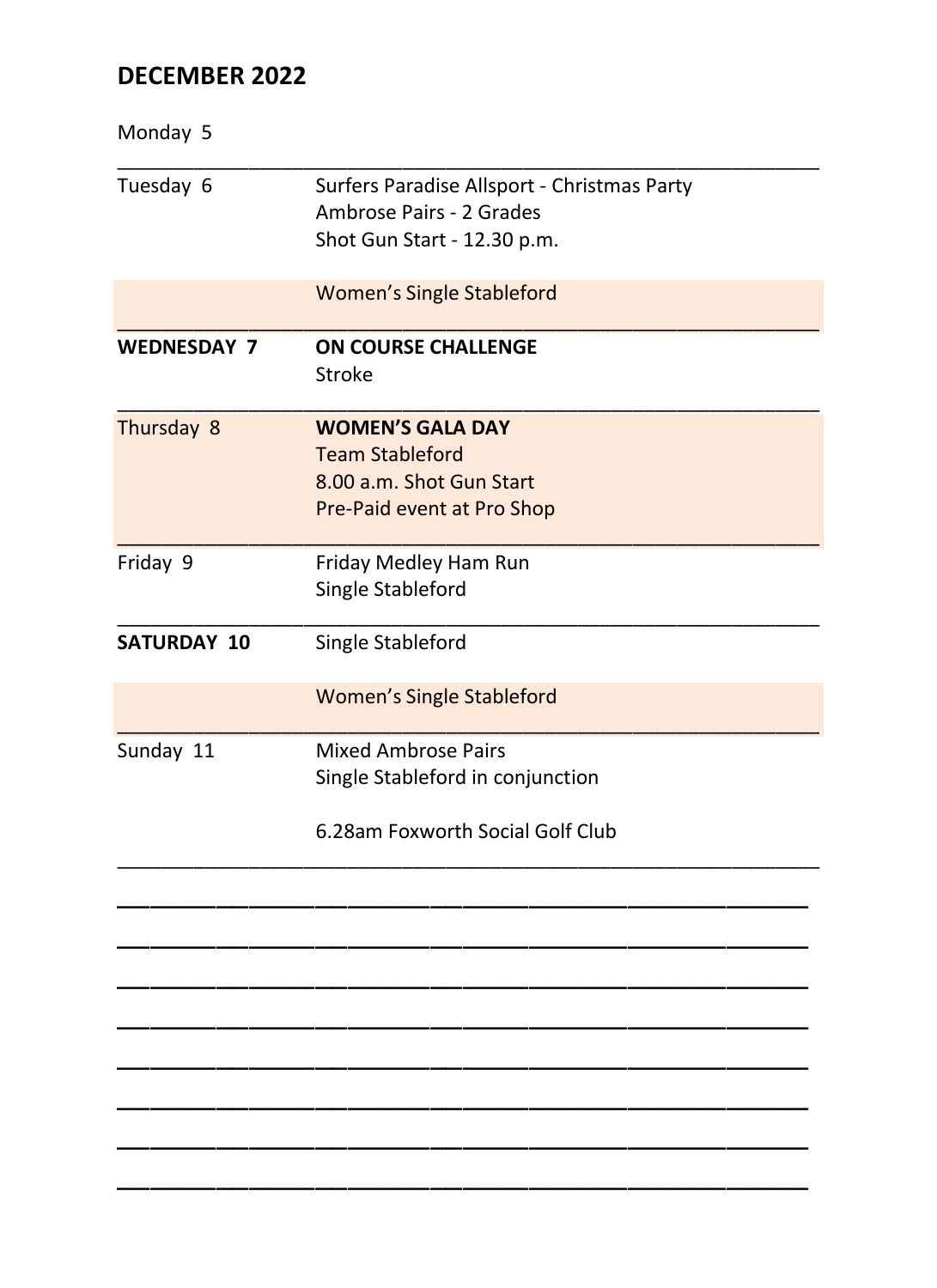## **DECEMBER 2022**

| Monday 5           |                                             |
|--------------------|---------------------------------------------|
| Tuesday 6          | Surfers Paradise Allsport - Christmas Party |
|                    | Ambrose Pairs - 2 Grades                    |
|                    | Shot Gun Start - 12.30 p.m.                 |
|                    | <b>Women's Single Stableford</b>            |
| <b>WEDNESDAY 7</b> | ON COURSE CHALLENGE                         |
|                    | Stroke                                      |
| Thursday 8         | <b>WOMEN'S GALA DAY</b>                     |
|                    | <b>Team Stableford</b>                      |
|                    | 8.00 a.m. Shot Gun Start                    |
|                    | Pre-Paid event at Pro Shop                  |
| Friday 9           | Friday Medley Ham Run                       |
|                    | Single Stableford                           |
| <b>SATURDAY 10</b> | Single Stableford                           |
|                    | <b>Women's Single Stableford</b>            |
| Sunday 11          | <b>Mixed Ambrose Pairs</b>                  |
|                    | Single Stableford in conjunction            |
|                    | 6.28am Foxworth Social Golf Club            |
|                    |                                             |
|                    |                                             |
|                    |                                             |
|                    |                                             |
|                    |                                             |
|                    |                                             |
|                    |                                             |
|                    |                                             |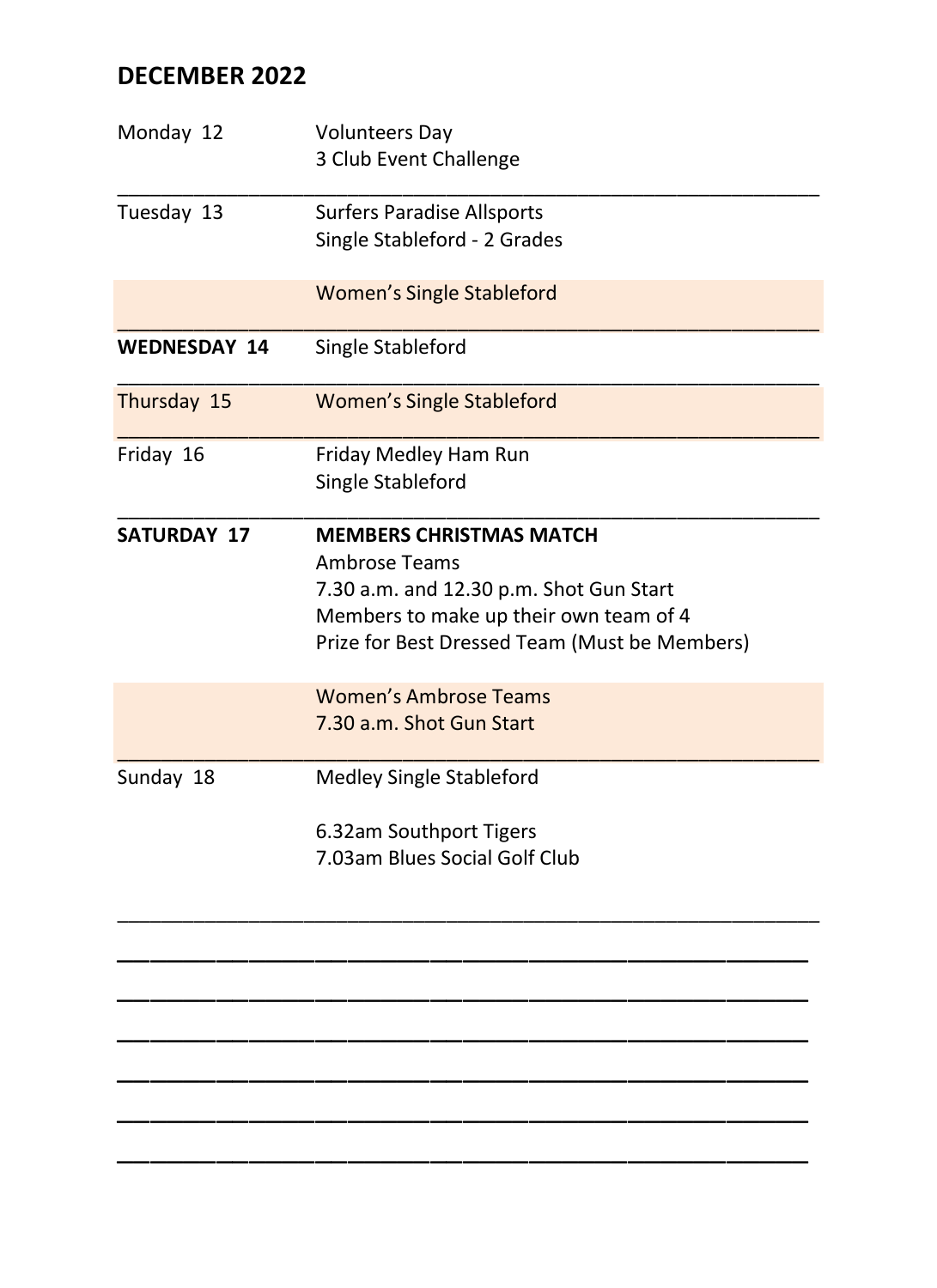# **DECEMBER 2022**

| Monday 12           | <b>Volunteers Day</b><br>3 Club Event Challenge                                                                                                                                              |
|---------------------|----------------------------------------------------------------------------------------------------------------------------------------------------------------------------------------------|
| Tuesday 13          | <b>Surfers Paradise Allsports</b><br>Single Stableford - 2 Grades                                                                                                                            |
|                     | <b>Women's Single Stableford</b>                                                                                                                                                             |
| <b>WEDNESDAY 14</b> | Single Stableford                                                                                                                                                                            |
| Thursday 15         | <b>Women's Single Stableford</b>                                                                                                                                                             |
| Friday 16           | Friday Medley Ham Run<br>Single Stableford                                                                                                                                                   |
| <b>SATURDAY 17</b>  | <b>MEMBERS CHRISTMAS MATCH</b><br><b>Ambrose Teams</b><br>7.30 a.m. and 12.30 p.m. Shot Gun Start<br>Members to make up their own team of 4<br>Prize for Best Dressed Team (Must be Members) |
|                     | <b>Women's Ambrose Teams</b><br>7.30 a.m. Shot Gun Start                                                                                                                                     |
| Sunday 18           | Medley Single Stableford<br>6.32am Southport Tigers<br>7.03am Blues Social Golf Club                                                                                                         |
|                     |                                                                                                                                                                                              |

\_\_\_\_\_\_\_\_\_\_\_\_\_\_\_\_\_\_\_\_\_\_\_\_\_\_\_\_\_\_\_\_\_\_\_\_\_\_\_\_\_\_ \_\_\_\_\_\_\_\_\_\_\_\_\_\_\_\_\_\_\_\_\_\_\_\_\_\_\_\_\_\_\_\_\_\_\_\_\_\_\_\_\_\_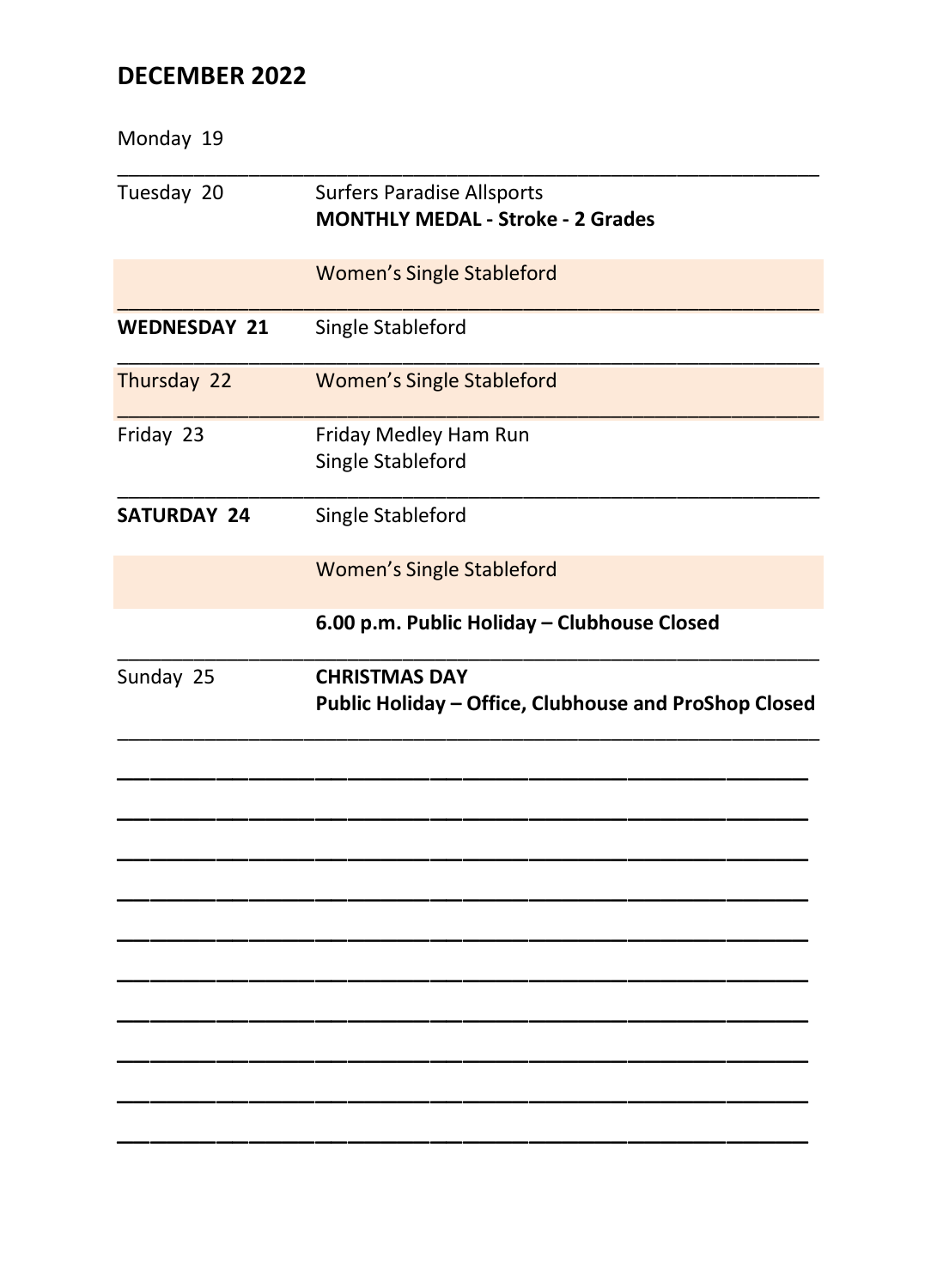# DECEMBER 2022

| Monday 19           |                                                                               |
|---------------------|-------------------------------------------------------------------------------|
| Tuesday 20          | <b>Surfers Paradise Allsports</b><br><b>MONTHLY MEDAL - Stroke - 2 Grades</b> |
|                     | <b>Women's Single Stableford</b>                                              |
| <b>WEDNESDAY 21</b> | Single Stableford                                                             |
| Thursday 22         | <b>Women's Single Stableford</b>                                              |
| Friday 23           | Friday Medley Ham Run<br>Single Stableford                                    |
| <b>SATURDAY 24</b>  | Single Stableford                                                             |
|                     | <b>Women's Single Stableford</b>                                              |
|                     | 6.00 p.m. Public Holiday - Clubhouse Closed                                   |
| Sunday 25           | <b>CHRISTMAS DAY</b><br>Public Holiday - Office, Clubhouse and ProShop Closed |
|                     |                                                                               |
|                     |                                                                               |
|                     |                                                                               |
|                     |                                                                               |
|                     |                                                                               |
|                     |                                                                               |
|                     |                                                                               |
|                     |                                                                               |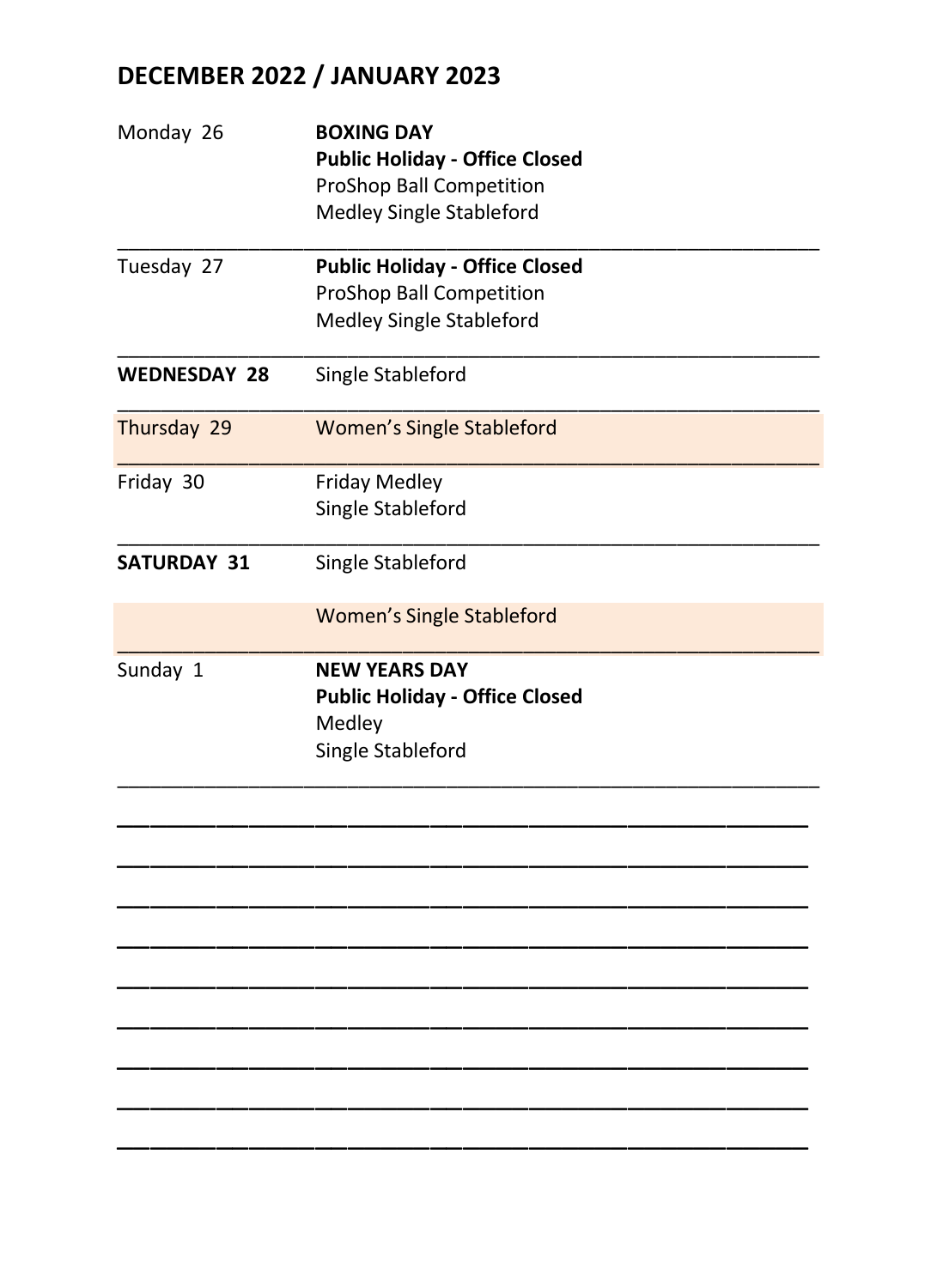# **DECEMBER 2022 / JANUARY 2023**

| Monday 26           | <b>BOXING DAY</b><br><b>Public Holiday - Office Closed</b><br>ProShop Ball Competition<br>Medley Single Stableford |  |
|---------------------|--------------------------------------------------------------------------------------------------------------------|--|
| Tuesday 27          | <b>Public Holiday - Office Closed</b><br>ProShop Ball Competition<br>Medley Single Stableford                      |  |
| <b>WEDNESDAY 28</b> | Single Stableford                                                                                                  |  |
| Thursday 29         | <b>Women's Single Stableford</b>                                                                                   |  |
| Friday 30           | <b>Friday Medley</b><br>Single Stableford                                                                          |  |
| <b>SATURDAY 31</b>  | Single Stableford                                                                                                  |  |
|                     | <b>Women's Single Stableford</b>                                                                                   |  |
| Sunday 1            | <b>NEW YEARS DAY</b><br><b>Public Holiday - Office Closed</b><br>Medley<br>Single Stableford                       |  |
|                     |                                                                                                                    |  |
|                     |                                                                                                                    |  |
|                     |                                                                                                                    |  |
|                     |                                                                                                                    |  |
|                     |                                                                                                                    |  |

\_\_\_\_\_\_\_\_\_\_\_\_\_\_\_\_\_\_\_\_\_\_\_\_\_\_\_\_\_\_\_\_\_\_\_\_\_\_\_\_\_\_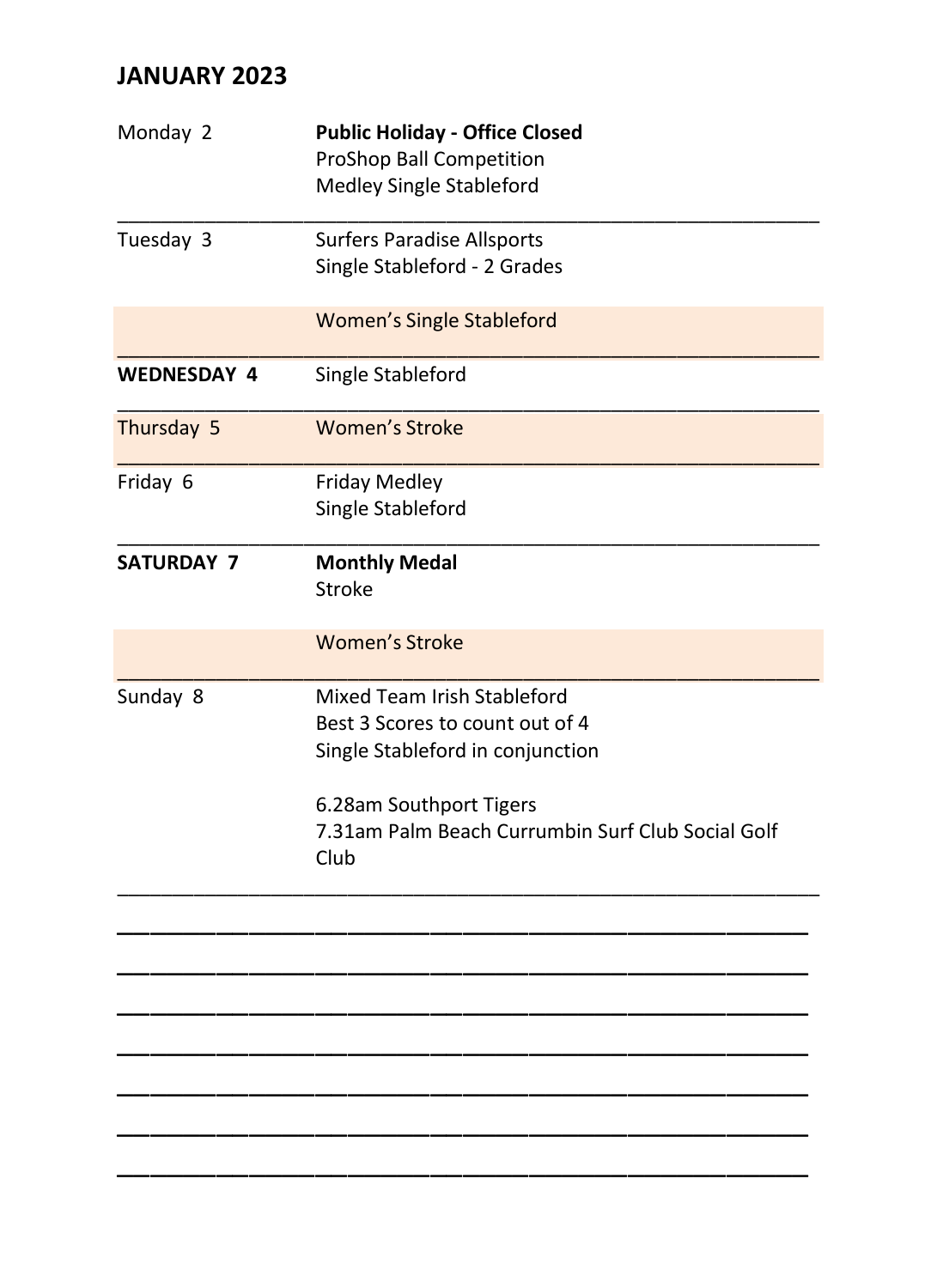| Monday 2           | <b>Public Holiday - Office Closed</b>                     |  |  |
|--------------------|-----------------------------------------------------------|--|--|
|                    | ProShop Ball Competition                                  |  |  |
|                    | Medley Single Stableford                                  |  |  |
| Tuesday 3          | <b>Surfers Paradise Allsports</b>                         |  |  |
|                    | Single Stableford - 2 Grades                              |  |  |
|                    | <b>Women's Single Stableford</b>                          |  |  |
| <b>WEDNESDAY 4</b> | Single Stableford                                         |  |  |
| Thursday 5         | <b>Women's Stroke</b>                                     |  |  |
| Friday 6           | <b>Friday Medley</b>                                      |  |  |
|                    | Single Stableford                                         |  |  |
| <b>SATURDAY 7</b>  | <b>Monthly Medal</b>                                      |  |  |
|                    | <b>Stroke</b>                                             |  |  |
|                    | <b>Women's Stroke</b>                                     |  |  |
| Sunday 8           | Mixed Team Irish Stableford                               |  |  |
|                    | Best 3 Scores to count out of 4                           |  |  |
|                    | Single Stableford in conjunction                          |  |  |
|                    | 6.28am Southport Tigers                                   |  |  |
|                    | 7.31am Palm Beach Currumbin Surf Club Social Golf<br>Club |  |  |
|                    |                                                           |  |  |
|                    |                                                           |  |  |
|                    |                                                           |  |  |
|                    |                                                           |  |  |
|                    |                                                           |  |  |
|                    |                                                           |  |  |
|                    |                                                           |  |  |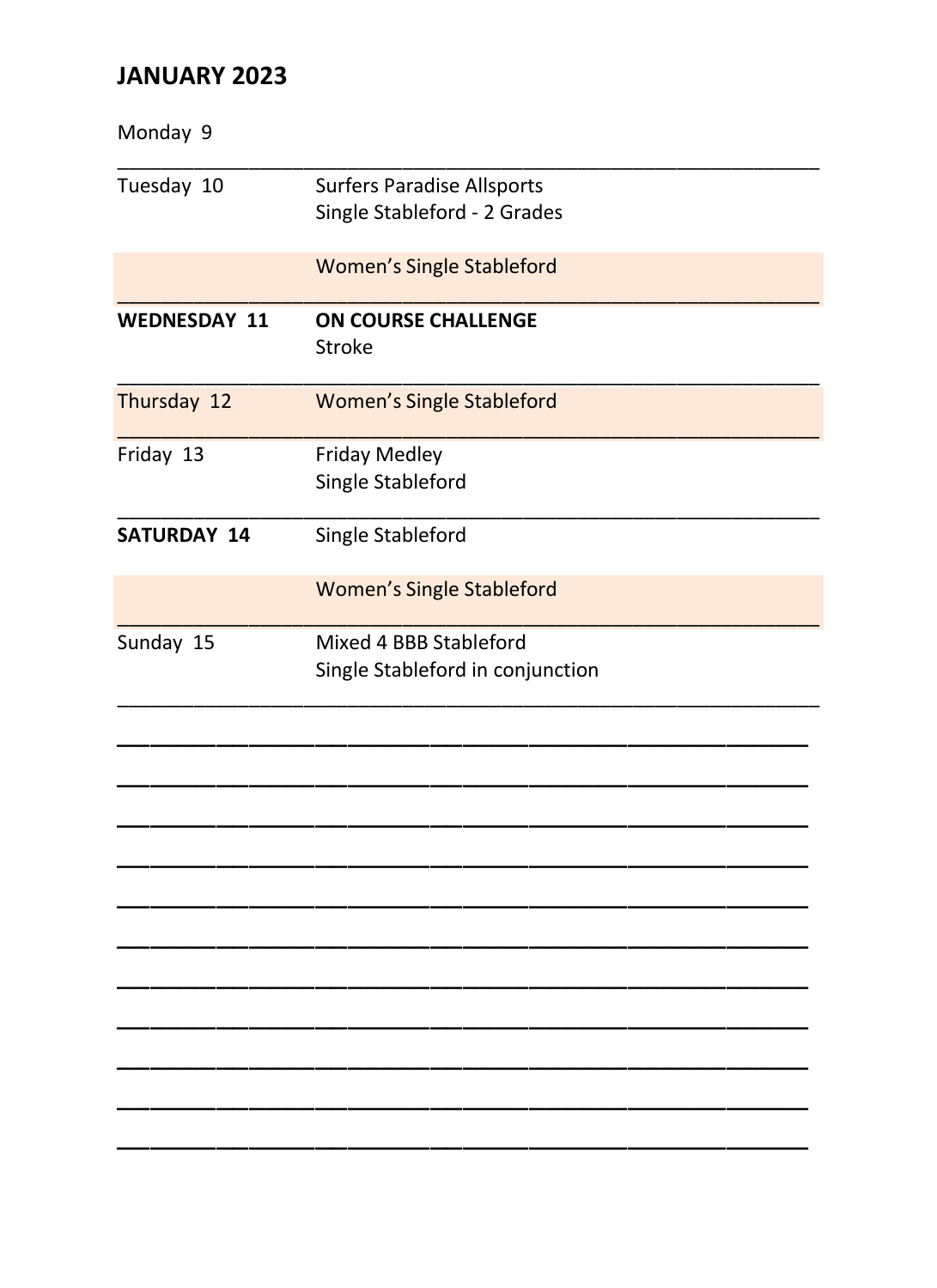| Monday 9            |                                                                   |
|---------------------|-------------------------------------------------------------------|
| Tuesday 10          | <b>Surfers Paradise Allsports</b><br>Single Stableford - 2 Grades |
|                     | <b>Women's Single Stableford</b>                                  |
| <b>WEDNESDAY 11</b> | <b>ON COURSE CHALLENGE</b><br>Stroke                              |
| Thursday 12         | <b>Women's Single Stableford</b>                                  |
| Friday 13           | <b>Friday Medley</b><br>Single Stableford                         |
| <b>SATURDAY 14</b>  | Single Stableford                                                 |
|                     | <b>Women's Single Stableford</b>                                  |
| Sunday 15           | Mixed 4 BBB Stableford<br>Single Stableford in conjunction        |
|                     |                                                                   |
|                     |                                                                   |
|                     |                                                                   |
|                     |                                                                   |
|                     |                                                                   |
|                     |                                                                   |
|                     |                                                                   |
|                     |                                                                   |
|                     |                                                                   |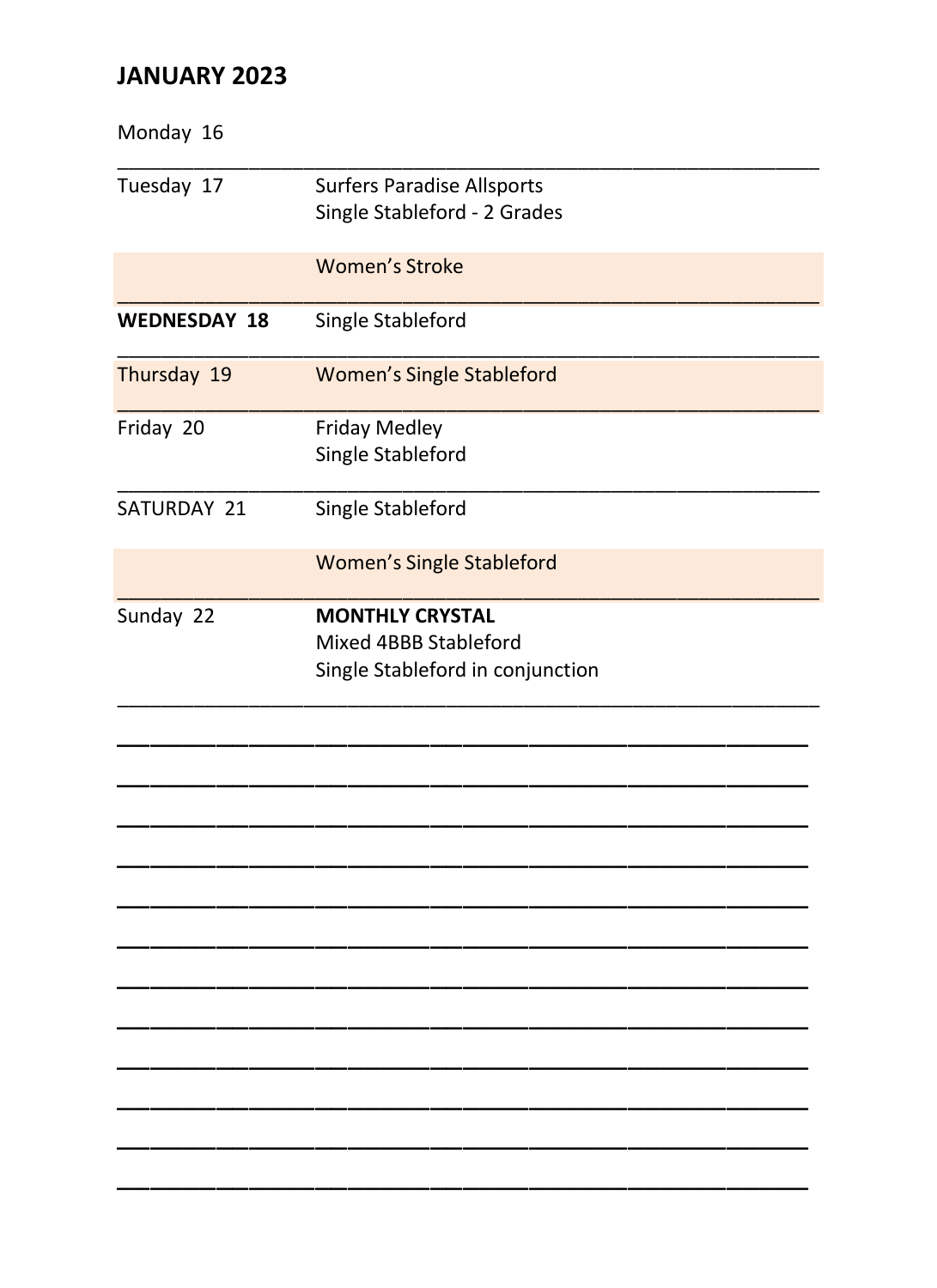| Monday 16           |                                                                                     |
|---------------------|-------------------------------------------------------------------------------------|
| Tuesday 17          | <b>Surfers Paradise Allsports</b><br>Single Stableford - 2 Grades                   |
|                     | <b>Women's Stroke</b>                                                               |
| <b>WEDNESDAY 18</b> | Single Stableford                                                                   |
| Thursday 19         | <b>Women's Single Stableford</b>                                                    |
| Friday 20           | <b>Friday Medley</b><br>Single Stableford                                           |
| SATURDAY 21         | Single Stableford                                                                   |
|                     | <b>Women's Single Stableford</b>                                                    |
| Sunday 22           | <b>MONTHLY CRYSTAL</b><br>Mixed 4BBB Stableford<br>Single Stableford in conjunction |
|                     |                                                                                     |
|                     |                                                                                     |
|                     |                                                                                     |
|                     |                                                                                     |
|                     |                                                                                     |
|                     |                                                                                     |
|                     |                                                                                     |
|                     |                                                                                     |
|                     |                                                                                     |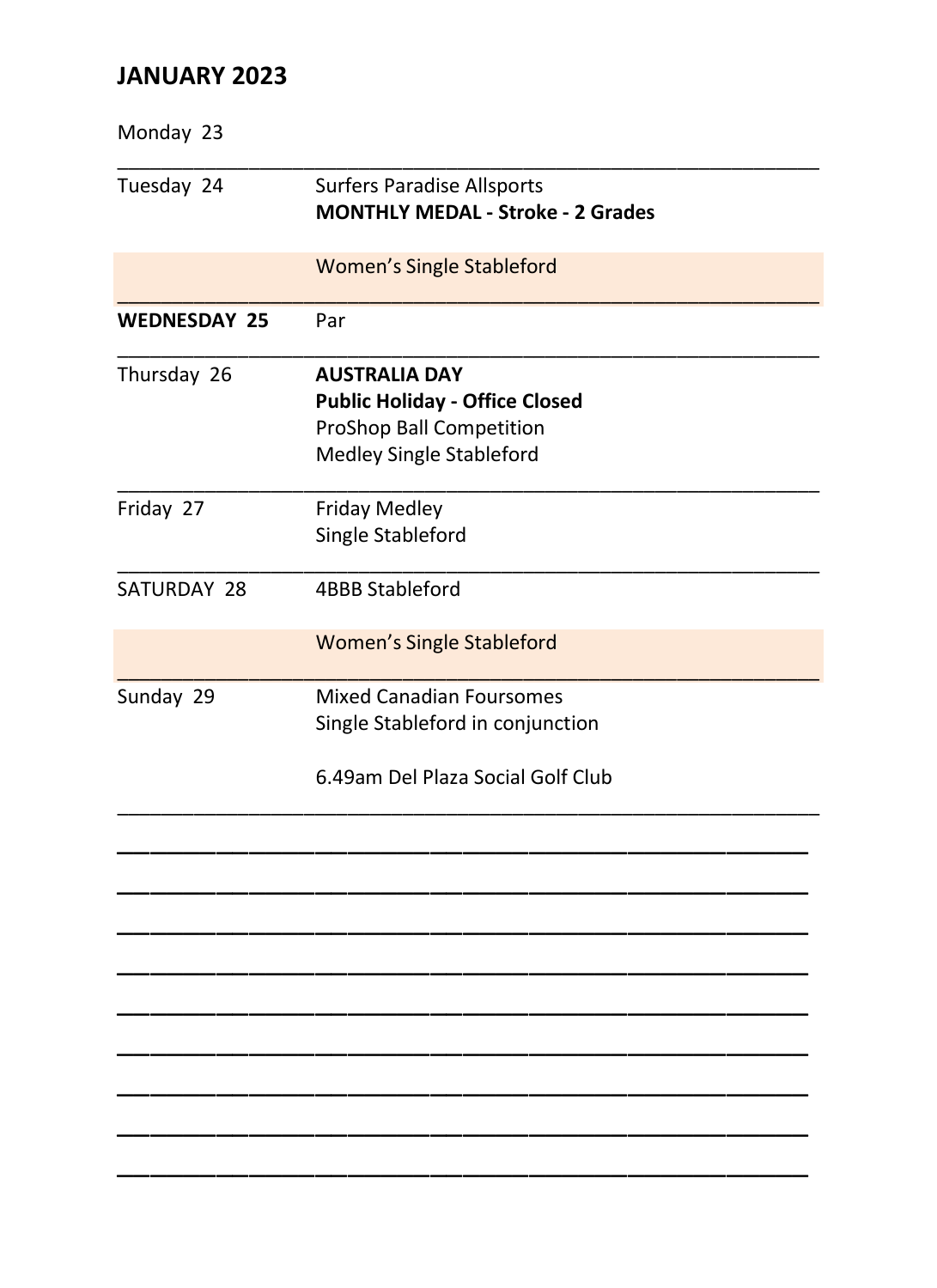| Monday 23           |                                                                                                                       |
|---------------------|-----------------------------------------------------------------------------------------------------------------------|
| Tuesday 24          | <b>Surfers Paradise Allsports</b><br><b>MONTHLY MEDAL - Stroke - 2 Grades</b>                                         |
|                     | <b>Women's Single Stableford</b>                                                                                      |
| <b>WEDNESDAY 25</b> | Par                                                                                                                   |
| Thursday 26         | <b>AUSTRALIA DAY</b><br><b>Public Holiday - Office Closed</b><br>ProShop Ball Competition<br>Medley Single Stableford |
| Friday 27           | <b>Friday Medley</b><br>Single Stableford                                                                             |
| SATURDAY 28         | 4BBB Stableford                                                                                                       |
|                     | <b>Women's Single Stableford</b>                                                                                      |
| Sunday 29           | <b>Mixed Canadian Foursomes</b><br>Single Stableford in conjunction<br>6.49am Del Plaza Social Golf Club              |
|                     |                                                                                                                       |
|                     |                                                                                                                       |
|                     |                                                                                                                       |
|                     |                                                                                                                       |
|                     |                                                                                                                       |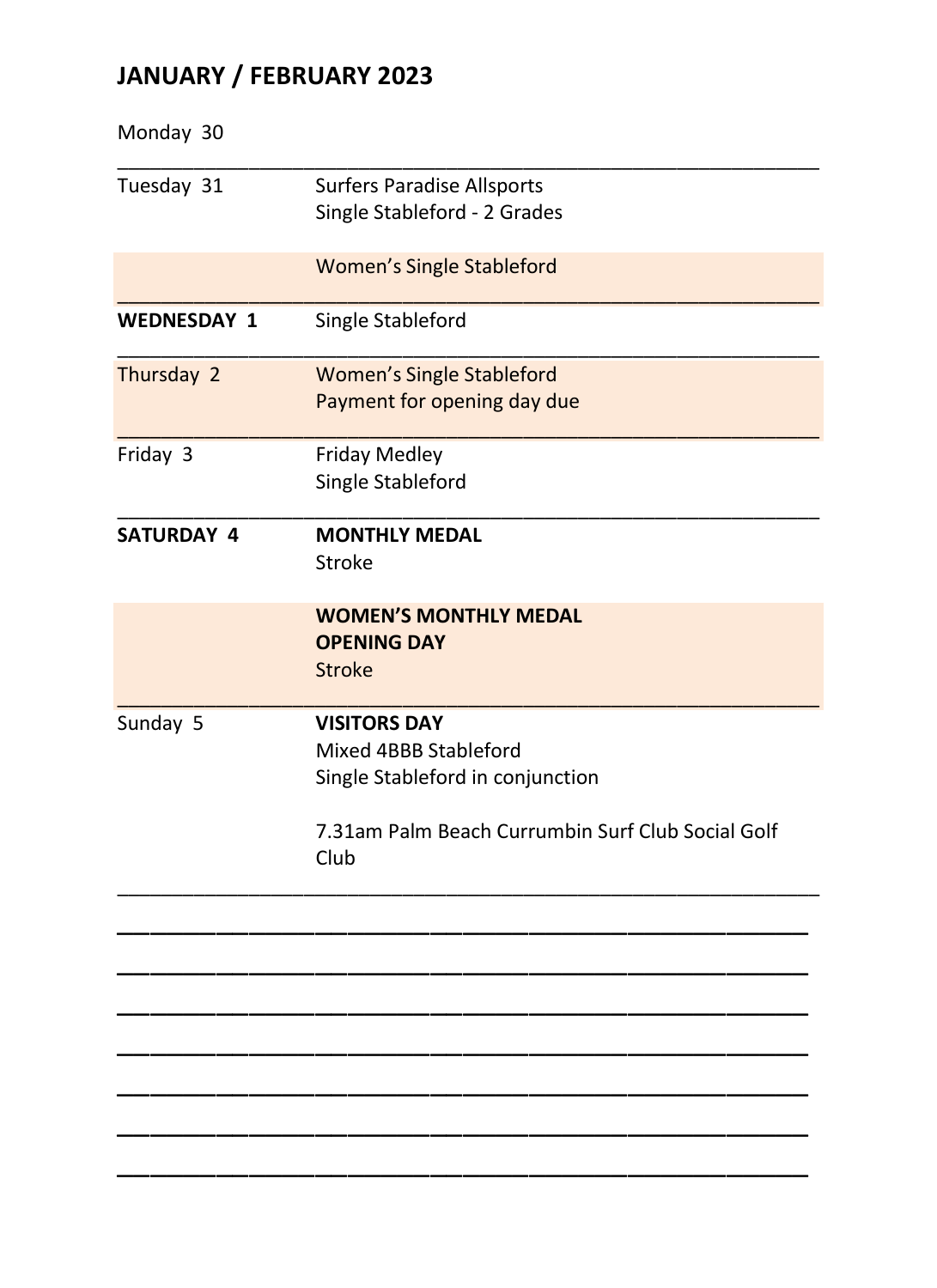# **JANUARY / FEBRUARY 2023**

| Monday 30          |                                                                                                                                               |
|--------------------|-----------------------------------------------------------------------------------------------------------------------------------------------|
| Tuesday 31         | <b>Surfers Paradise Allsports</b><br>Single Stableford - 2 Grades                                                                             |
|                    | <b>Women's Single Stableford</b>                                                                                                              |
| <b>WEDNESDAY 1</b> | Single Stableford                                                                                                                             |
| Thursday 2         | <b>Women's Single Stableford</b><br>Payment for opening day due                                                                               |
| Friday 3           | <b>Friday Medley</b><br>Single Stableford                                                                                                     |
| SATURDAY 4         | <b>MONTHLY MEDAL</b><br><b>Stroke</b>                                                                                                         |
|                    | <b>WOMEN'S MONTHLY MEDAL</b><br><b>OPENING DAY</b><br><b>Stroke</b>                                                                           |
| Sunday 5           | <b>VISITORS DAY</b><br>Mixed 4BBB Stableford<br>Single Stableford in conjunction<br>7.31am Palm Beach Currumbin Surf Club Social Golf<br>Club |
|                    |                                                                                                                                               |
|                    |                                                                                                                                               |
|                    |                                                                                                                                               |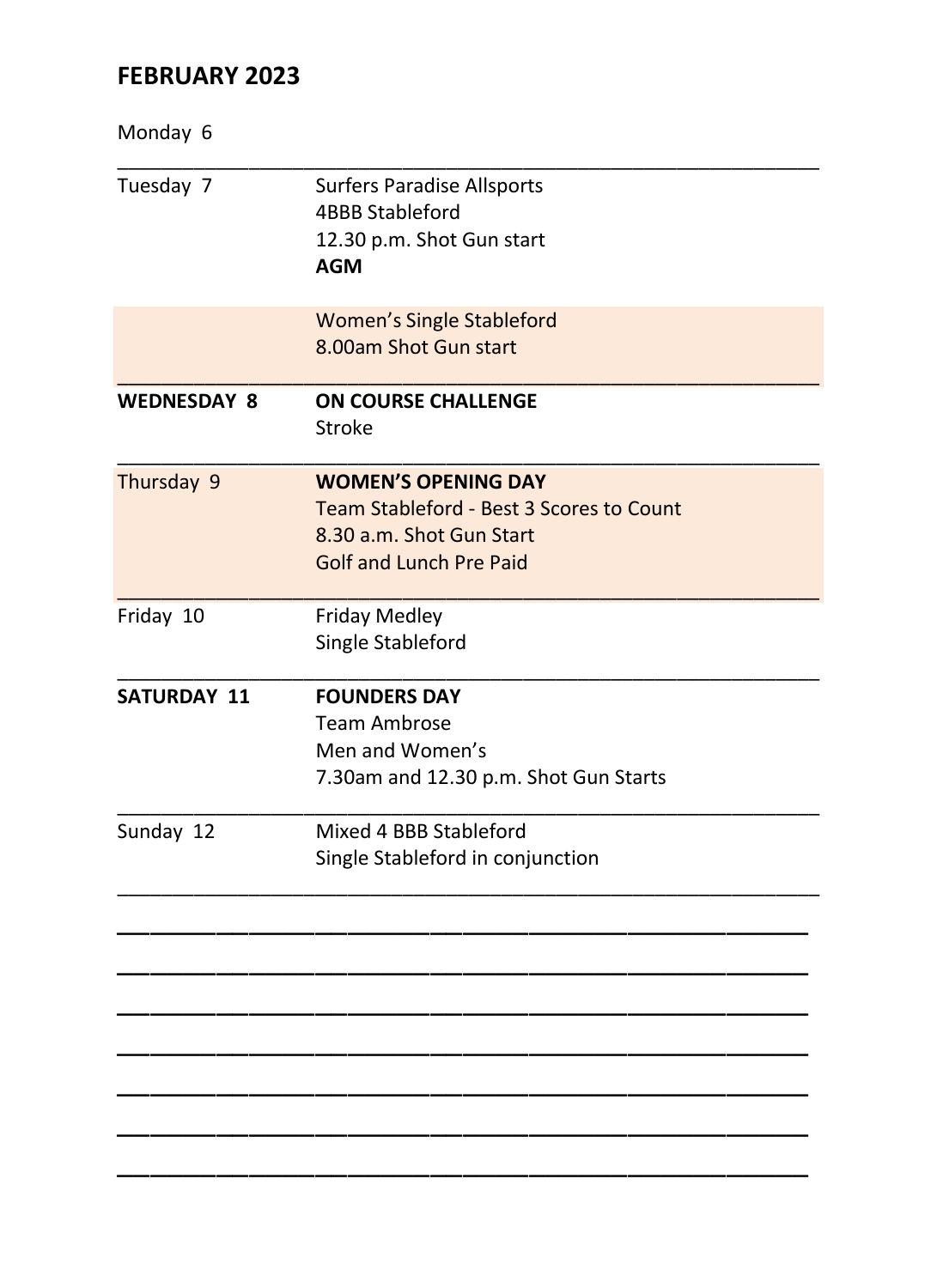## **FEBRUARY 2023**

| Monday 6           |                                                                                                                               |
|--------------------|-------------------------------------------------------------------------------------------------------------------------------|
| Tuesday 7          | <b>Surfers Paradise Allsports</b><br><b>4BBB Stableford</b><br>12.30 p.m. Shot Gun start<br><b>AGM</b>                        |
|                    | <b>Women's Single Stableford</b><br>8.00am Shot Gun start                                                                     |
| <b>WEDNESDAY 8</b> | <b>ON COURSE CHALLENGE</b><br>Stroke                                                                                          |
| Thursday 9         | <b>WOMEN'S OPENING DAY</b><br>Team Stableford - Best 3 Scores to Count<br>8.30 a.m. Shot Gun Start<br>Golf and Lunch Pre Paid |
| Friday 10          | <b>Friday Medley</b><br>Single Stableford                                                                                     |
| <b>SATURDAY 11</b> | <b>FOUNDERS DAY</b><br><b>Team Ambrose</b><br>Men and Women's<br>7.30am and 12.30 p.m. Shot Gun Starts                        |
| Sunday 12          | Mixed 4 BBB Stableford<br>Single Stableford in conjunction                                                                    |
|                    |                                                                                                                               |
|                    |                                                                                                                               |
|                    |                                                                                                                               |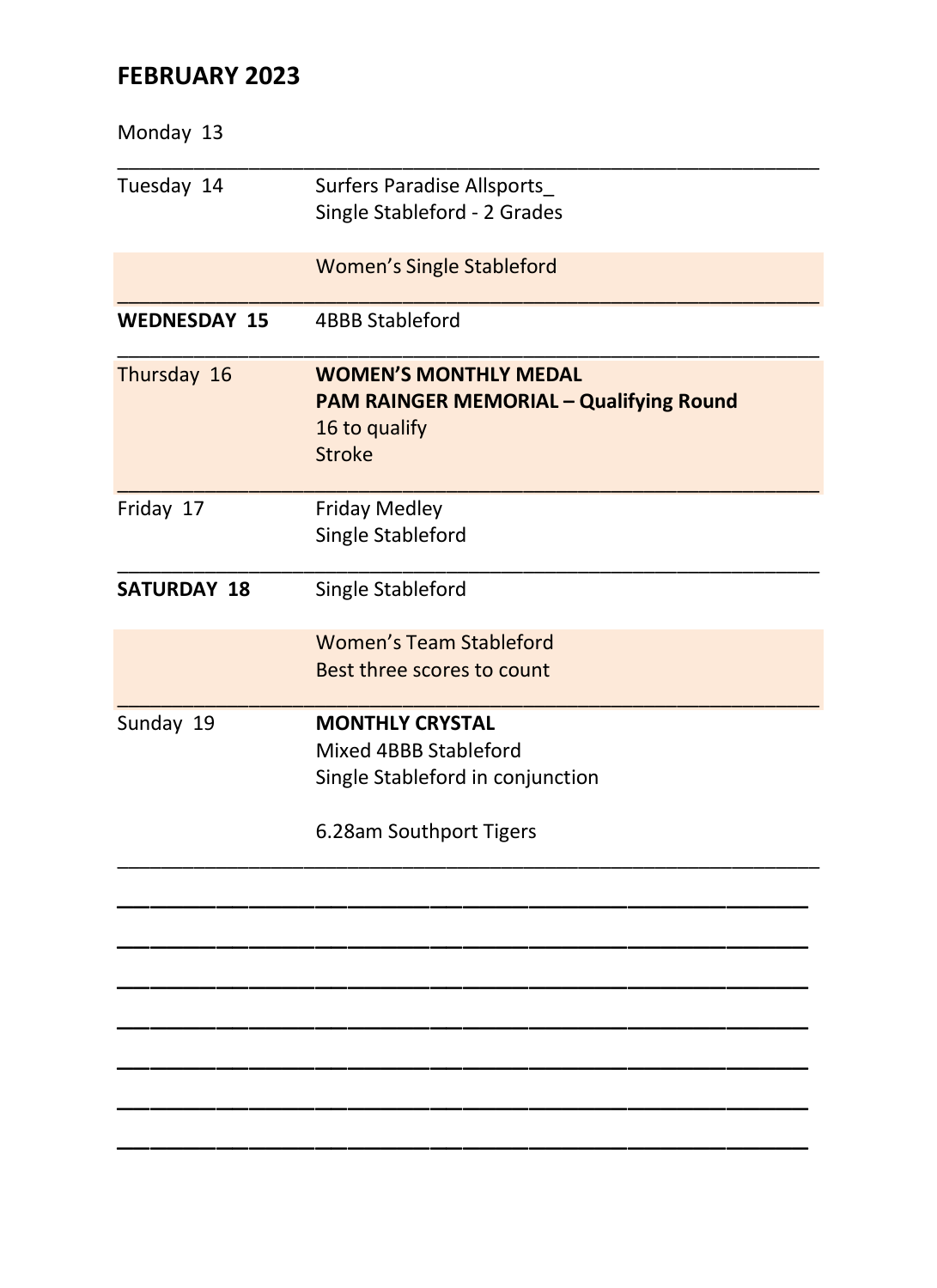## **FEBRUARY 2023**

| Monday 13           |                                                |
|---------------------|------------------------------------------------|
| Tuesday 14          | <b>Surfers Paradise Allsports</b>              |
|                     | Single Stableford - 2 Grades                   |
|                     | <b>Women's Single Stableford</b>               |
| <b>WEDNESDAY 15</b> | <b>4BBB Stableford</b>                         |
| Thursday 16         | <b>WOMEN'S MONTHLY MEDAL</b>                   |
|                     | <b>PAM RAINGER MEMORIAL - Qualifying Round</b> |
|                     | 16 to qualify<br>Stroke                        |
|                     |                                                |
| Friday 17           | <b>Friday Medley</b>                           |
|                     | Single Stableford                              |
| <b>SATURDAY 18</b>  | Single Stableford                              |
|                     | Women's Team Stableford                        |
|                     | Best three scores to count                     |
| Sunday 19           | <b>MONTHLY CRYSTAL</b>                         |
|                     | Mixed 4BBB Stableford                          |
|                     | Single Stableford in conjunction               |
|                     | 6.28am Southport Tigers                        |
|                     |                                                |
|                     |                                                |
|                     |                                                |
|                     |                                                |
|                     |                                                |
|                     |                                                |
|                     |                                                |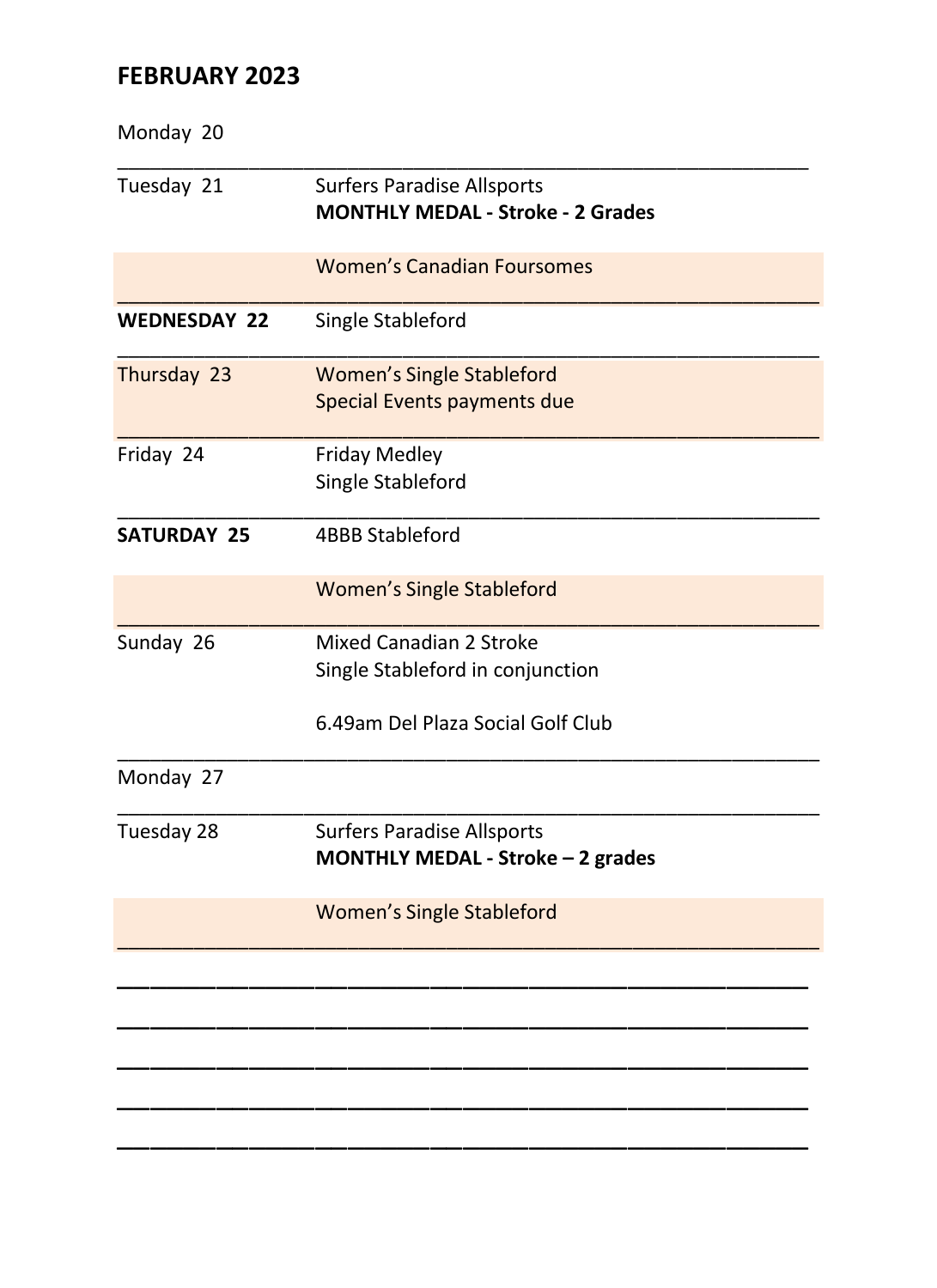## **FEBRUARY 2023**

| Monday 20           |                                                                                                  |
|---------------------|--------------------------------------------------------------------------------------------------|
| Tuesday 21          | <b>Surfers Paradise Allsports</b><br><b>MONTHLY MEDAL - Stroke - 2 Grades</b>                    |
|                     | <b>Women's Canadian Foursomes</b>                                                                |
| <b>WEDNESDAY 22</b> | Single Stableford                                                                                |
| Thursday 23         | <b>Women's Single Stableford</b><br>Special Events payments due                                  |
| Friday 24           | <b>Friday Medley</b><br>Single Stableford                                                        |
| <b>SATURDAY 25</b>  | <b>4BBB Stableford</b>                                                                           |
|                     | <b>Women's Single Stableford</b>                                                                 |
| Sunday 26           | Mixed Canadian 2 Stroke<br>Single Stableford in conjunction<br>6.49am Del Plaza Social Golf Club |
| Monday 27           |                                                                                                  |
| Tuesday 28          | <b>Surfers Paradise Allsports</b><br>MONTHLY MEDAL - Stroke - 2 grades                           |
|                     | <b>Women's Single Stableford</b>                                                                 |
|                     |                                                                                                  |
|                     |                                                                                                  |
|                     |                                                                                                  |
|                     |                                                                                                  |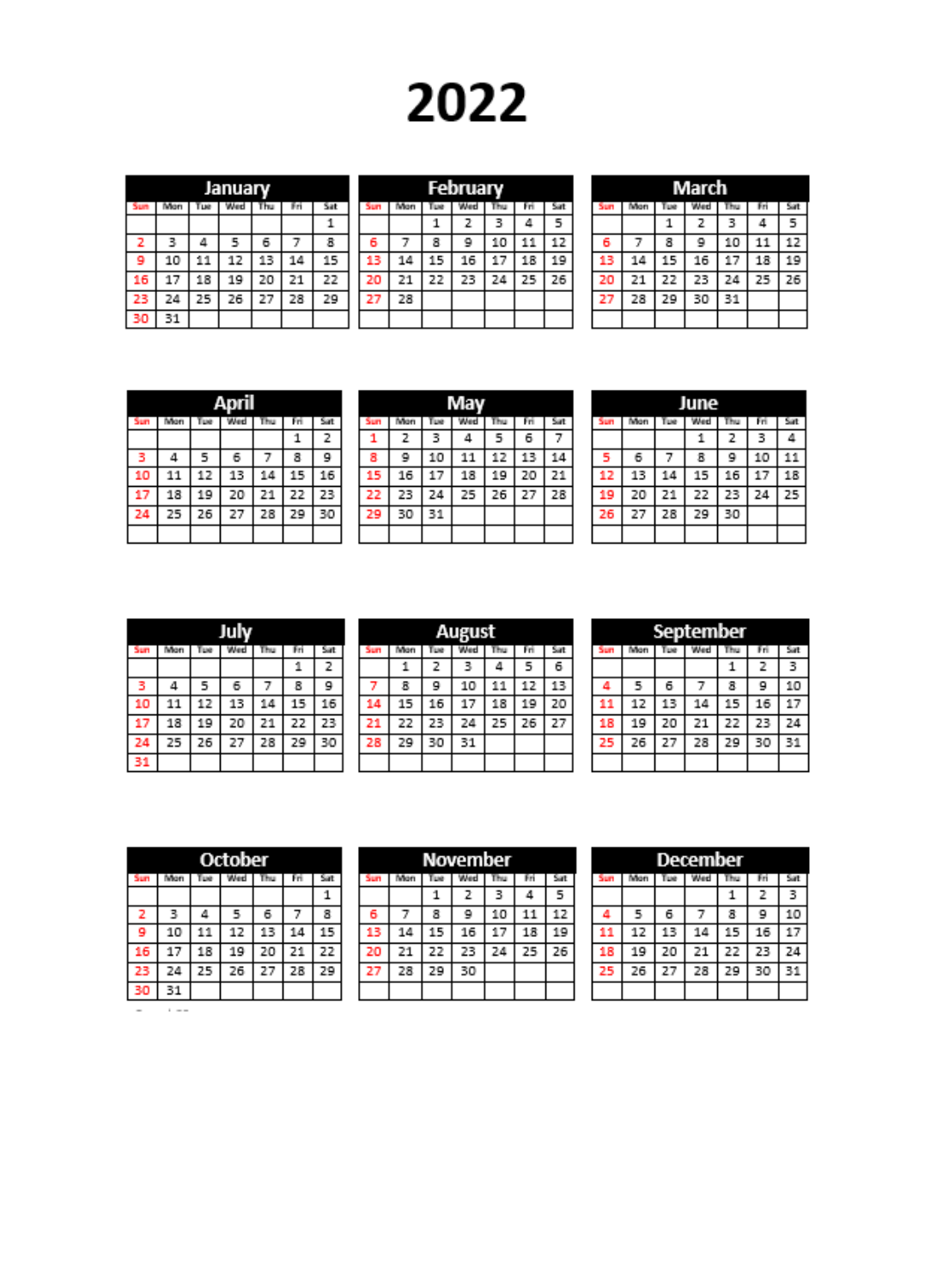# 2022

|    | January |     |     |    |     |     |  |  |
|----|---------|-----|-----|----|-----|-----|--|--|
|    | Wan     | Tue | Wed | ħu | Fri | Sat |  |  |
|    |         |     |     |    |     |     |  |  |
| 2  | 3       | 4   | 5   | 6  |     | 8   |  |  |
| ٩  | 10      | 11  | 12  | 13 | 14  | 15  |  |  |
| 16 | 17      | 18  | 19  | 20 | 21  | 22  |  |  |
| 23 | 24      | 25  | 26  | 27 | 28  | 29  |  |  |
| 30 | 31      |     |     |    |     |     |  |  |

| February |    |    |    |    |    |     |  |  |
|----------|----|----|----|----|----|-----|--|--|
| 5un      |    |    |    |    |    | Sat |  |  |
|          |    | 1  | 2  |    | Δ  | 5   |  |  |
| б        |    | 8  | 9  | 10 | 11 | 12  |  |  |
| 13       | 14 | 15 | 16 | 17 | 18 | 19  |  |  |
| 20       | 21 | 22 | 23 | 24 | 25 | 26  |  |  |
| 27       | 28 |    |    |    |    |     |  |  |
|          |    |    |    |    |    |     |  |  |

| March |    |    |     |    |     |    |  |  |  |
|-------|----|----|-----|----|-----|----|--|--|--|
| kum   |    | ъ  | Wed |    | Fri |    |  |  |  |
|       |    | 1  | 2   | 3  | 4   | 5  |  |  |  |
| 6     |    | 8  | 9   | 10 | 11  | 12 |  |  |  |
| 13    | 14 | 15 | 16  | 17 | 18  | 19 |  |  |  |
| 20    | 21 | 22 | 23  | 24 | 25  | 26 |  |  |  |
| 27    | 28 | 29 | 30  | 31 |     |    |  |  |  |
|       |    |    |     |    |     |    |  |  |  |

| 17TI |      |    |    |    |    |     |  |  |
|------|------|----|----|----|----|-----|--|--|
| 5an  | llon |    |    |    |    | Sat |  |  |
|      |      |    |    |    | 1  | 2   |  |  |
|      | Δ    | 5  | 6  |    | 8  | 9   |  |  |
| 10   | 11   | 12 | 13 | 14 | 15 | 16  |  |  |
|      | 18   | 19 | 20 | 21 | 22 | 23  |  |  |
| 24   | 25   | 26 | 27 | 28 | 29 | 30  |  |  |
|      |      |    |    |    |    |     |  |  |

|     | vav |    |    |    |     |     |  |  |
|-----|-----|----|----|----|-----|-----|--|--|
| kim |     |    |    |    | Fri | Sat |  |  |
|     | 2   | з  | 4  | 5  | 6   |     |  |  |
| 8   | 9   | 10 | 11 | 12 | 13  | 14  |  |  |
| 15  | 16  | 17 | 18 | 19 | 20  | 21  |  |  |
| 22  | 23  | 24 | 25 | 26 | 27  | 28  |  |  |
| 29  | 30  | 31 |    |    |     |     |  |  |
|     |     |    |    |    |     |     |  |  |

|     | June   |    |     |    |    |     |  |  |
|-----|--------|----|-----|----|----|-----|--|--|
| kim | ı Barı | LЫ | Ved |    | н  | Sit |  |  |
|     |        |    | 1   | 2  | з  | ۵   |  |  |
| 5   | 6      |    | 8   | 9  | 10 | 11  |  |  |
| 12  | 13     | 14 | 15  | 16 | 17 | 18  |  |  |
| 19  | 20     | 21 | 22  | 23 | 24 | 25  |  |  |
| 26  | 27     | 28 | 29  | 30 |    |     |  |  |
|     |        |    |     |    |    |     |  |  |

| m    |     |     |    |    |    |    |  |  |
|------|-----|-----|----|----|----|----|--|--|
| šun. | ton | Тим |    |    |    |    |  |  |
|      |     |     |    |    | 1  | 2  |  |  |
|      | 4   | 5   | 6  |    | 8  | 9  |  |  |
| 10   | 11  | 12  | 13 | 14 | 15 | 16 |  |  |
| n    | 18  | 19  | 20 | 21 | 22 | 23 |  |  |
| 24   | 25  | 26  | 27 | 28 | 29 | 30 |  |  |
| 31   |     |     |    |    |    |    |  |  |

| August |    |    |    |    |    |  |  |  |
|--------|----|----|----|----|----|--|--|--|
|        |    |    |    |    | Sa |  |  |  |
|        | z  | з  |    | 5  | 6  |  |  |  |
| я      | ۵  | 10 |    | 17 | 13 |  |  |  |
| 15     |    |    |    |    | 20 |  |  |  |
| 22     | 23 | 24 | 25 | 26 | 27 |  |  |  |
| 29     | 30 | 31 |    |    |    |  |  |  |
|        |    |    |    |    |    |  |  |  |

| September |    |    |    |    |    |    |  |  |
|-----------|----|----|----|----|----|----|--|--|
| kum       |    |    |    |    |    |    |  |  |
|           |    |    |    |    | 2  | 3  |  |  |
| ٨         | 5  | 6  |    | 8  | g  | 10 |  |  |
| 11        | 12 | 13 | 14 | 15 | 16 | 17 |  |  |
| 18        | 19 | 20 | 21 | 22 | 23 | 24 |  |  |
| 25        | 26 | 27 | 28 | 29 | 30 | 31 |  |  |
|           |    |    |    |    |    |    |  |  |

| October |     |    |    |    |    |    |  |  |
|---------|-----|----|----|----|----|----|--|--|
| iun     | ton |    |    |    |    |    |  |  |
|         |     |    |    |    |    |    |  |  |
| 2       | ₹   |    | ۹  | 6  |    | 8  |  |  |
| ۰       | 10  | 11 | 12 | 13 | 14 | 15 |  |  |
| 16      | 17  | 18 | 19 | 20 | 21 | 22 |  |  |
| 23      | 24  | 25 | 26 | 27 | 28 | 29 |  |  |
|         |     |    |    |    |    |    |  |  |

November Sun | Mon | Tue | Wed | Thu | Fri | Sat  $\overline{1}$  $\overline{z}$ 3  $\overline{4}$  $\overline{\phantom{a}}$  $\overline{\mathbf{a}}$  $10$  $\overline{11}$  $\overline{12}$ -6 7  $\overline{9}$  $\frac{13}{20}$  $14\,$  $15$ 16  $\frac{1}{2}$  $18$ 19  $\overline{21}$ 22 23 24 25 26 27 28  $29$  30

| December |    |    |    |    |    |    |  |  |
|----------|----|----|----|----|----|----|--|--|
|          |    |    |    |    |    |    |  |  |
|          |    |    |    |    | 2  | з  |  |  |
|          | 5  | 6  |    | 8  | 9  | 10 |  |  |
|          | 12 | 13 | 14 | 15 | 16 |    |  |  |
|          | 19 | 20 | 21 | 22 | 23 | 24 |  |  |
| 25       | 26 | 27 | 28 | 29 | 30 | 31 |  |  |
|          |    |    |    |    |    |    |  |  |

 $\overline{\phantom{a}}$  $\sim 100$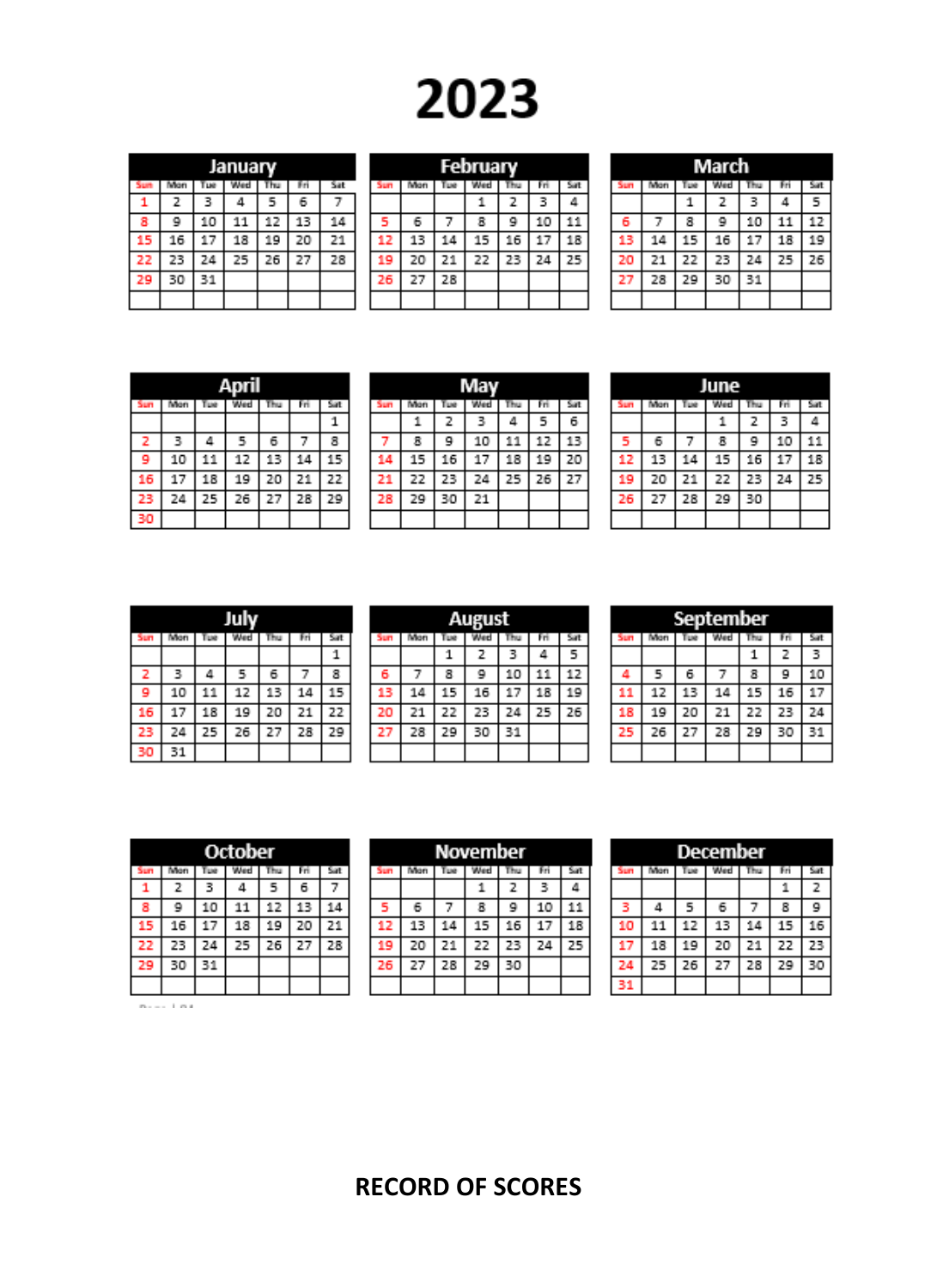# 2023

|    | January |     |     |    |    |    |  |  |  |  |
|----|---------|-----|-----|----|----|----|--|--|--|--|
|    | lan     | Тие | Wed |    |    |    |  |  |  |  |
|    | 2       | 3   | Δ   | 5  | 6  |    |  |  |  |  |
| 8  | 9       | 10  | 11  | 12 | 13 | 14 |  |  |  |  |
| 15 | 16      | 17  | 18  | 19 | 20 | 21 |  |  |  |  |
| 22 | 23      | 24  | 25  | 26 | 27 | 28 |  |  |  |  |
| 29 | 30      | 31  |     |    |    |    |  |  |  |  |
|    |         |     |     |    |    |    |  |  |  |  |

| February |    |    |    |    |    |    |  |  |
|----------|----|----|----|----|----|----|--|--|
| kum      |    |    |    |    |    | Se |  |  |
|          |    |    |    | 2  | з  |    |  |  |
|          | 6  |    | я  | 9  | 10 |    |  |  |
| 12       | 13 | 14 | 15 | 16 |    | 18 |  |  |
| 19       | 20 | 21 | 22 | 23 | 24 | 25 |  |  |
| 26       | 27 | 28 |    |    |    |    |  |  |
|          |    |    |    |    |    |    |  |  |

|    | March |    |    |    |    |    |  |  |  |
|----|-------|----|----|----|----|----|--|--|--|
|    |       |    |    |    |    |    |  |  |  |
|    |       |    | 2  | 3  |    | 5  |  |  |  |
| 6  |       | 8  | 9  | 10 |    | 17 |  |  |  |
| 13 | 14    | 15 | 16 | 17 | 18 | 19 |  |  |  |
| 20 | 21    | 22 | 23 | 24 | 25 | 26 |  |  |  |
| 27 | 28    | 29 | 30 | 31 |    |    |  |  |  |
|    |       |    |    |    |    |    |  |  |  |

|     | April |     |     |     |     |     |  |  |  |
|-----|-------|-----|-----|-----|-----|-----|--|--|--|
| Sun | Won   | LHE | Wed | Thu | Fri | Sat |  |  |  |
|     |       |     |     |     |     | 1   |  |  |  |
| 2   | з     | Δ   | 5   | 6   | 7   | 8   |  |  |  |
| 9   | 10    | 11  | 12  | 13  | 14  | 15  |  |  |  |
| 16  | 17    | 18  | 19  | 20  | 21  | 22  |  |  |  |
| 23  | 24    | 25  | 26  | 27  | 28  | 29  |  |  |  |
| 30  |       |     |     |     |     |     |  |  |  |

|     | May |    |    |    |     |     |  |  |
|-----|-----|----|----|----|-----|-----|--|--|
| Sun | ton | w  |    | Ъu | Fri | Sat |  |  |
|     |     | 2  | з  | Δ  | 5   | 6   |  |  |
|     | 8   | 9  | 10 | 11 | 12  | 13  |  |  |
| 14  | 15  | 16 | 17 | 18 | 19  | 20  |  |  |
|     | 22  | 23 | 24 | 25 | 26  | 27  |  |  |
| 28  | 29  | 30 | 21 |    |     |     |  |  |
|     |     |    |    |    |     |     |  |  |

|     | June |    |    |    |    |    |  |  |
|-----|------|----|----|----|----|----|--|--|
| šun |      |    |    |    |    |    |  |  |
|     |      |    |    | 2  |    |    |  |  |
|     | 6    |    | я  | ٩  | 10 |    |  |  |
| 12  | 13   | 14 | 15 | 16 | 17 | 18 |  |  |
| 19  | 20   | 21 | 22 | 23 | 24 | 25 |  |  |
| 26  | 27   | 28 | 29 | 30 |    |    |  |  |
|     |      |    |    |    |    |    |  |  |

| Juh |     |       |     |     |     |     |  |  |  |
|-----|-----|-------|-----|-----|-----|-----|--|--|--|
| Sun | ton | Tue I | Wed | Thu | Fri | Sat |  |  |  |
|     |     |       |     |     |     |     |  |  |  |
| 2   | з   | Δ     | 5   | 6   |     | 8   |  |  |  |
| ۰   | 10  | 11    | 12  | 13  | 14  | 15  |  |  |  |
| 16  | 17  | 18    | 19  | 20  | 21  | 22  |  |  |  |
| 23  | 24  | 25    | 26  | 27  | 28  | 29  |  |  |  |
| 30  | 31  |       |     |     |     |     |  |  |  |

| August |     |    |    |    |    |     |  |  |
|--------|-----|----|----|----|----|-----|--|--|
| šun    | ton |    |    |    |    | Sat |  |  |
|        |     | 1  | 2  | 3  | 4  | 5   |  |  |
| 6      |     | 8  | ٥  | 10 | 11 | 12  |  |  |
| 13     | 14  | 15 | 16 | 17 | 18 | 19  |  |  |
| 20     | 21  | 22 | 23 | 24 | 25 | 26  |  |  |
| 27     | 28  | 29 | 30 | 31 |    |     |  |  |
|        |     |    |    |    |    |     |  |  |

| September |      |    |     |    |    |     |  |  |
|-----------|------|----|-----|----|----|-----|--|--|
| Sun       | llan |    | Wed |    |    | Sat |  |  |
|           |      |    |     |    | 2  | з   |  |  |
|           | 5    | 6  |     | 8  | g  | 10  |  |  |
|           | 12   | 13 | 14  | 15 | 16 | 17  |  |  |
| 18        | 19   | 20 | 21  | 22 | 23 | 24  |  |  |
| 25        | 26   | 27 | 28  | 29 | 30 | 31  |  |  |
|           |      |    |     |    |    |     |  |  |

| October |     |     |     |    |     |     |
|---------|-----|-----|-----|----|-----|-----|
| Jun     | ñan | 'ue | Wed |    | Fri | Sat |
| 1       | 2   | 3   | 4   | 5  | 6   |     |
| 8       | ٥   | 10  | 11  | 12 | 13  | 14  |
| 15      | 16  | 17  | 18  | 19 | 20  | 21  |
| 22      | 23  | 24  | 25  | 26 | 27  | 28  |
| 29      | 30  | 31  |     |    |     |     |
|         |     |     |     |    |     |     |

 $\alpha_{\rm max} = 1$  and

| November |    |     |    |    |    |    |
|----------|----|-----|----|----|----|----|
|          |    | Tue |    |    |    |    |
|          |    |     |    | 2  | з  | Δ  |
|          | 6  |     | 8  |    | 10 |    |
| 12       | 13 | 14  | 15 | 16 | 17 | 18 |
| 19       | 20 | 21  | 22 | 23 | 24 | 25 |
|          | 27 | 28  | 29 | 30 |    |    |
|          |    |     |    |    |    |    |

| December |     |           |              |    |    |    |
|----------|-----|-----------|--------------|----|----|----|
| 4m       | Mon | <b>LM</b> | <b>Alest</b> |    |    |    |
|          |     |           |              |    |    | 2  |
|          | л   | 5         | 6            |    | 8  | g  |
| 10       | 11  | 12        | 13           | 14 | 15 |    |
| t7       | 18  | 19        | 20           | 21 | 22 | 23 |
| 24       | 25  | 26        | 27           | 28 | 29 | 30 |
| 31       |     |           |              |    |    |    |

# **RECORD OF SCORES**